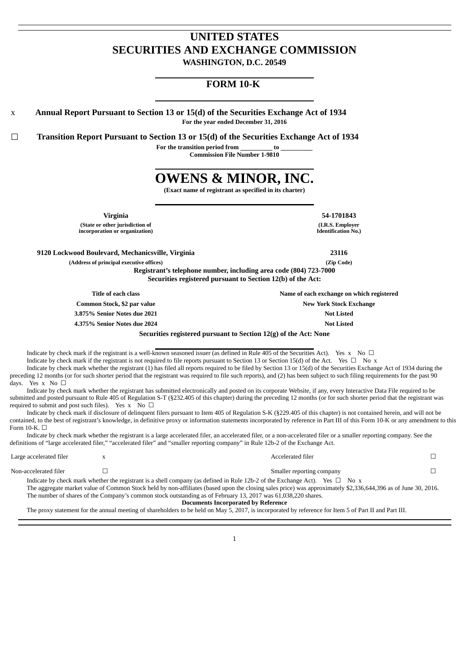# **UNITED STATES SECURITIES AND EXCHANGE COMMISSION**

**WASHINGTON, D.C. 20549**

# **FORM 10-K**

x **Annual Report Pursuant to Section 13 or 15(d) of the Securities Exchange Act of 1934 For the year ended December 31, 2016**

☐ **Transition Report Pursuant to Section 13 or 15(d) of the Securities Exchange Act of 1934**

For the transition period from \_\_\_\_\_\_\_\_\_\_\_ to **Commission File Number 1-9810**

# **OWENS & MINOR, INC.**

**(Exact name of registrant as specified in its charter)**

**Virginia 54-1701843**

**(State or other jurisdiction of incorporation or organization)**

**(I.R.S. Employer Identification No.)**

**9120 Lockwood Boulevard, Mechanicsville, Virginia 23116**

**(Address of principal executive offices) (Zip Code)**

**Registrant's telephone number, including area code (804) 723-7000 Securities registered pursuant to Section 12(b) of the Act:**

| Title of each class                                              | Name of each exchange on which registered |  |  |  |  |  |  |
|------------------------------------------------------------------|-------------------------------------------|--|--|--|--|--|--|
| Common Stock, \$2 par value                                      | <b>New York Stock Exchange</b>            |  |  |  |  |  |  |
| 3.875% Senior Notes due 2021                                     | Not Listed                                |  |  |  |  |  |  |
| 4.375% Senior Notes due 2024                                     | <b>Not Listed</b>                         |  |  |  |  |  |  |
| Securities registered pursuant to Section 12(g) of the Act: None |                                           |  |  |  |  |  |  |

Indicate by check mark if the registrant is a well-known seasoned issuer (as defined in Rule 405 of the Securities Act). Yes x No  $\Box$ 

Indicate by check mark if the registrant is not required to file reports pursuant to Section 13 or Section 15(d) of the Act. Yes  $\Box$  No x

Indicate by check mark whether the registrant (1) has filed all reports required to be filed by Section 13 or 15(d) of the Securities Exchange Act of 1934 during the preceding 12 months (or for such shorter period that the registrant was required to file such reports), and (2) has been subject to such filing requirements for the past 90 days. Yes x No □

Indicate by check mark whether the registrant has submitted electronically and posted on its corporate Website, if any, every Interactive Data File required to be submitted and posted pursuant to Rule 405 of Regulation S-T (§232.405 of this chapter) during the preceding 12 months (or for such shorter period that the registrant was required to submit and post such files). Yes  $x \in No \square$ 

Indicate by check mark if disclosure of delinquent filers pursuant to Item 405 of Regulation S-K (§229.405 of this chapter) is not contained herein, and will not be contained, to the best of registrant's knowledge, in definitive proxy or information statements incorporated by reference in Part III of this Form 10-K or any amendment to this Form 10-K.  $\Box$ 

Indicate by check mark whether the registrant is a large accelerated filer, an accelerated filer, or a non-accelerated filer or a smaller reporting company. See the definitions of "large accelerated filer," "accelerated filer" and "smaller reporting company" in Rule 12b-2 of the Exchange Act.

Large accelerated filer  $\Box$ 

Non-accelerated filer ☐ Smaller reporting company ☐

Indicate by check mark whether the registrant is a shell company (as defined in Rule 12b-2 of the Exchange Act). Yes  $\Box$  No x The aggregate market value of Common Stock held by non-affiliates (based upon the closing sales price) was approximately \$2,336,644,396 as of June 30, 2016. The number of shares of the Company's common stock outstanding as of February 13, 2017 was 61,038,220 shares.

**Documents Incorporated by Reference**

The proxy statement for the annual meeting of shareholders to be held on May 5, 2017, is incorporated by reference for Item 5 of Part II and Part III.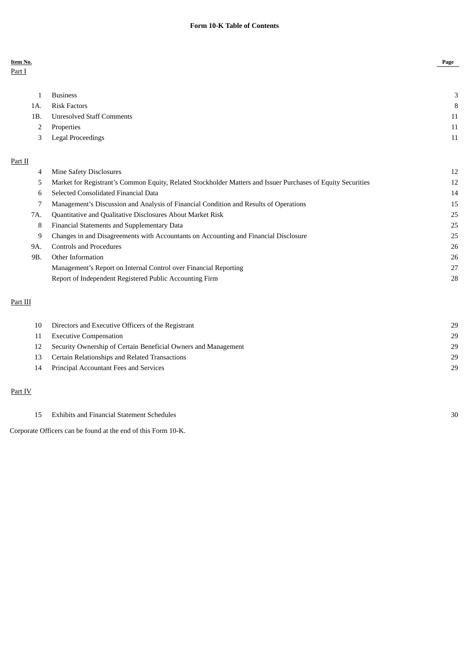| Item No. |                                                                                                              | Page |
|----------|--------------------------------------------------------------------------------------------------------------|------|
| Part I   |                                                                                                              |      |
|          |                                                                                                              |      |
| 1        | <b>Business</b>                                                                                              | 3    |
| 1A.      | <b>Risk Factors</b>                                                                                          | 8    |
| 1B.      | <b>Unresolved Staff Comments</b>                                                                             | 11   |
| 2        | Properties                                                                                                   | 11   |
| 3        | <b>Legal Proceedings</b>                                                                                     | 11   |
|          |                                                                                                              |      |
| Part II  |                                                                                                              |      |
| 4        | Mine Safety Disclosures                                                                                      | 12   |
| 5        | Market for Registrant's Common Equity, Related Stockholder Matters and Issuer Purchases of Equity Securities | 12   |
| 6        | Selected Consolidated Financial Data                                                                         | 14   |
| 7        | Management's Discussion and Analysis of Financial Condition and Results of Operations                        | 15   |
| 7A.      | Quantitative and Qualitative Disclosures About Market Risk                                                   | 25   |
| 8        | Financial Statements and Supplementary Data                                                                  | 25   |
| 9        | Changes in and Disagreements with Accountants on Accounting and Financial Disclosure                         | 25   |
| 9A.      | <b>Controls and Procedures</b>                                                                               | 26   |
| 9B.      | Other Information                                                                                            | 26   |
|          | Management's Report on Internal Control over Financial Reporting                                             | 27   |
|          | Report of Independent Registered Public Accounting Firm                                                      | 28   |
|          |                                                                                                              |      |
| Part III |                                                                                                              |      |

| 10 | Directors and Executive Officers of the Registrant             | 29 |
|----|----------------------------------------------------------------|----|
| 11 | <b>Executive Compensation</b>                                  | 29 |
| 12 | Security Ownership of Certain Beneficial Owners and Management | 29 |
|    | Certain Relationships and Related Transactions                 | 29 |
| 14 | Principal Accountant Fees and Services                         | 29 |
|    |                                                                |    |

# [Part](#page-29-0) IV

15 Exhibits and Financial Statement [Schedules](#page-29-1) [30](#page-29-1)

Corporate Officers can be found at the end of this Form 10-K.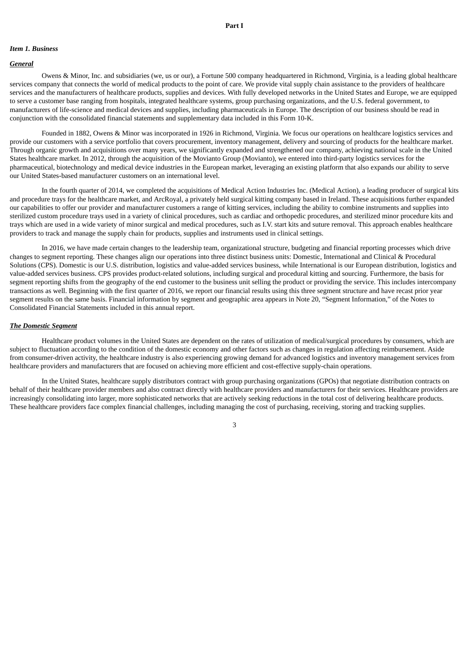#### <span id="page-2-1"></span><span id="page-2-0"></span>*Item 1. Business*

#### *General*

Owens & Minor, Inc. and subsidiaries (we, us or our), a Fortune 500 company headquartered in Richmond, Virginia, is a leading global healthcare services company that connects the world of medical products to the point of care. We provide vital supply chain assistance to the providers of healthcare services and the manufacturers of healthcare products, supplies and devices. With fully developed networks in the United States and Europe, we are equipped to serve a customer base ranging from hospitals, integrated healthcare systems, group purchasing organizations, and the U.S. federal government, to manufacturers of life-science and medical devices and supplies, including pharmaceuticals in Europe. The description of our business should be read in conjunction with the consolidated financial statements and supplementary data included in this Form 10-K.

Founded in 1882, Owens & Minor was incorporated in 1926 in Richmond, Virginia. We focus our operations on healthcare logistics services and provide our customers with a service portfolio that covers procurement, inventory management, delivery and sourcing of products for the healthcare market. Through organic growth and acquisitions over many years, we significantly expanded and strengthened our company, achieving national scale in the United States healthcare market. In 2012, through the acquisition of the Movianto Group (Movianto), we entered into third-party logistics services for the pharmaceutical, biotechnology and medical device industries in the European market, leveraging an existing platform that also expands our ability to serve our United States-based manufacturer customers on an international level.

In the fourth quarter of 2014, we completed the acquisitions of Medical Action Industries Inc. (Medical Action), a leading producer of surgical kits and procedure trays for the healthcare market, and ArcRoyal, a privately held surgical kitting company based in Ireland. These acquisitions further expanded our capabilities to offer our provider and manufacturer customers a range of kitting services, including the ability to combine instruments and supplies into sterilized custom procedure trays used in a variety of clinical procedures, such as cardiac and orthopedic procedures, and sterilized minor procedure kits and trays which are used in a wide variety of minor surgical and medical procedures, such as I.V. start kits and suture removal. This approach enables healthcare providers to track and manage the supply chain for products, supplies and instruments used in clinical settings.

In 2016, we have made certain changes to the leadership team, organizational structure, budgeting and financial reporting processes which drive changes to segment reporting. These changes align our operations into three distinct business units: Domestic, International and Clinical & Procedural Solutions (CPS). Domestic is our U.S. distribution, logistics and value-added services business, while International is our European distribution, logistics and value-added services business. CPS provides product-related solutions, including surgical and procedural kitting and sourcing. Furthermore, the basis for segment reporting shifts from the geography of the end customer to the business unit selling the product or providing the service. This includes intercompany transactions as well. Beginning with the first quarter of 2016, we report our financial results using this three segment structure and have recast prior year segment results on the same basis. Financial information by segment and geographic area appears in Note 20, "Segment Information," of the Notes to Consolidated Financial Statements included in this annual report.

#### *The Domestic Segment*

Healthcare product volumes in the United States are dependent on the rates of utilization of medical/surgical procedures by consumers, which are subject to fluctuation according to the condition of the domestic economy and other factors such as changes in regulation affecting reimbursement. Aside from consumer-driven activity, the healthcare industry is also experiencing growing demand for advanced logistics and inventory management services from healthcare providers and manufacturers that are focused on achieving more efficient and cost-effective supply-chain operations.

In the United States, healthcare supply distributors contract with group purchasing organizations (GPOs) that negotiate distribution contracts on behalf of their healthcare provider members and also contract directly with healthcare providers and manufacturers for their services. Healthcare providers are increasingly consolidating into larger, more sophisticated networks that are actively seeking reductions in the total cost of delivering healthcare products. These healthcare providers face complex financial challenges, including managing the cost of purchasing, receiving, storing and tracking supplies.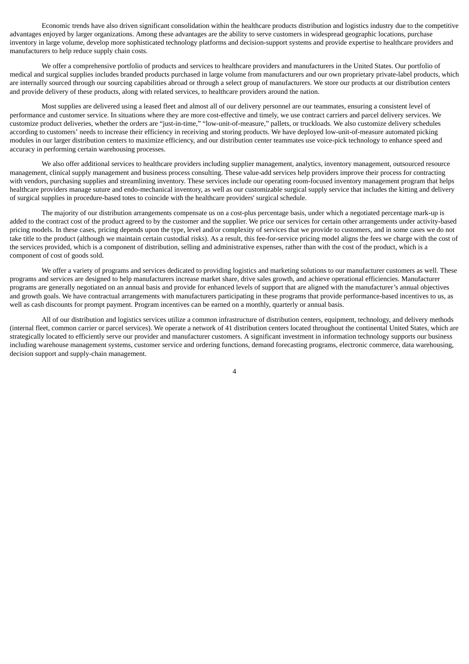Economic trends have also driven significant consolidation within the healthcare products distribution and logistics industry due to the competitive advantages enjoyed by larger organizations. Among these advantages are the ability to serve customers in widespread geographic locations, purchase inventory in large volume, develop more sophisticated technology platforms and decision-support systems and provide expertise to healthcare providers and manufacturers to help reduce supply chain costs.

We offer a comprehensive portfolio of products and services to healthcare providers and manufacturers in the United States. Our portfolio of medical and surgical supplies includes branded products purchased in large volume from manufacturers and our own proprietary private-label products, which are internally sourced through our sourcing capabilities abroad or through a select group of manufacturers. We store our products at our distribution centers and provide delivery of these products, along with related services, to healthcare providers around the nation.

Most supplies are delivered using a leased fleet and almost all of our delivery personnel are our teammates, ensuring a consistent level of performance and customer service. In situations where they are more cost-effective and timely, we use contract carriers and parcel delivery services. We customize product deliveries, whether the orders are "just-in-time," "low-unit-of-measure," pallets, or truckloads. We also customize delivery schedules according to customers' needs to increase their efficiency in receiving and storing products. We have deployed low-unit-of-measure automated picking modules in our larger distribution centers to maximize efficiency, and our distribution center teammates use voice-pick technology to enhance speed and accuracy in performing certain warehousing processes.

We also offer additional services to healthcare providers including supplier management, analytics, inventory management, outsourced resource management, clinical supply management and business process consulting. These value-add services help providers improve their process for contracting with vendors, purchasing supplies and streamlining inventory. These services include our operating room-focused inventory management program that helps healthcare providers manage suture and endo-mechanical inventory, as well as our customizable surgical supply service that includes the kitting and delivery of surgical supplies in procedure-based totes to coincide with the healthcare providers' surgical schedule.

The majority of our distribution arrangements compensate us on a cost-plus percentage basis, under which a negotiated percentage mark-up is added to the contract cost of the product agreed to by the customer and the supplier. We price our services for certain other arrangements under activity-based pricing models. In these cases, pricing depends upon the type, level and/or complexity of services that we provide to customers, and in some cases we do not take title to the product (although we maintain certain custodial risks). As a result, this fee-for-service pricing model aligns the fees we charge with the cost of the services provided, which is a component of distribution, selling and administrative expenses, rather than with the cost of the product, which is a component of cost of goods sold.

We offer a variety of programs and services dedicated to providing logistics and marketing solutions to our manufacturer customers as well. These programs and services are designed to help manufacturers increase market share, drive sales growth, and achieve operational efficiencies. Manufacturer programs are generally negotiated on an annual basis and provide for enhanced levels of support that are aligned with the manufacturer's annual objectives and growth goals. We have contractual arrangements with manufacturers participating in these programs that provide performance-based incentives to us, as well as cash discounts for prompt payment. Program incentives can be earned on a monthly, quarterly or annual basis.

All of our distribution and logistics services utilize a common infrastructure of distribution centers, equipment, technology, and delivery methods (internal fleet, common carrier or parcel services). We operate a network of 41 distribution centers located throughout the continental United States, which are strategically located to efficiently serve our provider and manufacturer customers. A significant investment in information technology supports our business including warehouse management systems, customer service and ordering functions, demand forecasting programs, electronic commerce, data warehousing, decision support and supply-chain management.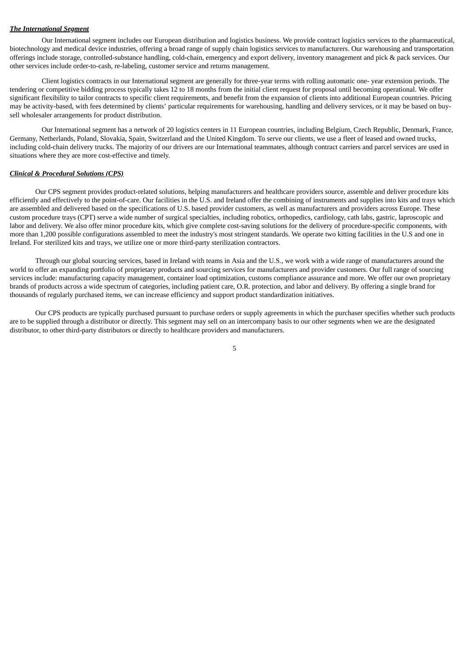### *The International Segment*

Our International segment includes our European distribution and logistics business. We provide contract logistics services to the pharmaceutical, biotechnology and medical device industries, offering a broad range of supply chain logistics services to manufacturers. Our warehousing and transportation offerings include storage, controlled-substance handling, cold-chain, emergency and export delivery, inventory management and pick & pack services. Our other services include order-to-cash, re-labeling, customer service and returns management.

Client logistics contracts in our International segment are generally for three-year terms with rolling automatic one- year extension periods. The tendering or competitive bidding process typically takes 12 to 18 months from the initial client request for proposal until becoming operational. We offer significant flexibility to tailor contracts to specific client requirements, and benefit from the expansion of clients into additional European countries. Pricing may be activity-based, with fees determined by clients' particular requirements for warehousing, handling and delivery services, or it may be based on buysell wholesaler arrangements for product distribution.

Our International segment has a network of 20 logistics centers in 11 European countries, including Belgium, Czech Republic, Denmark, France, Germany, Netherlands, Poland, Slovakia, Spain, Switzerland and the United Kingdom. To serve our clients, we use a fleet of leased and owned trucks, including cold-chain delivery trucks. The majority of our drivers are our International teammates, although contract carriers and parcel services are used in situations where they are more cost-effective and timely.

#### *Clinical & Procedural Solutions (CPS)*

Our CPS segment provides product-related solutions, helping manufacturers and healthcare providers source, assemble and deliver procedure kits efficiently and effectively to the point-of-care. Our facilities in the U.S. and Ireland offer the combining of instruments and supplies into kits and trays which are assembled and delivered based on the specifications of U.S. based provider customers, as well as manufacturers and providers across Europe. These custom procedure trays (CPT) serve a wide number of surgical specialties, including robotics, orthopedics, cardiology, cath labs, gastric, laproscopic and labor and delivery. We also offer minor procedure kits, which give complete cost-saving solutions for the delivery of procedure-specific components, with more than 1,200 possible configurations assembled to meet the industry's most stringent standards. We operate two kitting facilities in the U.S and one in Ireland. For sterilized kits and trays, we utilize one or more third-party sterilization contractors.

Through our global sourcing services, based in Ireland with teams in Asia and the U.S., we work with a wide range of manufacturers around the world to offer an expanding portfolio of proprietary products and sourcing services for manufacturers and provider customers. Our full range of sourcing services include: manufacturing capacity management, container load optimization, customs compliance assurance and more. We offer our own proprietary brands of products across a wide spectrum of categories, including patient care, O.R. protection, and labor and delivery. By offering a single brand for thousands of regularly purchased items, we can increase efficiency and support product standardization initiatives.

Our CPS products are typically purchased pursuant to purchase orders or supply agreements in which the purchaser specifies whether such products are to be supplied through a distributor or directly. This segment may sell on an intercompany basis to our other segments when we are the designated distributor, to other third-party distributors or directly to healthcare providers and manufacturers.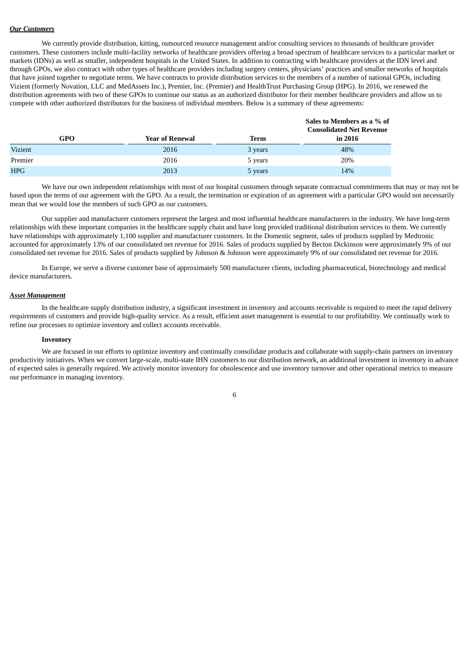### *Our Customers*

We currently provide distribution, kitting, outsourced resource management and/or consulting services to thousands of healthcare provider customers. These customers include multi-facility networks of healthcare providers offering a broad spectrum of healthcare services to a particular market or markets (IDNs) as well as smaller, independent hospitals in the United States. In addition to contracting with healthcare providers at the IDN level and through GPOs, we also contract with other types of healthcare providers including surgery centers, physicians' practices and smaller networks of hospitals that have joined together to negotiate terms. We have contracts to provide distribution services to the members of a number of national GPOs, including Vizient (formerly Novation, LLC and MedAssets Inc.), Premier, Inc. (Premier) and HealthTrust Purchasing Group (HPG). In 2016, we renewed the distribution agreements with two of these GPOs to continue our status as an authorized distributor for their member healthcare providers and allow us to compete with other authorized distributors for the business of individual members. Below is a summary of these agreements:

| <b>GPO</b>     | <b>Year of Renewal</b> | Term    | Sales to Members as a % of<br><b>Consolidated Net Revenue</b><br>in 2016 |
|----------------|------------------------|---------|--------------------------------------------------------------------------|
| <b>Vizient</b> | 2016                   | 3 years | 48%                                                                      |
| Premier        | 2016                   | 5 years | 20%                                                                      |
| <b>HPG</b>     | 2013                   | 5 years | 14%                                                                      |

We have our own independent relationships with most of our hospital customers through separate contractual commitments that may or may not be based upon the terms of our agreement with the GPO. As a result, the termination or expiration of an agreement with a particular GPO would not necessarily mean that we would lose the members of such GPO as our customers.

Our supplier and manufacturer customers represent the largest and most influential healthcare manufacturers in the industry. We have long-term relationships with these important companies in the healthcare supply chain and have long provided traditional distribution services to them. We currently have relationships with approximately 1,100 supplier and manufacturer customers. In the Domestic segment, sales of products supplied by Medtronic accounted for approximately 13% of our consolidated net revenue for 2016. Sales of products supplied by Becton Dickinson were approximately 9% of our consolidated net revenue for 2016. Sales of products supplied by Johnson & Johnson were approximately 9% of our consolidated net revenue for 2016.

In Europe, we serve a diverse customer base of approximately 500 manufacturer clients, including pharmaceutical, biotechnology and medical device manufacturers.

#### *Asset Management*

In the healthcare supply distribution industry, a significant investment in inventory and accounts receivable is required to meet the rapid delivery requirements of customers and provide high-quality service. As a result, efficient asset management is essential to our profitability. We continually work to refine our processes to optimize inventory and collect accounts receivable.

#### **Inventory**

We are focused in our efforts to optimize inventory and continually consolidate products and collaborate with supply-chain partners on inventory productivity initiatives. When we convert large-scale, multi-state IHN customers to our distribution network, an additional investment in inventory in advance of expected sales is generally required. We actively monitor inventory for obsolescence and use inventory turnover and other operational metrics to measure our performance in managing inventory.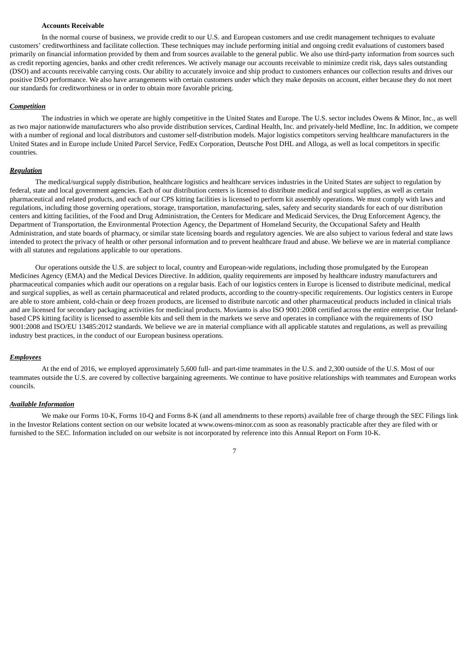#### **Accounts Receivable**

In the normal course of business, we provide credit to our U.S. and European customers and use credit management techniques to evaluate customers' creditworthiness and facilitate collection. These techniques may include performing initial and ongoing credit evaluations of customers based primarily on financial information provided by them and from sources available to the general public. We also use third-party information from sources such as credit reporting agencies, banks and other credit references. We actively manage our accounts receivable to minimize credit risk, days sales outstanding (DSO) and accounts receivable carrying costs. Our ability to accurately invoice and ship product to customers enhances our collection results and drives our positive DSO performance. We also have arrangements with certain customers under which they make deposits on account, either because they do not meet our standards for creditworthiness or in order to obtain more favorable pricing.

#### *Competition*

The industries in which we operate are highly competitive in the United States and Europe. The U.S. sector includes Owens & Minor, Inc., as well as two major nationwide manufacturers who also provide distribution services, Cardinal Health, Inc. and privately-held Medline, Inc. In addition, we compete with a number of regional and local distributors and customer self-distribution models. Major logistics competitors serving healthcare manufacturers in the United States and in Europe include United Parcel Service, FedEx Corporation, Deutsche Post DHL and Alloga, as well as local competitors in specific countries.

#### *Regulation*

The medical/surgical supply distribution, healthcare logistics and healthcare services industries in the United States are subject to regulation by federal, state and local government agencies. Each of our distribution centers is licensed to distribute medical and surgical supplies, as well as certain pharmaceutical and related products, and each of our CPS kitting facilities is licensed to perform kit assembly operations. We must comply with laws and regulations, including those governing operations, storage, transportation, manufacturing, sales, safety and security standards for each of our distribution centers and kitting facilities, of the Food and Drug Administration, the Centers for Medicare and Medicaid Services, the Drug Enforcement Agency, the Department of Transportation, the Environmental Protection Agency, the Department of Homeland Security, the Occupational Safety and Health Administration, and state boards of pharmacy, or similar state licensing boards and regulatory agencies. We are also subject to various federal and state laws intended to protect the privacy of health or other personal information and to prevent healthcare fraud and abuse. We believe we are in material compliance with all statutes and regulations applicable to our operations.

Our operations outside the U.S. are subject to local, country and European-wide regulations, including those promulgated by the European Medicines Agency (EMA) and the Medical Devices Directive. In addition, quality requirements are imposed by healthcare industry manufacturers and pharmaceutical companies which audit our operations on a regular basis. Each of our logistics centers in Europe is licensed to distribute medicinal, medical and surgical supplies, as well as certain pharmaceutical and related products, according to the country-specific requirements. Our logistics centers in Europe are able to store ambient, cold-chain or deep frozen products, are licensed to distribute narcotic and other pharmaceutical products included in clinical trials and are licensed for secondary packaging activities for medicinal products. Movianto is also ISO 9001:2008 certified across the entire enterprise. Our Irelandbased CPS kitting facility is licensed to assemble kits and sell them in the markets we serve and operates in compliance with the requirements of ISO 9001:2008 and ISO/EU 13485:2012 standards. We believe we are in material compliance with all applicable statutes and regulations, as well as prevailing industry best practices, in the conduct of our European business operations.

#### *Employees*

At the end of 2016, we employed approximately 5,600 full- and part-time teammates in the U.S. and 2,300 outside of the U.S. Most of our teammates outside the U.S. are covered by collective bargaining agreements. We continue to have positive relationships with teammates and European works councils.

#### *Available Information*

We make our Forms 10-K, Forms 10-Q and Forms 8-K (and all amendments to these reports) available free of charge through the SEC Filings link in the Investor Relations content section on our website located at www.owens-minor.com as soon as reasonably practicable after they are filed with or furnished to the SEC. Information included on our website is not incorporated by reference into this Annual Report on Form 10-K.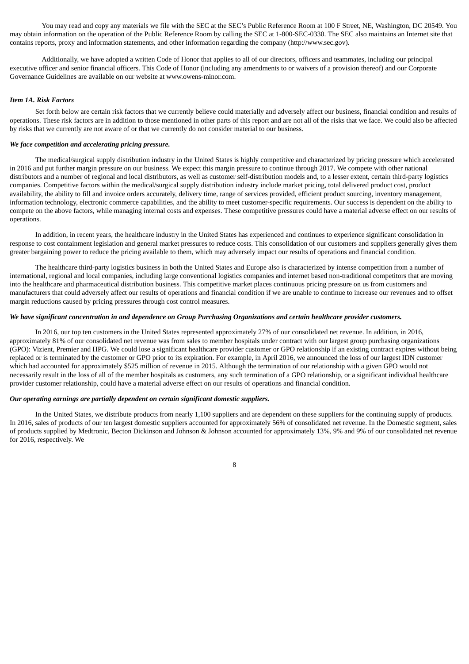You may read and copy any materials we file with the SEC at the SEC's Public Reference Room at 100 F Street, NE, Washington, DC 20549. You may obtain information on the operation of the Public Reference Room by calling the SEC at 1-800-SEC-0330. The SEC also maintains an Internet site that contains reports, proxy and information statements, and other information regarding the company (http://www.sec.gov).

Additionally, we have adopted a written Code of Honor that applies to all of our directors, officers and teammates, including our principal executive officer and senior financial officers. This Code of Honor (including any amendments to or waivers of a provision thereof) and our Corporate Governance Guidelines are available on our website at www.owens-minor.com.

### <span id="page-7-0"></span>*Item 1A. Risk Factors*

Set forth below are certain risk factors that we currently believe could materially and adversely affect our business, financial condition and results of operations. These risk factors are in addition to those mentioned in other parts of this report and are not all of the risks that we face. We could also be affected by risks that we currently are not aware of or that we currently do not consider material to our business.

#### *We face competition and accelerating pricing pressure.*

The medical/surgical supply distribution industry in the United States is highly competitive and characterized by pricing pressure which accelerated in 2016 and put further margin pressure on our business. We expect this margin pressure to continue through 2017. We compete with other national distributors and a number of regional and local distributors, as well as customer self-distribution models and, to a lesser extent, certain third-party logistics companies. Competitive factors within the medical/surgical supply distribution industry include market pricing, total delivered product cost, product availability, the ability to fill and invoice orders accurately, delivery time, range of services provided, efficient product sourcing, inventory management, information technology, electronic commerce capabilities, and the ability to meet customer-specific requirements. Our success is dependent on the ability to compete on the above factors, while managing internal costs and expenses. These competitive pressures could have a material adverse effect on our results of operations.

In addition, in recent years, the healthcare industry in the United States has experienced and continues to experience significant consolidation in response to cost containment legislation and general market pressures to reduce costs. This consolidation of our customers and suppliers generally gives them greater bargaining power to reduce the pricing available to them, which may adversely impact our results of operations and financial condition.

The healthcare third-party logistics business in both the United States and Europe also is characterized by intense competition from a number of international, regional and local companies, including large conventional logistics companies and internet based non-traditional competitors that are moving into the healthcare and pharmaceutical distribution business. This competitive market places continuous pricing pressure on us from customers and manufacturers that could adversely affect our results of operations and financial condition if we are unable to continue to increase our revenues and to offset margin reductions caused by pricing pressures through cost control measures.

#### We have significant concentration in and dependence on Group Purchasing Organizations and certain healthcare provider customers.

In 2016, our top ten customers in the United States represented approximately 27% of our consolidated net revenue. In addition, in 2016, approximately 81% of our consolidated net revenue was from sales to member hospitals under contract with our largest group purchasing organizations (GPO): Vizient, Premier and HPG. We could lose a significant healthcare provider customer or GPO relationship if an existing contract expires without being replaced or is terminated by the customer or GPO prior to its expiration. For example, in April 2016, we announced the loss of our largest IDN customer which had accounted for approximately \$525 million of revenue in 2015. Although the termination of our relationship with a given GPO would not necessarily result in the loss of all of the member hospitals as customers, any such termination of a GPO relationship, or a significant individual healthcare provider customer relationship, could have a material adverse effect on our results of operations and financial condition.

#### *Our operating earnings are partially dependent on certain significant domestic suppliers.*

In the United States, we distribute products from nearly 1,100 suppliers and are dependent on these suppliers for the continuing supply of products. In 2016, sales of products of our ten largest domestic suppliers accounted for approximately 56% of consolidated net revenue. In the Domestic segment, sales of products supplied by Medtronic, Becton Dickinson and Johnson & Johnson accounted for approximately 13%, 9% and 9% of our consolidated net revenue for 2016, respectively. We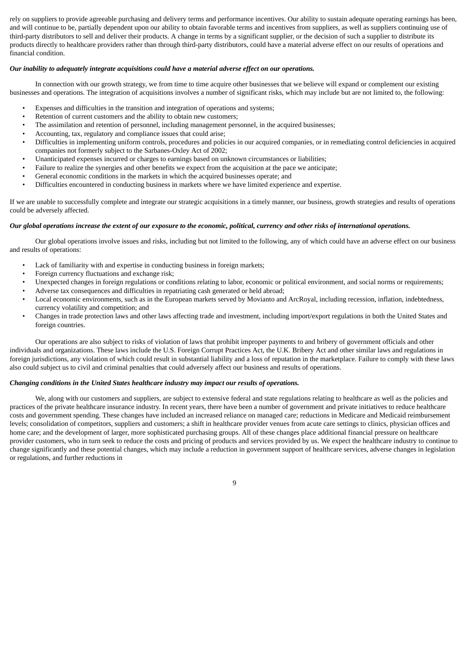rely on suppliers to provide agreeable purchasing and delivery terms and performance incentives. Our ability to sustain adequate operating earnings has been, and will continue to be, partially dependent upon our ability to obtain favorable terms and incentives from suppliers, as well as suppliers continuing use of third-party distributors to sell and deliver their products. A change in terms by a significant supplier, or the decision of such a supplier to distribute its products directly to healthcare providers rather than through third-party distributors, could have a material adverse effect on our results of operations and financial condition.

### *Our inability to adequately integrate acquisitions could have a material adverse effect on our operations.*

In connection with our growth strategy, we from time to time acquire other businesses that we believe will expand or complement our existing businesses and operations. The integration of acquisitions involves a number of significant risks, which may include but are not limited to, the following:

- Expenses and difficulties in the transition and integration of operations and systems;
- Retention of current customers and the ability to obtain new customers;
- The assimilation and retention of personnel, including management personnel, in the acquired businesses;
- Accounting, tax, regulatory and compliance issues that could arise;
- Difficulties in implementing uniform controls, procedures and policies in our acquired companies, or in remediating control deficiencies in acquired companies not formerly subject to the Sarbanes-Oxley Act of 2002;
- Unanticipated expenses incurred or charges to earnings based on unknown circumstances or liabilities;
- Failure to realize the synergies and other benefits we expect from the acquisition at the pace we anticipate;
- General economic conditions in the markets in which the acquired businesses operate; and
- Difficulties encountered in conducting business in markets where we have limited experience and expertise.

If we are unable to successfully complete and integrate our strategic acquisitions in a timely manner, our business, growth strategies and results of operations could be adversely affected.

### Our global operations increase the extent of our exposure to the economic, political, currency and other risks of international operations.

Our global operations involve issues and risks, including but not limited to the following, any of which could have an adverse effect on our business and results of operations:

- Lack of familiarity with and expertise in conducting business in foreign markets;
- Foreign currency fluctuations and exchange risk;
- Unexpected changes in foreign regulations or conditions relating to labor, economic or political environment, and social norms or requirements;
- Adverse tax consequences and difficulties in repatriating cash generated or held abroad;
- Local economic environments, such as in the European markets served by Movianto and ArcRoyal, including recession, inflation, indebtedness, currency volatility and competition; and
- Changes in trade protection laws and other laws affecting trade and investment, including import/export regulations in both the United States and foreign countries.

Our operations are also subject to risks of violation of laws that prohibit improper payments to and bribery of government officials and other individuals and organizations. These laws include the U.S. Foreign Corrupt Practices Act, the U.K. Bribery Act and other similar laws and regulations in foreign jurisdictions, any violation of which could result in substantial liability and a loss of reputation in the marketplace. Failure to comply with these laws also could subject us to civil and criminal penalties that could adversely affect our business and results of operations.

### *Changing conditions in the United States healthcare industry may impact our results of operations.*

We, along with our customers and suppliers, are subject to extensive federal and state regulations relating to healthcare as well as the policies and practices of the private healthcare insurance industry. In recent years, there have been a number of government and private initiatives to reduce healthcare costs and government spending. These changes have included an increased reliance on managed care; reductions in Medicare and Medicaid reimbursement levels; consolidation of competitors, suppliers and customers; a shift in healthcare provider venues from acute care settings to clinics, physician offices and home care; and the development of larger, more sophisticated purchasing groups. All of these changes place additional financial pressure on healthcare provider customers, who in turn seek to reduce the costs and pricing of products and services provided by us. We expect the healthcare industry to continue to change significantly and these potential changes, which may include a reduction in government support of healthcare services, adverse changes in legislation or regulations, and further reductions in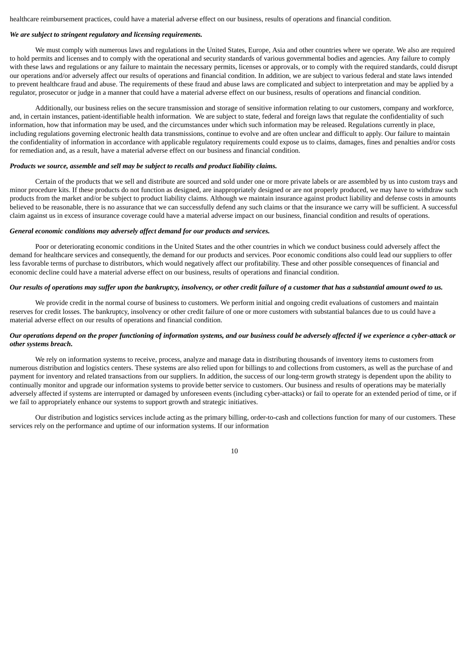healthcare reimbursement practices, could have a material adverse effect on our business, results of operations and financial condition.

### *We are subject to stringent regulatory and licensing requirements.*

We must comply with numerous laws and regulations in the United States, Europe, Asia and other countries where we operate. We also are required to hold permits and licenses and to comply with the operational and security standards of various governmental bodies and agencies. Any failure to comply with these laws and regulations or any failure to maintain the necessary permits, licenses or approvals, or to comply with the required standards, could disrupt our operations and/or adversely affect our results of operations and financial condition. In addition, we are subject to various federal and state laws intended to prevent healthcare fraud and abuse. The requirements of these fraud and abuse laws are complicated and subject to interpretation and may be applied by a regulator, prosecutor or judge in a manner that could have a material adverse effect on our business, results of operations and financial condition.

Additionally, our business relies on the secure transmission and storage of sensitive information relating to our customers, company and workforce, and, in certain instances, patient-identifiable health information. We are subject to state, federal and foreign laws that regulate the confidentiality of such information, how that information may be used, and the circumstances under which such information may be released. Regulations currently in place, including regulations governing electronic health data transmissions, continue to evolve and are often unclear and difficult to apply. Our failure to maintain the confidentiality of information in accordance with applicable regulatory requirements could expose us to claims, damages, fines and penalties and/or costs for remediation and, as a result, have a material adverse effect on our business and financial condition.

#### *Products we source, assemble and sell may be subject to recalls and product liability claims.*

Certain of the products that we sell and distribute are sourced and sold under one or more private labels or are assembled by us into custom trays and minor procedure kits. If these products do not function as designed, are inappropriately designed or are not properly produced, we may have to withdraw such products from the market and/or be subject to product liability claims. Although we maintain insurance against product liability and defense costs in amounts believed to be reasonable, there is no assurance that we can successfully defend any such claims or that the insurance we carry will be sufficient. A successful claim against us in excess of insurance coverage could have a material adverse impact on our business, financial condition and results of operations.

#### *General economic conditions may adversely affect demand for our products and services.*

Poor or deteriorating economic conditions in the United States and the other countries in which we conduct business could adversely affect the demand for healthcare services and consequently, the demand for our products and services. Poor economic conditions also could lead our suppliers to offer less favorable terms of purchase to distributors, which would negatively affect our profitability. These and other possible consequences of financial and economic decline could have a material adverse effect on our business, results of operations and financial condition.

#### Our results of operations may suffer upon the bankruptcy, insolvency, or other credit failure of a customer that has a substantial amount owed to us.

We provide credit in the normal course of business to customers. We perform initial and ongoing credit evaluations of customers and maintain reserves for credit losses. The bankruptcy, insolvency or other credit failure of one or more customers with substantial balances due to us could have a material adverse effect on our results of operations and financial condition.

### Our operations depend on the proper functioning of information systems, and our business could be adversely affected if we experience a cyber-attack or *other systems breach***.**

We rely on information systems to receive, process, analyze and manage data in distributing thousands of inventory items to customers from numerous distribution and logistics centers. These systems are also relied upon for billings to and collections from customers, as well as the purchase of and payment for inventory and related transactions from our suppliers. In addition, the success of our long-term growth strategy is dependent upon the ability to continually monitor and upgrade our information systems to provide better service to customers. Our business and results of operations may be materially adversely affected if systems are interrupted or damaged by unforeseen events (including cyber-attacks) or fail to operate for an extended period of time, or if we fail to appropriately enhance our systems to support growth and strategic initiatives.

Our distribution and logistics services include acting as the primary billing, order-to-cash and collections function for many of our customers. These services rely on the performance and uptime of our information systems. If our information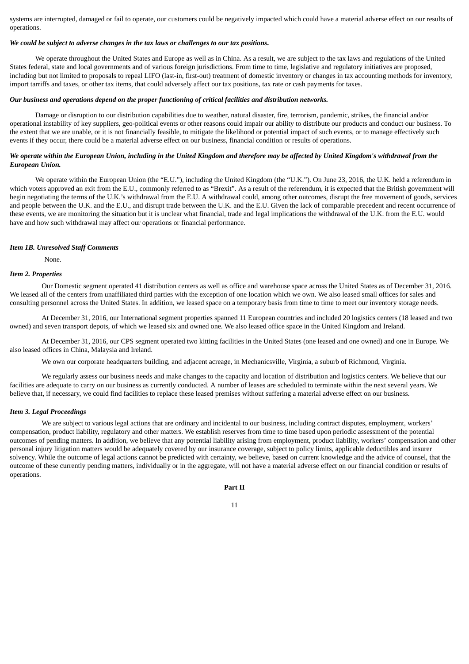systems are interrupted, damaged or fail to operate, our customers could be negatively impacted which could have a material adverse effect on our results of operations.

# *We could be subject to adverse changes in the tax laws or challenges to our tax positions***.**

We operate throughout the United States and Europe as well as in China. As a result, we are subject to the tax laws and regulations of the United States federal, state and local governments and of various foreign jurisdictions. From time to time, legislative and regulatory initiatives are proposed, including but not limited to proposals to repeal LIFO (last-in, first-out) treatment of domestic inventory or changes in tax accounting methods for inventory, import tarriffs and taxes, or other tax items, that could adversely affect our tax positions, tax rate or cash payments for taxes.

### *Our business and operations depend on the proper functioning of critical facilities and distribution networks.*

Damage or disruption to our distribution capabilities due to weather, natural disaster, fire, terrorism, pandemic, strikes, the financial and/or operational instability of key suppliers, geo-political events or other reasons could impair our ability to distribute our products and conduct our business. To the extent that we are unable, or it is not financially feasible, to mitigate the likelihood or potential impact of such events, or to manage effectively such events if they occur, there could be a material adverse effect on our business, financial condition or results of operations.

### We operate within the European Union, including in the United Kingdom and therefore may be affected by United Kingdom's withdrawal from the *European Union.*

We operate within the European Union (the "E.U."), including the United Kingdom (the "U.K."). On June 23, 2016, the U.K. held a referendum in which voters approved an exit from the E.U., commonly referred to as "Brexit". As a result of the referendum, it is expected that the British government will begin negotiating the terms of the U.K.'s withdrawal from the E.U. A withdrawal could, among other outcomes, disrupt the free movement of goods, services and people between the U.K. and the E.U., and disrupt trade between the U.K. and the E.U. Given the lack of comparable precedent and recent occurrence of these events, we are monitoring the situation but it is unclear what financial, trade and legal implications the withdrawal of the U.K. from the E.U. would have and how such withdrawal may affect our operations or financial performance.

### <span id="page-10-0"></span>*Item 1B. Unresolved Staff Comments*

None.

### <span id="page-10-1"></span>*Item 2. Properties*

Our Domestic segment operated 41 distribution centers as well as office and warehouse space across the United States as of December 31, 2016. We leased all of the centers from unaffiliated third parties with the exception of one location which we own. We also leased small offices for sales and consulting personnel across the United States. In addition, we leased space on a temporary basis from time to time to meet our inventory storage needs.

At December 31, 2016, our International segment properties spanned 11 European countries and included 20 logistics centers (18 leased and two owned) and seven transport depots, of which we leased six and owned one. We also leased office space in the United Kingdom and Ireland.

At December 31, 2016, our CPS segment operated two kitting facilities in the United States (one leased and one owned) and one in Europe. We also leased offices in China, Malaysia and Ireland.

We own our corporate headquarters building, and adjacent acreage, in Mechanicsville, Virginia, a suburb of Richmond, Virginia.

We regularly assess our business needs and make changes to the capacity and location of distribution and logistics centers. We believe that our facilities are adequate to carry on our business as currently conducted. A number of leases are scheduled to terminate within the next several years. We believe that, if necessary, we could find facilities to replace these leased premises without suffering a material adverse effect on our business.

### <span id="page-10-2"></span>*Item 3. Legal Proceedings*

<span id="page-10-3"></span>We are subject to various legal actions that are ordinary and incidental to our business, including contract disputes, employment, workers' compensation, product liability, regulatory and other matters. We establish reserves from time to time based upon periodic assessment of the potential outcomes of pending matters. In addition, we believe that any potential liability arising from employment, product liability, workers' compensation and other personal injury litigation matters would be adequately covered by our insurance coverage, subject to policy limits, applicable deductibles and insurer solvency. While the outcome of legal actions cannot be predicted with certainty, we believe, based on current knowledge and the advice of counsel, that the outcome of these currently pending matters, individually or in the aggregate, will not have a material adverse effect on our financial condition or results of operations.

**Part II**

<sup>11</sup>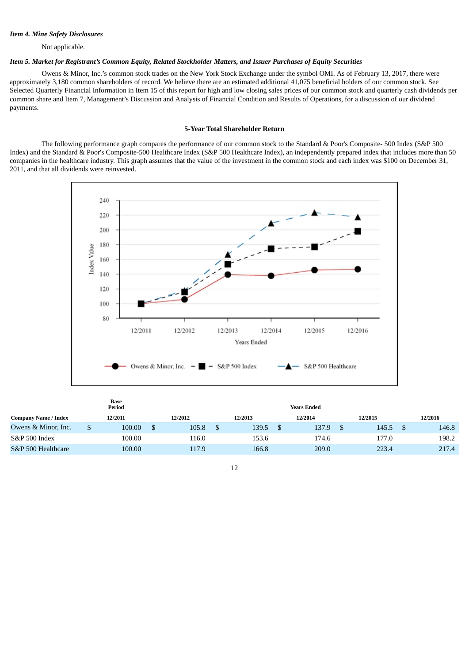#### <span id="page-11-0"></span>*Item 4. Mine Safety Disclosures*

Not applicable.

### <span id="page-11-1"></span>Item 5. Market for Registrant's Common Equity, Related Stockholder Matters, and Issuer Purchases of Equity Securities

Owens & Minor, Inc.'s common stock trades on the New York Stock Exchange under the symbol OMI. As of February 13, 2017, there were approximately 3,180 common shareholders of record. We believe there are an estimated additional 41,075 beneficial holders of our common stock. See Selected Quarterly Financial Information in Item 15 of this report for high and low closing sales prices of our common stock and quarterly cash dividends per common share and Item 7, Management's Discussion and Analysis of Financial Condition and Results of Operations, for a discussion of our dividend payments.

#### **5-Year Total Shareholder Return**

The following performance graph compares the performance of our common stock to the Standard & Poor's Composite- 500 Index (S&P 500 Index) and the Standard & Poor's Composite-500 Healthcare Index (S&P 500 Healthcare Index), an independently prepared index that includes more than 50 companies in the healthcare industry. This graph assumes that the value of the investment in the common stock and each index was \$100 on December 31, 2011, and that all dividends were reinvested.



| Base<br>Period              |  |         |    |         |         |         |         |         |
|-----------------------------|--|---------|----|---------|---------|---------|---------|---------|
| <b>Company Name / Index</b> |  | 12/2011 |    | 12/2012 | 12/2013 | 12/2014 | 12/2015 | 12/2016 |
| Owens & Minor, Inc.         |  | 100.00  | \$ | 105.8   | 139.5   | 137.9   | 145.5   | 146.8   |
| S&P 500 Index               |  | 100.00  |    | 116.0   | 153.6   | 174.6   | 177.0   | 198.2   |
| S&P 500 Healthcare          |  | 100.00  |    | 117.9   | 166.8   | 209.0   | 223.4   | 217.4   |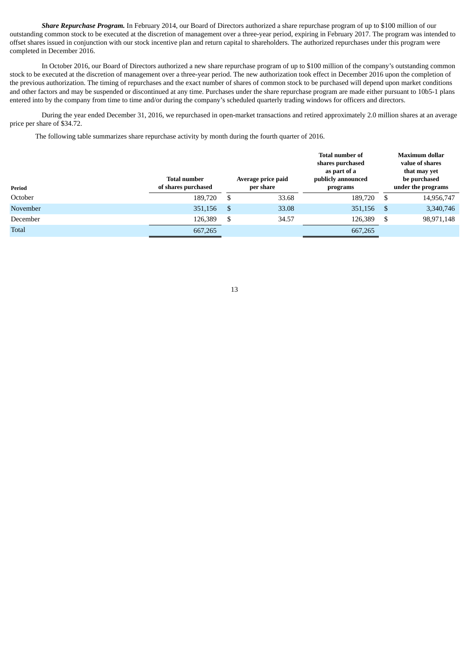*Share Repurchase Program.* In February 2014, our Board of Directors authorized a share repurchase program of up to \$100 million of our outstanding common stock to be executed at the discretion of management over a three-year period, expiring in February 2017. The program was intended to offset shares issued in conjunction with our stock incentive plan and return capital to shareholders. The authorized repurchases under this program were completed in December 2016.

In October 2016, our Board of Directors authorized a new share repurchase program of up to \$100 million of the company's outstanding common stock to be executed at the discretion of management over a three-year period. The new authorization took effect in December 2016 upon the completion of the previous authorization. The timing of repurchases and the exact number of shares of common stock to be purchased will depend upon market conditions and other factors and may be suspended or discontinued at any time. Purchases under the share repurchase program are made either pursuant to 10b5-1 plans entered into by the company from time to time and/or during the company's scheduled quarterly trading windows for officers and directors.

During the year ended December 31, 2016, we repurchased in open-market transactions and retired approximately 2.0 million shares at an average price per share of \$34.72.

The following table summarizes share repurchase activity by month during the fourth quarter of 2016.

| Period       | <b>Total number</b><br>of shares purchased |     | Average price paid<br>per share | <b>Total number of</b><br>shares purchased<br>as part of a<br>publicly announced<br>programs |      | <b>Maximum dollar</b><br>value of shares<br>that may yet<br>be purchased<br>under the programs |
|--------------|--------------------------------------------|-----|---------------------------------|----------------------------------------------------------------------------------------------|------|------------------------------------------------------------------------------------------------|
| October      | 189,720                                    | S   | 33.68                           | 189,720                                                                                      | - \$ | 14,956,747                                                                                     |
| November     | 351,156                                    | -\$ | 33.08                           | 351,156                                                                                      | - \$ | 3,340,746                                                                                      |
| December     | 126,389                                    | \$  | 34.57                           | 126,389                                                                                      | - \$ | 98,971,148                                                                                     |
| <b>Total</b> | 667,265                                    |     |                                 | 667,265                                                                                      |      |                                                                                                |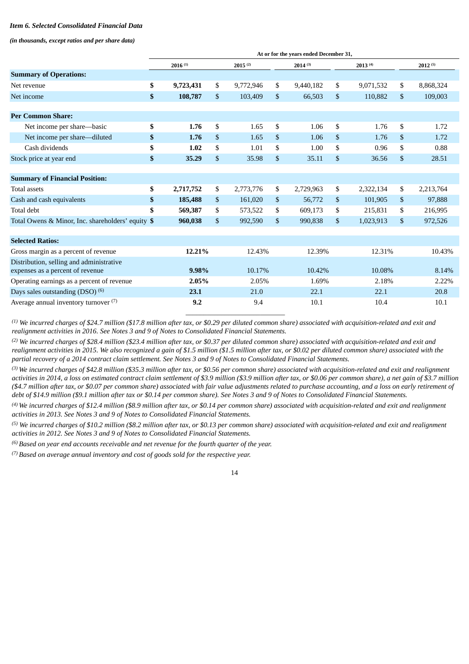#### <span id="page-13-0"></span>*Item 6. Selected Consolidated Financial Data*

*(in thousands, except ratios and per share data)*

|                                                                              | At or for the years ended December 31, |              |      |              |    |              |    |              |              |           |
|------------------------------------------------------------------------------|----------------------------------------|--------------|------|--------------|----|--------------|----|--------------|--------------|-----------|
|                                                                              |                                        | $2016^{(1)}$ |      | $2015^{(2)}$ |    | $2014^{(3)}$ |    | $2013^{(4)}$ |              | 2012(5)   |
| <b>Summary of Operations:</b>                                                |                                        |              |      |              |    |              |    |              |              |           |
| Net revenue                                                                  | \$                                     | 9,723,431    | \$   | 9,772,946    | \$ | 9,440,182    | \$ | 9,071,532    | \$           | 8,868,324 |
| Net income                                                                   | \$                                     | 108,787      | \$   | 103,409      | \$ | 66,503       | \$ | 110,882      | \$           | 109,003   |
| <b>Per Common Share:</b>                                                     |                                        |              |      |              |    |              |    |              |              |           |
| Net income per share—basic                                                   | \$                                     | 1.76         | \$   | 1.65         | \$ | 1.06         | \$ | 1.76         | \$           | 1.72      |
| Net income per share—diluted                                                 | \$                                     | 1.76         | \$   | 1.65         | \$ | 1.06         | \$ | 1.76         | \$           | 1.72      |
| Cash dividends                                                               | \$                                     | 1.02         | \$   | 1.01         | \$ | 1.00         | \$ | 0.96         | \$           | 0.88      |
| Stock price at year end                                                      | \$                                     | 35.29        | \$   | 35.98        | \$ | 35.11        | \$ | 36.56        | $\mathbb{S}$ | 28.51     |
| <b>Summary of Financial Position:</b>                                        |                                        |              |      |              |    |              |    |              |              |           |
| <b>Total assets</b>                                                          | \$                                     | 2,717,752    | \$   | 2,773,776    | \$ | 2,729,963    | \$ | 2,322,134    | \$           | 2,213,764 |
| Cash and cash equivalents                                                    | \$                                     | 185,488      | \$   | 161,020      | \$ | 56,772       | \$ | 101,905      | \$           | 97,888    |
| Total debt                                                                   | \$                                     | 569,387      | \$   | 573,522      | \$ | 609,173      | \$ | 215,831      | \$           | 216,995   |
| Total Owens & Minor, Inc. shareholders' equity \$                            |                                        | 960,038      | $\$$ | 992,590      | \$ | 990,838      | \$ | 1,023,913    | $\mathbb{S}$ | 972,526   |
| <b>Selected Ratios:</b>                                                      |                                        |              |      |              |    |              |    |              |              |           |
| Gross margin as a percent of revenue                                         |                                        | 12.21%       |      | 12.43%       |    | 12.39%       |    | 12.31%       |              | 10.43%    |
| Distribution, selling and administrative<br>expenses as a percent of revenue |                                        | 9.98%        |      | 10.17%       |    | 10.42%       |    | 10.08%       |              | 8.14%     |
| Operating earnings as a percent of revenue                                   |                                        | 2.05%        |      | 2.05%        |    | 1.69%        |    | 2.18%        |              | 2.22%     |
| Days sales outstanding $(DSO)$ <sup><math>(6)</math></sup>                   |                                        | 23.1         |      | 21.0         |    | 22.1         |    | 22.1         |              | 20.8      |
| Average annual inventory turnover (7)                                        |                                        | 9.2          |      | 9.4          |    | 10.1         |    | 10.4         |              | 10.1      |

 $^{(1)}$  We incurred charges of \$24.7 million (\$17.8 million after tax, or \$0.29 per diluted common share) associated with acquisition-related and exit and *realignment activities in 2016. See Notes 3 and 9 of Notes to Consolidated Financial Statements.*

(2) We incurred charges of \$28.4 million (\$23.4 million after tax, or \$0.37 per diluted common share) associated with acquisition-related and exit and realignment activities in 2015. We also recognized a gain of \$1.5 million (\$1.5 million after tax, or \$0.02 per diluted common share) associated with the partial recovery of a 2014 contract claim settlement. See Notes 3 and 9 of Notes to Consolidated Financial Statements.

 $^{(3)}$  We incurred charges of \$42.8 million (\$35.3 million after tax, or \$0.56 per common share) associated with acquisition-related and exit and realignment activities in 2014, a loss on estimated contract claim settlement of \$3.9 million (\$3.9 million after tax, or \$0.06 per common share), a net gain of \$3.7 million (\$4.7 million after tax, or \$0.07 per common share) associated with fair value adjustments related to purchase accounting, and a loss on early retirement of debt of \$14.9 million (\$9.1 million after tax or \$0.14 per common share). See Notes 3 and 9 of Notes to Consolidated Financial Statements.

 $^{(4)}$  We incurred charaes of \$12.4 million (\$8.9 million after tax, or \$0.14 per common share) associated with acquisition-related and exit and realianment *activities in 2013. See Notes 3 and 9 of Notes to Consolidated Financial Statements.*

 $^{(5)}$  We incurred charges of \$10.2 million (\$8.2 million after tax, or \$0.13 per common share) associated with acquisition-related and exit and realignment *activities in 2012. See Notes 3 and 9 of Notes to Consolidated Financial Statements.*

*(6) Based on year end accounts receivable and net revenue for the fourth quarter of the year.*

*(7) Based on average annual inventory and cost of goods sold for the respective year.*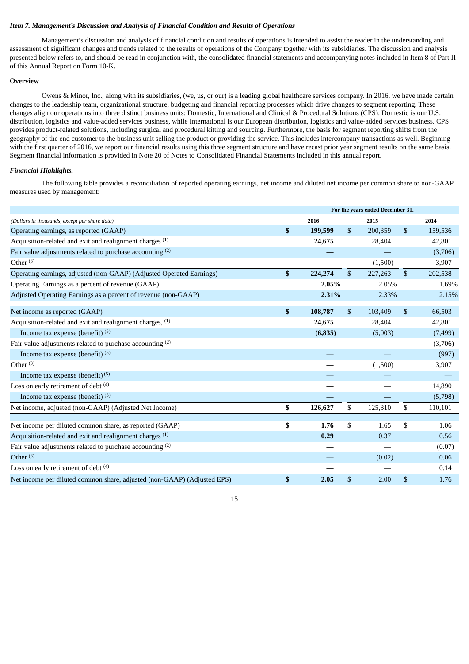### <span id="page-14-0"></span>*Item 7. Management's Discussion and Analysis of Financial Condition and Results of Operations*

Management's discussion and analysis of financial condition and results of operations is intended to assist the reader in the understanding and assessment of significant changes and trends related to the results of operations of the Company together with its subsidiaries. The discussion and analysis presented below refers to, and should be read in conjunction with, the consolidated financial statements and accompanying notes included in Item 8 of Part II of this Annual Report on Form 10-K.

### **Overview**

Owens & Minor, Inc., along with its subsidiaries, (we, us, or our) is a leading global healthcare services company. In 2016, we have made certain changes to the leadership team, organizational structure, budgeting and financial reporting processes which drive changes to segment reporting. These changes align our operations into three distinct business units: Domestic, International and Clinical & Procedural Solutions (CPS). Domestic is our U.S. distribution, logistics and value-added services business, while International is our European distribution, logistics and value-added services business. CPS provides product-related solutions, including surgical and procedural kitting and sourcing. Furthermore, the basis for segment reporting shifts from the geography of the end customer to the business unit selling the product or providing the service. This includes intercompany transactions as well. Beginning with the first quarter of 2016, we report our financial results using this three segment structure and have recast prior year segment results on the same basis. Segment financial information is provided in Note 20 of Notes to Consolidated Financial Statements included in this annual report.

### *Financial Highlights.*

The following table provides a reconciliation of reported operating earnings, net income and diluted net income per common share to non-GAAP measures used by management:

|                                                                         |               | For the years ended December 31, |              |          |
|-------------------------------------------------------------------------|---------------|----------------------------------|--------------|----------|
| (Dollars in thousands, except per share data)                           | 2016          | 2015                             |              | 2014     |
| Operating earnings, as reported (GAAP)                                  | \$<br>199,599 | \$<br>200,359                    | $\mathbb{S}$ | 159,536  |
| Acquisition-related and exit and realignment charges (1)                | 24,675        | 28,404                           |              | 42,801   |
| Fair value adjustments related to purchase accounting (2)               |               |                                  |              | (3,706)  |
| Other $(3)$                                                             |               | (1,500)                          |              | 3,907    |
| Operating earnings, adjusted (non-GAAP) (Adjusted Operated Earnings)    | \$<br>224,274 | \$<br>227,263                    | \$           | 202,538  |
| Operating Earnings as a percent of revenue (GAAP)                       | 2.05%         | 2.05%                            |              | 1.69%    |
| Adjusted Operating Earnings as a percent of revenue (non-GAAP)          | 2.31%         | 2.33%                            |              | 2.15%    |
| Net income as reported (GAAP)                                           | \$<br>108,787 | \$<br>103,409                    | \$           | 66,503   |
| Acquisition-related and exit and realignment charges, (1)               | 24,675        | 28,404                           |              | 42,801   |
| Income tax expense (benefit) (5)                                        | (6, 835)      | (5,003)                          |              | (7, 499) |
| Fair value adjustments related to purchase accounting (2)               |               |                                  |              | (3,706)  |
| Income tax expense (benefit) (5)                                        |               |                                  |              | (997)    |
| Other $(3)$                                                             |               | (1,500)                          |              | 3,907    |
| Income tax expense (benefit) $(5)$                                      |               |                                  |              |          |
| Loss on early retirement of debt (4)                                    |               |                                  |              | 14,890   |
| Income tax expense (benefit) (5)                                        |               |                                  |              | (5,798)  |
| Net income, adjusted (non-GAAP) (Adjusted Net Income)                   | \$<br>126,627 | \$<br>125,310                    | \$           | 110,101  |
| Net income per diluted common share, as reported (GAAP)                 | \$<br>1.76    | \$<br>1.65                       | \$           | 1.06     |
| Acquisition-related and exit and realignment charges (1)                | 0.29          | 0.37                             |              | 0.56     |
| Fair value adjustments related to purchase accounting (2)               |               |                                  |              | (0.07)   |
| Other $(3)$                                                             |               | (0.02)                           |              | 0.06     |
| Loss on early retirement of debt (4)                                    |               |                                  |              | 0.14     |
| Net income per diluted common share, adjusted (non-GAAP) (Adjusted EPS) | \$<br>2.05    | \$<br>2.00                       | $\mathbb{S}$ | 1.76     |

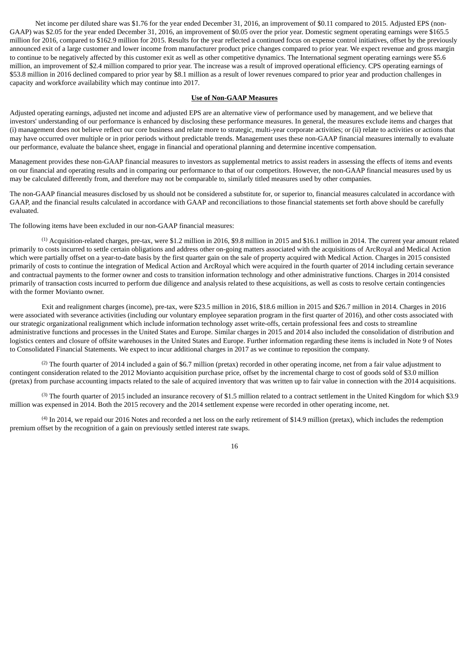Net income per diluted share was \$1.76 for the year ended December 31, 2016, an improvement of \$0.11 compared to 2015. Adjusted EPS (non-GAAP) was \$2.05 for the year ended December 31, 2016, an improvement of \$0.05 over the prior year. Domestic segment operating earnings were \$165.5 million for 2016, compared to \$162.9 million for 2015. Results for the year reflected a continued focus on expense control initiatives, offset by the previously announced exit of a large customer and lower income from manufacturer product price changes compared to prior year. We expect revenue and gross margin to continue to be negatively affected by this customer exit as well as other competitive dynamics. The International segment operating earnings were \$5.6 million, an improvement of \$2.4 million compared to prior year. The increase was a result of improved operational efficiency. CPS operating earnings of \$53.8 million in 2016 declined compared to prior year by \$8.1 million as a result of lower revenues compared to prior year and production challenges in capacity and workforce availability which may continue into 2017.

#### **Use of Non-GAAP Measures**

Adjusted operating earnings, adjusted net income and adjusted EPS are an alternative view of performance used by management, and we believe that investors' understanding of our performance is enhanced by disclosing these performance measures. In general, the measures exclude items and charges that (i) management does not believe reflect our core business and relate more to strategic, multi-year corporate activities; or (ii) relate to activities or actions that may have occurred over multiple or in prior periods without predictable trends. Management uses these non-GAAP financial measures internally to evaluate our performance, evaluate the balance sheet, engage in financial and operational planning and determine incentive compensation.

Management provides these non-GAAP financial measures to investors as supplemental metrics to assist readers in assessing the effects of items and events on our financial and operating results and in comparing our performance to that of our competitors. However, the non-GAAP financial measures used by us may be calculated differently from, and therefore may not be comparable to, similarly titled measures used by other companies.

The non-GAAP financial measures disclosed by us should not be considered a substitute for, or superior to, financial measures calculated in accordance with GAAP, and the financial results calculated in accordance with GAAP and reconciliations to those financial statements set forth above should be carefully evaluated.

The following items have been excluded in our non-GAAP financial measures:

(1) Acquisition-related charges, pre-tax, were \$1.2 million in 2016, \$9.8 million in 2015 and \$16.1 million in 2014. The current year amount related primarily to costs incurred to settle certain obligations and address other on-going matters associated with the acquisitions of ArcRoyal and Medical Action which were partially offset on a year-to-date basis by the first quarter gain on the sale of property acquired with Medical Action. Charges in 2015 consisted primarily of costs to continue the integration of Medical Action and ArcRoyal which were acquired in the fourth quarter of 2014 including certain severance and contractual payments to the former owner and costs to transition information technology and other administrative functions. Charges in 2014 consisted primarily of transaction costs incurred to perform due diligence and analysis related to these acquisitions, as well as costs to resolve certain contingencies with the former Movianto owner.

Exit and realignment charges (income), pre-tax, were \$23.5 million in 2016, \$18.6 million in 2015 and \$26.7 million in 2014. Charges in 2016 were associated with severance activities (including our voluntary employee separation program in the first quarter of 2016), and other costs associated with our strategic organizational realignment which include information technology asset write-offs, certain professional fees and costs to streamline administrative functions and processes in the United States and Europe. Similar charges in 2015 and 2014 also included the consolidation of distribution and logistics centers and closure of offsite warehouses in the United States and Europe. Further information regarding these items is included in Note 9 of Notes to Consolidated Financial Statements. We expect to incur additional charges in 2017 as we continue to reposition the company.

(2) The fourth quarter of 2014 included a gain of \$6.7 million (pretax) recorded in other operating income, net from a fair value adjustment to contingent consideration related to the 2012 Movianto acquisition purchase price, offset by the incremental charge to cost of goods sold of \$3.0 million (pretax) from purchase accounting impacts related to the sale of acquired inventory that was written up to fair value in connection with the 2014 acquisitions.

(3) The fourth quarter of 2015 included an insurance recovery of \$1.5 million related to a contract settlement in the United Kingdom for which \$3.9 million was expensed in 2014. Both the 2015 recovery and the 2014 settlement expense were recorded in other operating income, net.

(4) In 2014, we repaid our 2016 Notes and recorded a net loss on the early retirement of \$14.9 million (pretax), which includes the redemption premium offset by the recognition of a gain on previously settled interest rate swaps.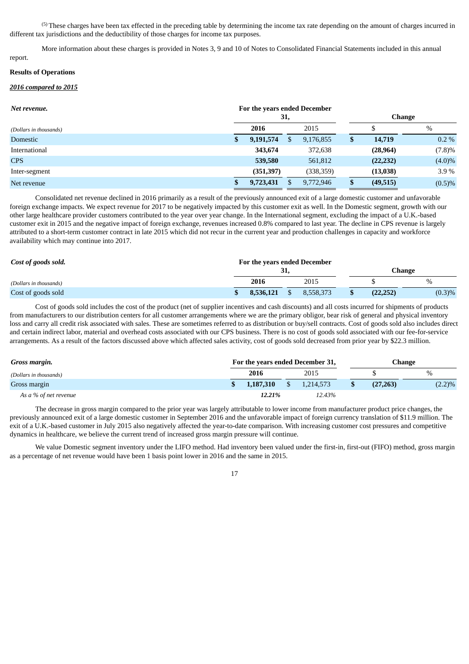<sup>(5)</sup> These charges have been tax effected in the preceding table by determining the income tax rate depending on the amount of charges incurred in different tax jurisdictions and the deductibility of those charges for income tax purposes.

More information about these charges is provided in Notes 3, 9 and 10 of Notes to Consolidated Financial Statements included in this annual report.

### **Results of Operations**

#### *2016 compared to 2015*

| Net revenue.           | For the years ended December | 31, |            | Change |           |           |  |  |
|------------------------|------------------------------|-----|------------|--------|-----------|-----------|--|--|
| (Dollars in thousands) | 2016                         |     | 2015       |        |           | $\%$      |  |  |
| Domestic               | 9,191,574                    | S   | 9,176,855  | Φ      | 14,719    | $0.2\%$   |  |  |
| International          | 343,674                      |     | 372,638    |        | (28, 964) | $(7.8)\%$ |  |  |
| <b>CPS</b>             | 539,580                      |     | 561,812    |        | (22, 232) | $(4.0)\%$ |  |  |
| Inter-segment          | (351, 397)                   |     | (338, 359) |        | (13,038)  | $3.9\%$   |  |  |
| Net revenue            | 9,723,431                    |     | 9,772,946  |        | (49, 515) | $(0.5)\%$ |  |  |

Consolidated net revenue declined in 2016 primarily as a result of the previously announced exit of a large domestic customer and unfavorable foreign exchange impacts. We expect revenue for 2017 to be negatively impacted by this customer exit as well. In the Domestic segment, growth with our other large healthcare provider customers contributed to the year over year change. In the International segment, excluding the impact of a U.K.-based customer exit in 2015 and the negative impact of foreign exchange, revenues increased 0.8% compared to last year. The decline in CPS revenue is largely attributed to a short-term customer contract in late 2015 which did not recur in the current year and production challenges in capacity and workforce availability which may continue into 2017.

| Cost of goods sold.    | For the years ended December |           |  |           |  |           |        |  |
|------------------------|------------------------------|-----------|--|-----------|--|-----------|--------|--|
|                        |                              | 31        |  | Change    |  |           |        |  |
| (Dollars in thousands) |                              | 2016      |  | 2015      |  |           | $\%$   |  |
| Cost of goods sold     |                              | 8,536,121 |  | 8.558.373 |  | (22, 252) | (0.3)% |  |

Cost of goods sold includes the cost of the product (net of supplier incentives and cash discounts) and all costs incurred for shipments of products from manufacturers to our distribution centers for all customer arrangements where we are the primary obligor, bear risk of general and physical inventory loss and carry all credit risk associated with sales. These are sometimes referred to as distribution or buy/sell contracts. Cost of goods sold also includes direct and certain indirect labor, material and overhead costs associated with our CPS business. There is no cost of goods sold associated with our fee-for-service arrangements. As a result of the factors discussed above which affected sales activity, cost of goods sold decreased from prior year by \$22.3 million.

| Gross margin.          | For the years ended December 31, |           |  |           | Change   |           |  |
|------------------------|----------------------------------|-----------|--|-----------|----------|-----------|--|
| (Dollars in thousands) |                                  | 2016      |  | 2015      |          | $\%$      |  |
| Gross margin           |                                  | 1,187,310 |  | 1.214.573 | (27,263) | $(2.2)\%$ |  |
| As a % of net revenue  |                                  | 12.21%    |  | 12.43%    |          |           |  |

The decrease in gross margin compared to the prior year was largely attributable to lower income from manufacturer product price changes, the previously announced exit of a large domestic customer in September 2016 and the unfavorable impact of foreign currency translation of \$11.9 million. The exit of a U.K.-based customer in July 2015 also negatively affected the year-to-date comparison. With increasing customer cost pressures and competitive dynamics in healthcare, we believe the current trend of increased gross margin pressure will continue.

We value Domestic segment inventory under the LIFO method. Had inventory been valued under the first-in, first-out (FIFO) method, gross margin as a percentage of net revenue would have been 1 basis point lower in 2016 and the same in 2015.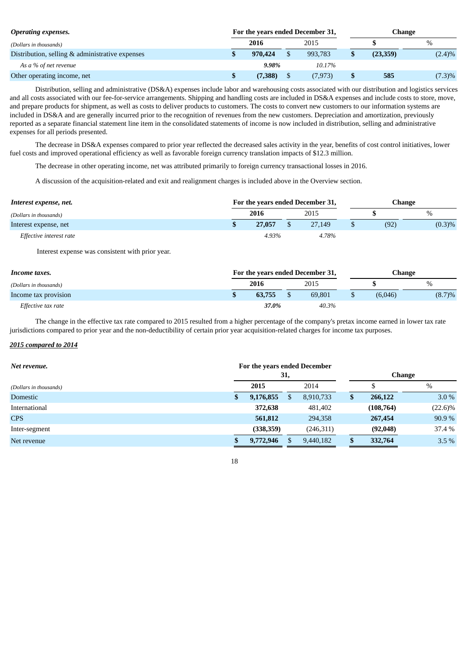| Operating expenses.                             | For the years ended December 31, |  |          |  | Change   |           |  |  |
|-------------------------------------------------|----------------------------------|--|----------|--|----------|-----------|--|--|
| (Dollars in thousands)                          | 2016                             |  | 2015     |  |          | $\%$      |  |  |
| Distribution, selling & administrative expenses | 970.424                          |  | 993.783  |  | (23,359) | $(2.4)\%$ |  |  |
| As a % of net revenue                           | 9.98%                            |  | 10.17%   |  |          |           |  |  |
| Other operating income, net                     | (7, 388)                         |  | (7, 973) |  | 585      | $(7.3)\%$ |  |  |

Distribution, selling and administrative (DS&A) expenses include labor and warehousing costs associated with our distribution and logistics services and all costs associated with our fee-for-service arrangements. Shipping and handling costs are included in DS&A expenses and include costs to store, move, and prepare products for shipment, as well as costs to deliver products to customers. The costs to convert new customers to our information systems are included in DS&A and are generally incurred prior to the recognition of revenues from the new customers. Depreciation and amortization, previously reported as a separate financial statement line item in the consolidated statements of income is now included in distribution, selling and administrative expenses for all periods presented.

The decrease in DS&A expenses compared to prior year reflected the decreased sales activity in the year, benefits of cost control initiatives, lower fuel costs and improved operational efficiency as well as favorable foreign currency translation impacts of \$12.3 million.

The decrease in other operating income, net was attributed primarily to foreign currency transactional losses in 2016.

A discussion of the acquisition-related and exit and realignment charges is included above in the Overview section.

| Interest expense, net.  | For the years ended December 31, |  | Change |  |      |        |  |
|-------------------------|----------------------------------|--|--------|--|------|--------|--|
| (Dollars in thousands)  | 2016                             |  | 2015   |  |      | $\%$   |  |
| Interest expense, net   | 27,057                           |  | 27,149 |  | (92) | (0.3)% |  |
| Effective interest rate | 4.93%                            |  | 4.78%  |  |      |        |  |

Interest expense was consistent with prior year.

| Income taxes.          |        | For the years ended December 31, | $\cap$ hange |         |        |  |
|------------------------|--------|----------------------------------|--------------|---------|--------|--|
| (Dollars in thousands) | 2016   | 2015                             |              |         | $\%$   |  |
| Income tax provision   | 63,755 | 69.801                           |              | (6,046) | (8.7)% |  |
| Effective tax rate     | 37.0%  | 40.3%                            |              |         |        |  |

The change in the effective tax rate compared to 2015 resulted from a higher percentage of the company's pretax income earned in lower tax rate jurisdictions compared to prior year and the non-deductibility of certain prior year acquisition-related charges for income tax purposes.

#### *2015 compared to 2014*

| Net revenue.           | For the years ended December |     |            |        |            |            |
|------------------------|------------------------------|-----|------------|--------|------------|------------|
|                        |                              | 31, |            | Change |            |            |
| (Dollars in thousands) | 2015                         |     | 2014       |        |            | $\%$       |
| Domestic               | 9,176,855                    | S.  | 8,910,733  | m      | 266,122    | $3.0\%$    |
| International          | 372,638                      |     | 481,402    |        | (108, 764) | $(22.6)\%$ |
| <b>CPS</b>             | 561,812                      |     | 294,358    |        | 267,454    | 90.9%      |
| Inter-segment          | (338, 359)                   |     | (246, 311) |        | (92,048)   | 37.4 %     |
| Net revenue            | 9,772,946                    |     | 9,440,182  |        | 332,764    | $3.5\%$    |

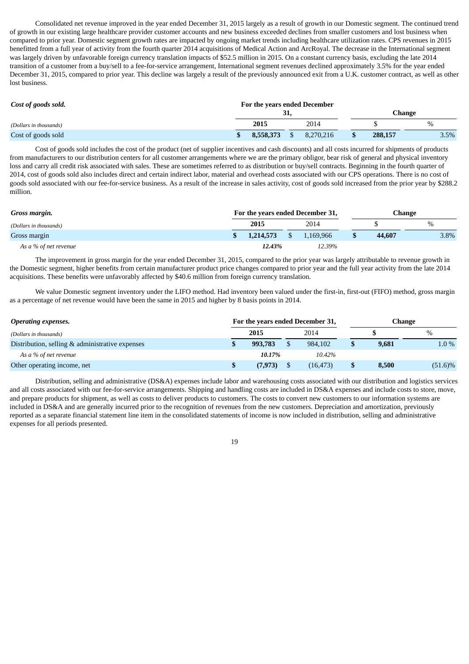Consolidated net revenue improved in the year ended December 31, 2015 largely as a result of growth in our Domestic segment. The continued trend of growth in our existing large healthcare provider customer accounts and new business exceeded declines from smaller customers and lost business when compared to prior year. Domestic segment growth rates are impacted by ongoing market trends including healthcare utilization rates. CPS revenues in 2015 benefitted from a full year of activity from the fourth quarter 2014 acquisitions of Medical Action and ArcRoyal. The decrease in the International segment was largely driven by unfavorable foreign currency translation impacts of \$52.5 million in 2015. On a constant currency basis, excluding the late 2014 transition of a customer from a buy/sell to a fee-for-service arrangement, International segment revenues declined approximately 3.5% for the year ended December 31, 2015, compared to prior year. This decline was largely a result of the previously announced exit from a U.K. customer contract, as well as other lost business.

| Cost of goods sold.    | For the years ended December |     |           |        |         |      |  |  |  |
|------------------------|------------------------------|-----|-----------|--------|---------|------|--|--|--|
|                        |                              | 31. |           | Change |         |      |  |  |  |
| (Dollars in thousands) | 2015                         |     | 2014      |        |         | $\%$ |  |  |  |
| Cost of goods sold     | 8,558,373                    |     | 8.270.216 |        | 288,157 | 3.5% |  |  |  |

Cost of goods sold includes the cost of the product (net of supplier incentives and cash discounts) and all costs incurred for shipments of products from manufacturers to our distribution centers for all customer arrangements where we are the primary obligor, bear risk of general and physical inventory loss and carry all credit risk associated with sales. These are sometimes referred to as distribution or buy/sell contracts. Beginning in the fourth quarter of 2014, cost of goods sold also includes direct and certain indirect labor, material and overhead costs associated with our CPS operations. There is no cost of goods sold associated with our fee-for-service business. As a result of the increase in sales activity, cost of goods sold increased from the prior year by \$288.2 million.

| Gross margin.          | For the years ended December 31, |           | Change |        |      |  |
|------------------------|----------------------------------|-----------|--------|--------|------|--|
| (Dollars in thousands) | 2015                             | 2014      |        |        | $\%$ |  |
| Gross margin           | 1,214,573                        | 1.169.966 |        | 44,607 | 3.8% |  |
| As a % of net revenue  | 12.43%                           | 12.39%    |        |        |      |  |

The improvement in gross margin for the year ended December 31, 2015, compared to the prior year was largely attributable to revenue growth in the Domestic segment, higher benefits from certain manufacturer product price changes compared to prior year and the full year activity from the late 2014 acquisitions. These benefits were unfavorably affected by \$40.6 million from foreign currency translation.

We value Domestic segment inventory under the LIFO method. Had inventory been valued under the first-in, first-out (FIFO) method, gross margin as a percentage of net revenue would have been the same in 2015 and higher by 8 basis points in 2014.

| <b>Operating expenses.</b>                      | For the years ended December 31, |              |  |           |  | Change |            |  |  |
|-------------------------------------------------|----------------------------------|--------------|--|-----------|--|--------|------------|--|--|
| (Dollars in thousands)                          |                                  | 2015<br>2014 |  |           |  |        | $\%$       |  |  |
| Distribution, selling & administrative expenses |                                  | 993,783      |  | 984,102   |  | 9,681  | $1.0\%$    |  |  |
| As a % of net revenue                           |                                  | 10.17%       |  | 10.42%    |  |        |            |  |  |
| Other operating income, net                     |                                  | (7,973)      |  | (16, 473) |  | 8,500  | $(51.6)\%$ |  |  |

Distribution, selling and administrative (DS&A) expenses include labor and warehousing costs associated with our distribution and logistics services and all costs associated with our fee-for-service arrangements. Shipping and handling costs are included in DS&A expenses and include costs to store, move, and prepare products for shipment, as well as costs to deliver products to customers. The costs to convert new customers to our information systems are included in DS&A and are generally incurred prior to the recognition of revenues from the new customers. Depreciation and amortization, previously reported as a separate financial statement line item in the consolidated statements of income is now included in distribution, selling and administrative expenses for all periods presented.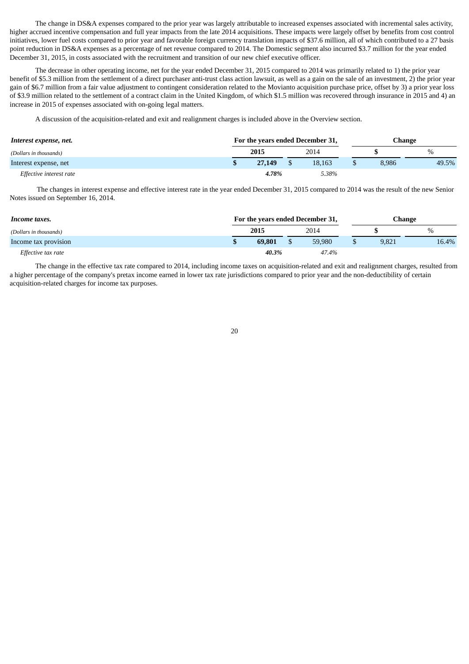The change in DS&A expenses compared to the prior year was largely attributable to increased expenses associated with incremental sales activity, higher accrued incentive compensation and full year impacts from the late 2014 acquisitions. These impacts were largely offset by benefits from cost control initiatives, lower fuel costs compared to prior year and favorable foreign currency translation impacts of \$37.6 million, all of which contributed to a 27 basis point reduction in DS&A expenses as a percentage of net revenue compared to 2014. The Domestic segment also incurred \$3.7 million for the year ended December 31, 2015, in costs associated with the recruitment and transition of our new chief executive officer.

The decrease in other operating income, net for the year ended December 31, 2015 compared to 2014 was primarily related to 1) the prior year benefit of \$5.3 million from the settlement of a direct purchaser anti-trust class action lawsuit, as well as a gain on the sale of an investment, 2) the prior year gain of \$6.7 million from a fair value adjustment to contingent consideration related to the Movianto acquisition purchase price, offset by 3) a prior year loss of \$3.9 million related to the settlement of a contract claim in the United Kingdom, of which \$1.5 million was recovered through insurance in 2015 and 4) an increase in 2015 of expenses associated with on-going legal matters.

A discussion of the acquisition-related and exit and realignment charges is included above in the Overview section.

| Interest expense, net.  |        | For the years ended December 31, | Change |       |       |  |
|-------------------------|--------|----------------------------------|--------|-------|-------|--|
| (Dollars in thousands)  | 2015   | 2014                             |        |       | %     |  |
| Interest expense, net   | 27,149 | 18.163                           |        | 8,986 | 49.5% |  |
| Effective interest rate | 4.78%  | 5.38%                            |        |       |       |  |

The changes in interest expense and effective interest rate in the year ended December 31, 2015 compared to 2014 was the result of the new Senior Notes issued on September 16, 2014.

| Income taxes.          | For the years ended December 31, |        |  |        |  | Change |       |  |  |  |
|------------------------|----------------------------------|--------|--|--------|--|--------|-------|--|--|--|
| (Dollars in thousands) |                                  | 2015   |  | 2014   |  |        | $\%$  |  |  |  |
| Income tax provision   |                                  | 69,801 |  | 59,980 |  | 9.821  | 16.4% |  |  |  |
| Effective tax rate     |                                  | 40.3%  |  | 47.4%  |  |        |       |  |  |  |

The change in the effective tax rate compared to 2014, including income taxes on acquisition-related and exit and realignment charges, resulted from a higher percentage of the company's pretax income earned in lower tax rate jurisdictions compared to prior year and the non-deductibility of certain acquisition-related charges for income tax purposes.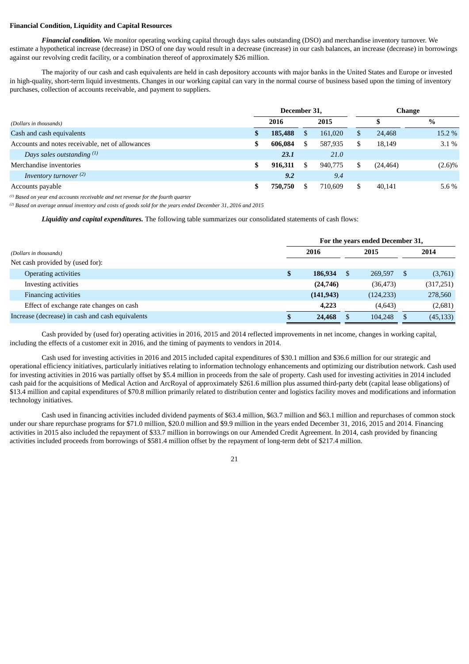#### **Financial Condition, Liquidity and Capital Resources**

*Financial condition.* We monitor operating working capital through days sales outstanding (DSO) and merchandise inventory turnover. We estimate a hypothetical increase (decrease) in DSO of one day would result in a decrease (increase) in our cash balances, an increase (decrease) in borrowings against our revolving credit facility, or a combination thereof of approximately \$26 million.

The majority of our cash and cash equivalents are held in cash depository accounts with major banks in the United States and Europe or invested in high-quality, short-term liquid investments. Changes in our working capital can vary in the normal course of business based upon the timing of inventory purchases, collection of accounts receivable, and payment to suppliers.

|                                                  |  | December 31, |     |         | Change |           |           |  |  |
|--------------------------------------------------|--|--------------|-----|---------|--------|-----------|-----------|--|--|
| (Dollars in thousands)                           |  | 2016         |     | 2015    |        |           | $\%$      |  |  |
| Cash and cash equivalents                        |  | 185,488      | \$. | 161,020 | S      | 24,468    | 15.2 %    |  |  |
| Accounts and notes receivable, net of allowances |  | 606,084      | \$. | 587.935 | \$     | 18,149    | $3.1\%$   |  |  |
| Days sales outstanding $(1)$                     |  | 23.1         |     | 21.0    |        |           |           |  |  |
| Merchandise inventories                          |  | 916,311      | \$. | 940,775 | \$     | (24, 464) | $(2.6)\%$ |  |  |
| Inventory turnover $(2)$                         |  | 9.2          |     | 9.4     |        |           |           |  |  |
| Accounts payable                                 |  | 750,750      |     | 710,609 |        | 40.141    | $5.6\%$   |  |  |

*(1) Based on year end accounts receivable and net revenue for the fourth quarter*

(2) Based on average annual inventory and costs of goods sold for the years ended December 31, 2016 and 2015

*Liquidity and capital expenditures.* The following table summarizes our consolidated statements of cash flows:

|                                                  | For the years ended December 31, |            |      |            |   |            |  |  |
|--------------------------------------------------|----------------------------------|------------|------|------------|---|------------|--|--|
| (Dollars in thousands)                           |                                  | 2016       |      | 2015       |   | 2014       |  |  |
| Net cash provided by (used for):                 |                                  |            |      |            |   |            |  |  |
| <b>Operating activities</b>                      | S                                | 186,934    | - \$ | 269,597    | S | (3,761)    |  |  |
| Investing activities                             |                                  | (24,746)   |      | (36, 473)  |   | (317, 251) |  |  |
| <b>Financing activities</b>                      |                                  | (141, 943) |      | (124, 233) |   | 278,560    |  |  |
| Effect of exchange rate changes on cash          |                                  | 4,223      |      | (4,643)    |   | (2,681)    |  |  |
| Increase (decrease) in cash and cash equivalents |                                  | 24,468     |      | 104.248    |   | (45, 133)  |  |  |

Cash provided by (used for) operating activities in 2016, 2015 and 2014 reflected improvements in net income, changes in working capital, including the effects of a customer exit in 2016, and the timing of payments to vendors in 2014.

Cash used for investing activities in 2016 and 2015 included capital expenditures of \$30.1 million and \$36.6 million for our strategic and operational efficiency initiatives, particularly initiatives relating to information technology enhancements and optimizing our distribution network. Cash used for investing activities in 2016 was partially offset by \$5.4 million in proceeds from the sale of property. Cash used for investing activities in 2014 included cash paid for the acquisitions of Medical Action and ArcRoyal of approximately \$261.6 million plus assumed third-party debt (capital lease obligations) of \$13.4 million and capital expenditures of \$70.8 million primarily related to distribution center and logistics facility moves and modifications and information technology initiatives.

Cash used in financing activities included dividend payments of \$63.4 million, \$63.7 million and \$63.1 million and repurchases of common stock under our share repurchase programs for \$71.0 million, \$20.0 million and \$9.9 million in the years ended December 31, 2016, 2015 and 2014. Financing activities in 2015 also included the repayment of \$33.7 million in borrowings on our Amended Credit Agreement. In 2014, cash provided by financing activities included proceeds from borrowings of \$581.4 million offset by the repayment of long-term debt of \$217.4 million.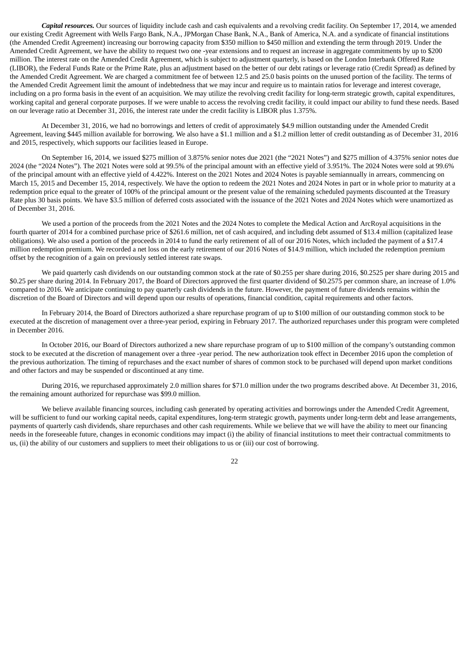*Capital resources.* Our sources of liquidity include cash and cash equivalents and a revolving credit facility. On September 17, 2014, we amended our existing Credit Agreement with Wells Fargo Bank, N.A., JPMorgan Chase Bank, N.A., Bank of America, N.A. and a syndicate of financial institutions (the Amended Credit Agreement) increasing our borrowing capacity from \$350 million to \$450 million and extending the term through 2019. Under the Amended Credit Agreement, we have the ability to request two one -year extensions and to request an increase in aggregate commitments by up to \$200 million. The interest rate on the Amended Credit Agreement, which is subject to adjustment quarterly, is based on the London Interbank Offered Rate (LIBOR), the Federal Funds Rate or the Prime Rate, plus an adjustment based on the better of our debt ratings or leverage ratio (Credit Spread) as defined by the Amended Credit Agreement. We are charged a commitment fee of between 12.5 and 25.0 basis points on the unused portion of the facility. The terms of the Amended Credit Agreement limit the amount of indebtedness that we may incur and require us to maintain ratios for leverage and interest coverage, including on a pro forma basis in the event of an acquisition. We may utilize the revolving credit facility for long-term strategic growth, capital expenditures, working capital and general corporate purposes. If we were unable to access the revolving credit facility, it could impact our ability to fund these needs. Based on our leverage ratio at December 31, 2016, the interest rate under the credit facility is LIBOR plus 1.375%.

At December 31, 2016, we had no borrowings and letters of credit of approximately \$4.9 million outstanding under the Amended Credit Agreement, leaving \$445 million available for borrowing. We also have a \$1.1 million and a \$1.2 million letter of credit outstanding as of December 31, 2016 and 2015, respectively, which supports our facilities leased in Europe.

On September 16, 2014, we issued \$275 million of 3.875% senior notes due 2021 (the "2021 Notes") and \$275 million of 4.375% senior notes due 2024 (the "2024 Notes"). The 2021 Notes were sold at 99.5% of the principal amount with an effective yield of 3.951%. The 2024 Notes were sold at 99.6% of the principal amount with an effective yield of 4.422%. Interest on the 2021 Notes and 2024 Notes is payable semiannually in arrears, commencing on March 15, 2015 and December 15, 2014, respectively. We have the option to redeem the 2021 Notes and 2024 Notes in part or in whole prior to maturity at a redemption price equal to the greater of 100% of the principal amount or the present value of the remaining scheduled payments discounted at the Treasury Rate plus 30 basis points. We have \$3.5 million of deferred costs associated with the issuance of the 2021 Notes and 2024 Notes which were unamortized as of December 31, 2016.

We used a portion of the proceeds from the 2021 Notes and the 2024 Notes to complete the Medical Action and ArcRoyal acquisitions in the fourth quarter of 2014 for a combined purchase price of \$261.6 million, net of cash acquired, and including debt assumed of \$13.4 million (capitalized lease obligations). We also used a portion of the proceeds in 2014 to fund the early retirement of all of our 2016 Notes, which included the payment of a \$17.4 million redemption premium. We recorded a net loss on the early retirement of our 2016 Notes of \$14.9 million, which included the redemption premium offset by the recognition of a gain on previously settled interest rate swaps.

We paid quarterly cash dividends on our outstanding common stock at the rate of \$0.255 per share during 2016, \$0.2525 per share during 2015 and \$0.25 per share during 2014. In February 2017, the Board of Directors approved the first quarter dividend of \$0.2575 per common share, an increase of 1.0% compared to 2016. We anticipate continuing to pay quarterly cash dividends in the future. However, the payment of future dividends remains within the discretion of the Board of Directors and will depend upon our results of operations, financial condition, capital requirements and other factors.

In February 2014, the Board of Directors authorized a share repurchase program of up to \$100 million of our outstanding common stock to be executed at the discretion of management over a three-year period, expiring in February 2017. The authorized repurchases under this program were completed in December 2016.

In October 2016, our Board of Directors authorized a new share repurchase program of up to \$100 million of the company's outstanding common stock to be executed at the discretion of management over a three -year period. The new authorization took effect in December 2016 upon the completion of the previous authorization. The timing of repurchases and the exact number of shares of common stock to be purchased will depend upon market conditions and other factors and may be suspended or discontinued at any time.

During 2016, we repurchased approximately 2.0 million shares for \$71.0 million under the two programs described above. At December 31, 2016, the remaining amount authorized for repurchase was \$99.0 million.

We believe available financing sources, including cash generated by operating activities and borrowings under the Amended Credit Agreement, will be sufficient to fund our working capital needs, capital expenditures, long-term strategic growth, payments under long-term debt and lease arrangements, payments of quarterly cash dividends, share repurchases and other cash requirements. While we believe that we will have the ability to meet our financing needs in the foreseeable future, changes in economic conditions may impact (i) the ability of financial institutions to meet their contractual commitments to us, (ii) the ability of our customers and suppliers to meet their obligations to us or (iii) our cost of borrowing.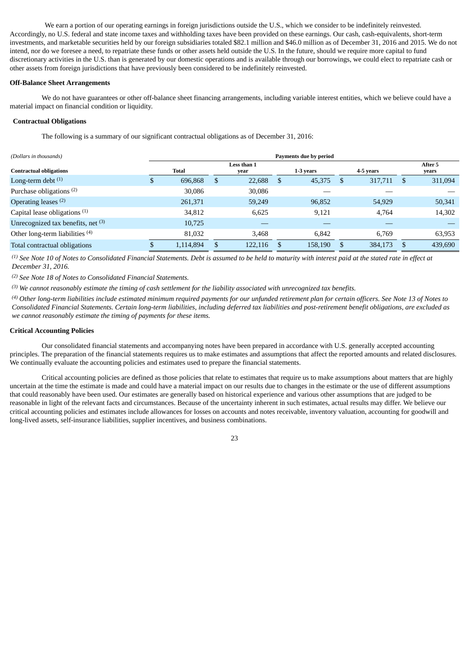We earn a portion of our operating earnings in foreign jurisdictions outside the U.S., which we consider to be indefinitely reinvested. Accordingly, no U.S. federal and state income taxes and withholding taxes have been provided on these earnings. Our cash, cash-equivalents, short-term investments, and marketable securities held by our foreign subsidiaries totaled \$82.1 million and \$46.0 million as of December 31, 2016 and 2015. We do not intend, nor do we foresee a need, to repatriate these funds or other assets held outside the U.S. In the future, should we require more capital to fund discretionary activities in the U.S. than is generated by our domestic operations and is available through our borrowings, we could elect to repatriate cash or other assets from foreign jurisdictions that have previously been considered to be indefinitely reinvested.

#### **Off-Balance Sheet Arrangements**

We do not have guarantees or other off-balance sheet financing arrangements, including variable interest entities, which we believe could have a material impact on financial condition or liquidity.

### **Contractual Obligations**

The following is a summary of our significant contractual obligations as of December 31, 2016:

| (Dollars in thousands)              | Payments due by period |           |               |                     |               |           |               |           |     |                  |
|-------------------------------------|------------------------|-----------|---------------|---------------------|---------------|-----------|---------------|-----------|-----|------------------|
| <b>Contractual obligations</b>      |                        | Total     |               | Less than 1<br>year |               | 1-3 years |               | 4-5 years |     | After 5<br>years |
| Long-term debt $(1)$                |                        | 696,868   | <sup>\$</sup> | 22,688              | <sup>\$</sup> | 45,375    | <sup>\$</sup> | 317,711   | -\$ | 311,094          |
| Purchase obligations <sup>(2)</sup> |                        | 30,086    |               | 30,086              |               |           |               |           |     |                  |
| Operating leases <sup>(2)</sup>     |                        | 261,371   |               | 59,249              |               | 96,852    |               | 54,929    |     | 50,341           |
| Capital lease obligations $(1)$     |                        | 34,812    |               | 6,625               |               | 9,121     |               | 4.764     |     | 14,302           |
| Unrecognized tax benefits, net (3)  |                        | 10,725    |               |                     |               |           |               |           |     |                  |
| Other long-term liabilities (4)     |                        | 81,032    |               | 3,468               |               | 6,842     |               | 6,769     |     | 63,953           |
| Total contractual obligations       |                        | 1,114,894 | \$            | 122,116             |               | 158,190   |               | 384,173   |     | 439,690          |

<sup>(1)</sup> See Note 10 of Notes to Consolidated Financial Statements. Debt is assumed to be held to maturity with interest paid at the stated rate in effect at *December 31, 2016.*

*(2) See Note 18 of Notes to Consolidated Financial Statements.*

(3) We cannot reasonably estimate the timing of cash settlement for the liability associated with unrecognized tax benefits.

(4) Other long-term liabilities include estimated minimum required payments for our unfunded retirement plan for certain officers. See Note 13 of Notes to Consolidated Financial Statements. Certain long-term liabilities, including deferred tax liabilities and post-retirement benefit obligations, are excluded as *we cannot reasonably estimate the timing of payments for these items.*

#### **Critical Accounting Policies**

Our consolidated financial statements and accompanying notes have been prepared in accordance with U.S. generally accepted accounting principles. The preparation of the financial statements requires us to make estimates and assumptions that affect the reported amounts and related disclosures. We continually evaluate the accounting policies and estimates used to prepare the financial statements.

Critical accounting policies are defined as those policies that relate to estimates that require us to make assumptions about matters that are highly uncertain at the time the estimate is made and could have a material impact on our results due to changes in the estimate or the use of different assumptions that could reasonably have been used. Our estimates are generally based on historical experience and various other assumptions that are judged to be reasonable in light of the relevant facts and circumstances. Because of the uncertainty inherent in such estimates, actual results may differ. We believe our critical accounting policies and estimates include allowances for losses on accounts and notes receivable, inventory valuation, accounting for goodwill and long-lived assets, self-insurance liabilities, supplier incentives, and business combinations.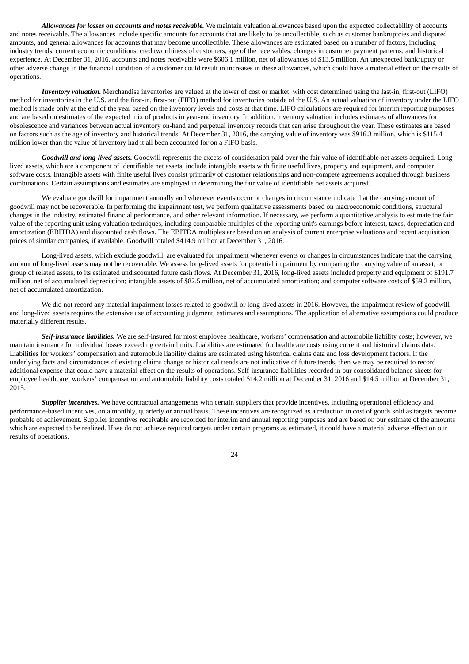*Allowances for losses on accounts and notes receivable.* We maintain valuation allowances based upon the expected collectability of accounts and notes receivable. The allowances include specific amounts for accounts that are likely to be uncollectible, such as customer bankruptcies and disputed amounts, and general allowances for accounts that may become uncollectible. These allowances are estimated based on a number of factors, including industry trends, current economic conditions, creditworthiness of customers, age of the receivables, changes in customer payment patterns, and historical experience. At December 31, 2016, accounts and notes receivable were \$606.1 million, net of allowances of \$13.5 million. An unexpected bankruptcy or other adverse change in the financial condition of a customer could result in increases in these allowances, which could have a material effect on the results of operations.

*Inventory valuation.* Merchandise inventories are valued at the lower of cost or market, with cost determined using the last-in, first-out (LIFO) method for inventories in the U.S. and the first-in, first-out (FIFO) method for inventories outside of the U.S. An actual valuation of inventory under the LIFO method is made only at the end of the year based on the inventory levels and costs at that time. LIFO calculations are required for interim reporting purposes and are based on estimates of the expected mix of products in year-end inventory. In addition, inventory valuation includes estimates of allowances for obsolescence and variances between actual inventory on-hand and perpetual inventory records that can arise throughout the year. These estimates are based on factors such as the age of inventory and historical trends. At December 31, 2016, the carrying value of inventory was \$916.3 million, which is \$115.4 million lower than the value of inventory had it all been accounted for on a FIFO basis.

*Goodwill and long-lived assets.* Goodwill represents the excess of consideration paid over the fair value of identifiable net assets acquired. Longlived assets, which are a component of identifiable net assets, include intangible assets with finite useful lives, property and equipment, and computer software costs. Intangible assets with finite useful lives consist primarily of customer relationships and non-compete agreements acquired through business combinations. Certain assumptions and estimates are employed in determining the fair value of identifiable net assets acquired.

We evaluate goodwill for impairment annually and whenever events occur or changes in circumstance indicate that the carrying amount of goodwill may not be recoverable. In performing the impairment test, we perform qualitative assessments based on macroeconomic conditions, structural changes in the industry, estimated financial performance, and other relevant information. If necessary, we perform a quantitative analysis to estimate the fair value of the reporting unit using valuation techniques, including comparable multiples of the reporting unit's earnings before interest, taxes, depreciation and amortization (EBITDA) and discounted cash flows. The EBITDA multiples are based on an analysis of current enterprise valuations and recent acquisition prices of similar companies, if available. Goodwill totaled \$414.9 million at December 31, 2016.

Long-lived assets, which exclude goodwill, are evaluated for impairment whenever events or changes in circumstances indicate that the carrying amount of long-lived assets may not be recoverable. We assess long-lived assets for potential impairment by comparing the carrying value of an asset, or group of related assets, to its estimated undiscounted future cash flows. At December 31, 2016, long-lived assets included property and equipment of \$191.7 million, net of accumulated depreciation; intangible assets of \$82.5 million, net of accumulated amortization; and computer software costs of \$59.2 million, net of accumulated amortization.

We did not record any material impairment losses related to goodwill or long-lived assets in 2016. However, the impairment review of goodwill and long-lived assets requires the extensive use of accounting judgment, estimates and assumptions. The application of alternative assumptions could produce materially different results.

*Self-insurance liabilities.* We are self-insured for most employee healthcare, workers' compensation and automobile liability costs; however, we maintain insurance for individual losses exceeding certain limits. Liabilities are estimated for healthcare costs using current and historical claims data. Liabilities for workers' compensation and automobile liability claims are estimated using historical claims data and loss development factors. If the underlying facts and circumstances of existing claims change or historical trends are not indicative of future trends, then we may be required to record additional expense that could have a material effect on the results of operations. Self-insurance liabilities recorded in our consolidated balance sheets for employee healthcare, workers' compensation and automobile liability costs totaled \$14.2 million at December 31, 2016 and \$14.5 million at December 31, 2015.

*Supplier incentives.* We have contractual arrangements with certain suppliers that provide incentives, including operational efficiency and performance-based incentives, on a monthly, quarterly or annual basis. These incentives are recognized as a reduction in cost of goods sold as targets become probable of achievement. Supplier incentives receivable are recorded for interim and annual reporting purposes and are based on our estimate of the amounts which are expected to be realized. If we do not achieve required targets under certain programs as estimated, it could have a material adverse effect on our results of operations.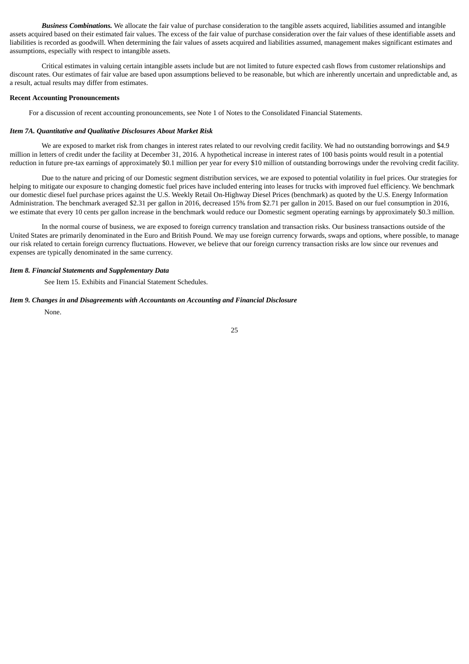*Business Combinations.* We allocate the fair value of purchase consideration to the tangible assets acquired, liabilities assumed and intangible assets acquired based on their estimated fair values. The excess of the fair value of purchase consideration over the fair values of these identifiable assets and liabilities is recorded as goodwill. When determining the fair values of assets acquired and liabilities assumed, management makes significant estimates and assumptions, especially with respect to intangible assets.

Critical estimates in valuing certain intangible assets include but are not limited to future expected cash flows from customer relationships and discount rates. Our estimates of fair value are based upon assumptions believed to be reasonable, but which are inherently uncertain and unpredictable and, as a result, actual results may differ from estimates.

#### **Recent Accounting Pronouncements**

For a discussion of recent accounting pronouncements, see Note 1 of Notes to the Consolidated Financial Statements.

#### <span id="page-24-0"></span>*Item 7A. Quantitative and Qualitative Disclosures About Market Risk*

We are exposed to market risk from changes in interest rates related to our revolving credit facility. We had no outstanding borrowings and \$4.9 million in letters of credit under the facility at December 31, 2016. A hypothetical increase in interest rates of 100 basis points would result in a potential reduction in future pre-tax earnings of approximately \$0.1 million per year for every \$10 million of outstanding borrowings under the revolving credit facility.

Due to the nature and pricing of our Domestic segment distribution services, we are exposed to potential volatility in fuel prices. Our strategies for helping to mitigate our exposure to changing domestic fuel prices have included entering into leases for trucks with improved fuel efficiency. We benchmark our domestic diesel fuel purchase prices against the U.S. Weekly Retail On-Highway Diesel Prices (benchmark) as quoted by the U.S. Energy Information Administration. The benchmark averaged \$2.31 per gallon in 2016, decreased 15% from \$2.71 per gallon in 2015. Based on our fuel consumption in 2016, we estimate that every 10 cents per gallon increase in the benchmark would reduce our Domestic segment operating earnings by approximately \$0.3 million.

In the normal course of business, we are exposed to foreign currency translation and transaction risks. Our business transactions outside of the United States are primarily denominated in the Euro and British Pound. We may use foreign currency forwards, swaps and options, where possible, to manage our risk related to certain foreign currency fluctuations. However, we believe that our foreign currency transaction risks are low since our revenues and expenses are typically denominated in the same currency.

#### <span id="page-24-1"></span>*Item 8. Financial Statements and Supplementary Data*

See Item 15. Exhibits and Financial Statement Schedules.

#### <span id="page-24-2"></span>*Item 9. Changes in and Disagreements with Accountants on Accounting and Financial Disclosure*

None.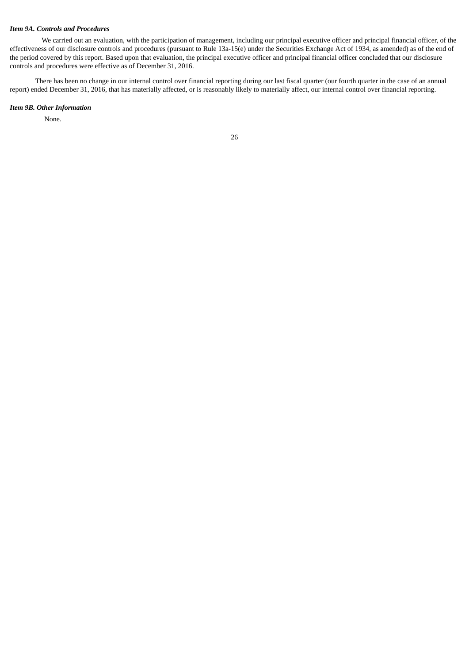#### <span id="page-25-0"></span>*Item 9A. Controls and Procedures*

We carried out an evaluation, with the participation of management, including our principal executive officer and principal financial officer, of the effectiveness of our disclosure controls and procedures (pursuant to Rule 13a-15(e) under the Securities Exchange Act of 1934, as amended) as of the end of the period covered by this report. Based upon that evaluation, the principal executive officer and principal financial officer concluded that our disclosure controls and procedures were effective as of December 31, 2016.

There has been no change in our internal control over financial reporting during our last fiscal quarter (our fourth quarter in the case of an annual report) ended December 31, 2016, that has materially affected, or is reasonably likely to materially affect, our internal control over financial reporting.

### <span id="page-25-1"></span>*Item 9B. Other Information*

None.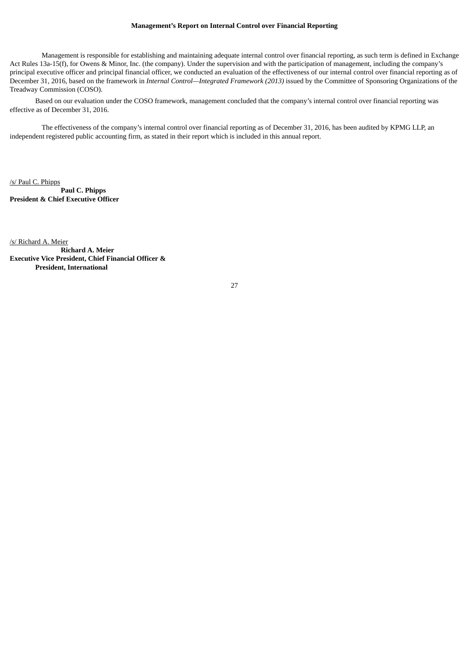#### **Management's Report on Internal Control over Financial Reporting**

<span id="page-26-0"></span>Management is responsible for establishing and maintaining adequate internal control over financial reporting, as such term is defined in Exchange Act Rules 13a-15(f), for Owens & Minor, Inc. (the company). Under the supervision and with the participation of management, including the company's principal executive officer and principal financial officer, we conducted an evaluation of the effectiveness of our internal control over financial reporting as of December 31, 2016, based on the framework in *Internal Control—Integrated Framework (2013)* issued by the Committee of Sponsoring Organizations of the Treadway Commission (COSO).

Based on our evaluation under the COSO framework, management concluded that the company's internal control over financial reporting was effective as of December 31, 2016.

The effectiveness of the company's internal control over financial reporting as of December 31, 2016, has been audited by KPMG LLP, an independent registered public accounting firm, as stated in their report which is included in this annual report.

/s/ Paul C. Phipps **Paul C. Phipps President & Chief Executive Officer**

/s/ Richard A. Meier

**Richard A. Meier Executive Vice President, Chief Financial Officer & President, International**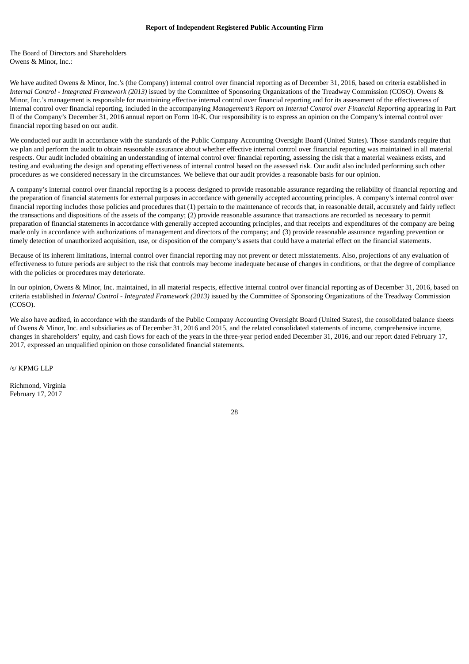<span id="page-27-0"></span>The Board of Directors and Shareholders Owens & Minor, Inc.:

We have audited Owens & Minor, Inc.'s (the Company) internal control over financial reporting as of December 31, 2016, based on criteria established in *Internal Control - Integrated Framework (2013)* issued by the Committee of Sponsoring Organizations of the Treadway Commission (COSO). Owens & Minor, Inc.'s management is responsible for maintaining effective internal control over financial reporting and for its assessment of the effectiveness of internal control over financial reporting, included in the accompanying *Management's Report on Internal Control over Financial Reporting* appearing in Part II of the Company's December 31, 2016 annual report on Form 10-K. Our responsibility is to express an opinion on the Company's internal control over financial reporting based on our audit.

We conducted our audit in accordance with the standards of the Public Company Accounting Oversight Board (United States). Those standards require that we plan and perform the audit to obtain reasonable assurance about whether effective internal control over financial reporting was maintained in all material respects. Our audit included obtaining an understanding of internal control over financial reporting, assessing the risk that a material weakness exists, and testing and evaluating the design and operating effectiveness of internal control based on the assessed risk. Our audit also included performing such other procedures as we considered necessary in the circumstances. We believe that our audit provides a reasonable basis for our opinion.

A company's internal control over financial reporting is a process designed to provide reasonable assurance regarding the reliability of financial reporting and the preparation of financial statements for external purposes in accordance with generally accepted accounting principles. A company's internal control over financial reporting includes those policies and procedures that (1) pertain to the maintenance of records that, in reasonable detail, accurately and fairly reflect the transactions and dispositions of the assets of the company; (2) provide reasonable assurance that transactions are recorded as necessary to permit preparation of financial statements in accordance with generally accepted accounting principles, and that receipts and expenditures of the company are being made only in accordance with authorizations of management and directors of the company; and (3) provide reasonable assurance regarding prevention or timely detection of unauthorized acquisition, use, or disposition of the company's assets that could have a material effect on the financial statements.

Because of its inherent limitations, internal control over financial reporting may not prevent or detect misstatements. Also, projections of any evaluation of effectiveness to future periods are subject to the risk that controls may become inadequate because of changes in conditions, or that the degree of compliance with the policies or procedures may deteriorate.

In our opinion, Owens & Minor, Inc. maintained, in all material respects, effective internal control over financial reporting as of December 31, 2016, based on criteria established in *Internal Control - Integrated Framework (2013)* issued by the Committee of Sponsoring Organizations of the Treadway Commission (COSO).

We also have audited, in accordance with the standards of the Public Company Accounting Oversight Board (United States), the consolidated balance sheets of Owens & Minor, Inc. and subsidiaries as of December 31, 2016 and 2015, and the related consolidated statements of income, comprehensive income, changes in shareholders' equity, and cash flows for each of the years in the three-year period ended December 31, 2016, and our report dated February 17, 2017, expressed an unqualified opinion on those consolidated financial statements.

/s/ KPMG LLP

Richmond, Virginia February 17, 2017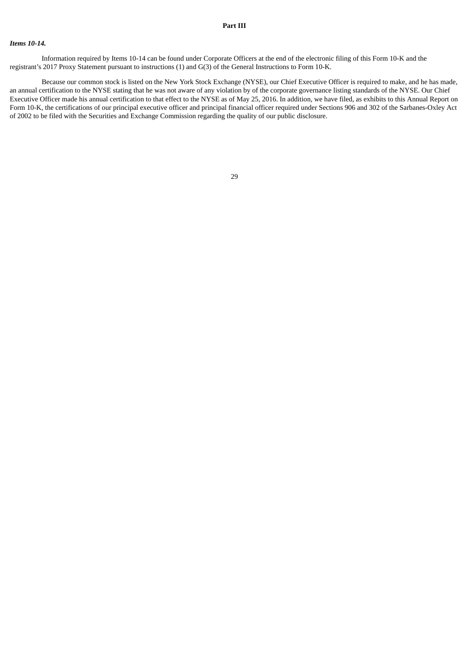#### <span id="page-28-1"></span><span id="page-28-0"></span>*Items 10-14.*

Information required by Items 10-14 can be found under Corporate Officers at the end of the electronic filing of this Form 10-K and the registrant's 2017 Proxy Statement pursuant to instructions (1) and G(3) of the General Instructions to Form 10-K.

<span id="page-28-6"></span><span id="page-28-5"></span><span id="page-28-4"></span><span id="page-28-3"></span><span id="page-28-2"></span>Because our common stock is listed on the New York Stock Exchange (NYSE), our Chief Executive Officer is required to make, and he has made, an annual certification to the NYSE stating that he was not aware of any violation by of the corporate governance listing standards of the NYSE. Our Chief Executive Officer made his annual certification to that effect to the NYSE as of May 25, 2016. In addition, we have filed, as exhibits to this Annual Report on Form 10-K, the certifications of our principal executive officer and principal financial officer required under Sections 906 and 302 of the Sarbanes-Oxley Act of 2002 to be filed with the Securities and Exchange Commission regarding the quality of our public disclosure.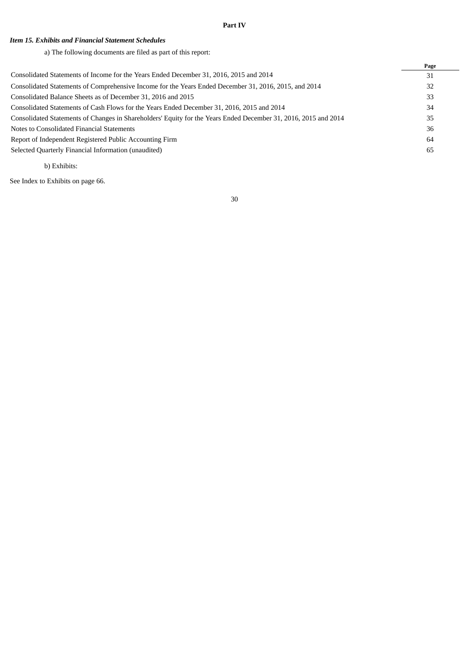### **Part IV**

# <span id="page-29-1"></span><span id="page-29-0"></span>*Item 15. Exhibits and Financial Statement Schedules*

a) The following documents are filed as part of this report:

|                                                                                                                 | Page |
|-----------------------------------------------------------------------------------------------------------------|------|
| Consolidated Statements of Income for the Years Ended December 31, 2016, 2015 and 2014                          | 31   |
| Consolidated Statements of Comprehensive Income for the Years Ended December 31, 2016, 2015, and 2014           | 32   |
| Consolidated Balance Sheets as of December 31, 2016 and 2015                                                    | 33   |
| Consolidated Statements of Cash Flows for the Years Ended December 31, 2016, 2015 and 2014                      | 34   |
| Consolidated Statements of Changes in Shareholders' Equity for the Years Ended December 31, 2016, 2015 and 2014 | 35   |
| Notes to Consolidated Financial Statements                                                                      | 36   |
| Report of Independent Registered Public Accounting Firm                                                         | 64   |
| Selected Quarterly Financial Information (unaudited)                                                            | 65   |
|                                                                                                                 |      |

b) Exhibits:

See Index to Exhibits on page 66.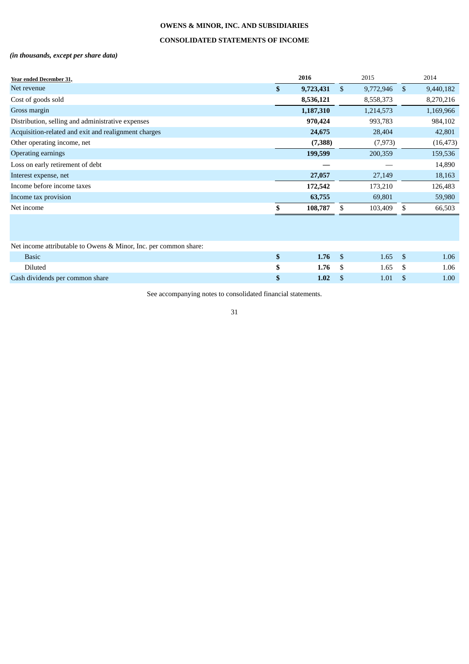# **CONSOLIDATED STATEMENTS OF INCOME**

# <span id="page-30-0"></span>*(in thousands, except per share data)*

| $\mathbf{s}$<br>$\mathfrak{S}$<br>$\mathbb{S}$<br>Net revenue<br>9,723,431<br>9,772,946<br>Cost of goods sold<br>8,536,121<br>8,558,373<br>Gross margin<br>1,187,310<br>1,214,573<br>Distribution, selling and administrative expenses<br>970,424<br>993,783<br>Acquisition-related and exit and realignment charges<br>24,675<br>28,404<br>42,801<br>Other operating income, net<br>(7, 388)<br>(7, 973)<br>Operating earnings<br>199,599<br>200,359<br>Loss on early retirement of debt<br>27,057<br>27,149<br>Interest expense, net<br>Income before income taxes<br>172,542<br>173,210<br>63,755<br>69,801<br>Income tax provision<br>Net income<br>\$<br>\$<br>\$<br>108,787<br>103,409<br>66,503 | Year ended December 31, | 2016 | 2015 | 2014      |
|--------------------------------------------------------------------------------------------------------------------------------------------------------------------------------------------------------------------------------------------------------------------------------------------------------------------------------------------------------------------------------------------------------------------------------------------------------------------------------------------------------------------------------------------------------------------------------------------------------------------------------------------------------------------------------------------------------|-------------------------|------|------|-----------|
|                                                                                                                                                                                                                                                                                                                                                                                                                                                                                                                                                                                                                                                                                                        |                         |      |      | 9,440,182 |
|                                                                                                                                                                                                                                                                                                                                                                                                                                                                                                                                                                                                                                                                                                        |                         |      |      | 8,270,216 |
|                                                                                                                                                                                                                                                                                                                                                                                                                                                                                                                                                                                                                                                                                                        |                         |      |      | 1,169,966 |
|                                                                                                                                                                                                                                                                                                                                                                                                                                                                                                                                                                                                                                                                                                        |                         |      |      | 984,102   |
|                                                                                                                                                                                                                                                                                                                                                                                                                                                                                                                                                                                                                                                                                                        |                         |      |      |           |
|                                                                                                                                                                                                                                                                                                                                                                                                                                                                                                                                                                                                                                                                                                        |                         |      |      | (16, 473) |
|                                                                                                                                                                                                                                                                                                                                                                                                                                                                                                                                                                                                                                                                                                        |                         |      |      | 159,536   |
|                                                                                                                                                                                                                                                                                                                                                                                                                                                                                                                                                                                                                                                                                                        |                         |      |      | 14,890    |
|                                                                                                                                                                                                                                                                                                                                                                                                                                                                                                                                                                                                                                                                                                        |                         |      |      | 18,163    |
|                                                                                                                                                                                                                                                                                                                                                                                                                                                                                                                                                                                                                                                                                                        |                         |      |      | 126,483   |
|                                                                                                                                                                                                                                                                                                                                                                                                                                                                                                                                                                                                                                                                                                        |                         |      |      | 59,980    |
|                                                                                                                                                                                                                                                                                                                                                                                                                                                                                                                                                                                                                                                                                                        |                         |      |      |           |
|                                                                                                                                                                                                                                                                                                                                                                                                                                                                                                                                                                                                                                                                                                        |                         |      |      |           |
| Net income attributable to Owens & Minor, Inc. per common share:                                                                                                                                                                                                                                                                                                                                                                                                                                                                                                                                                                                                                                       |                         |      |      |           |
| \$<br>1.76<br>$\mathfrak{S}$<br>1.65<br>\$<br><b>Basic</b>                                                                                                                                                                                                                                                                                                                                                                                                                                                                                                                                                                                                                                             |                         |      |      | 1.06      |
| \$<br>Diluted<br>1.76<br>\$<br>1.65<br>\$                                                                                                                                                                                                                                                                                                                                                                                                                                                                                                                                                                                                                                                              |                         |      |      | 1.06      |
| \$<br>\$<br>\$<br>Cash dividends per common share<br>1.02<br>1.01                                                                                                                                                                                                                                                                                                                                                                                                                                                                                                                                                                                                                                      |                         |      |      | 1.00      |

See accompanying notes to consolidated financial statements.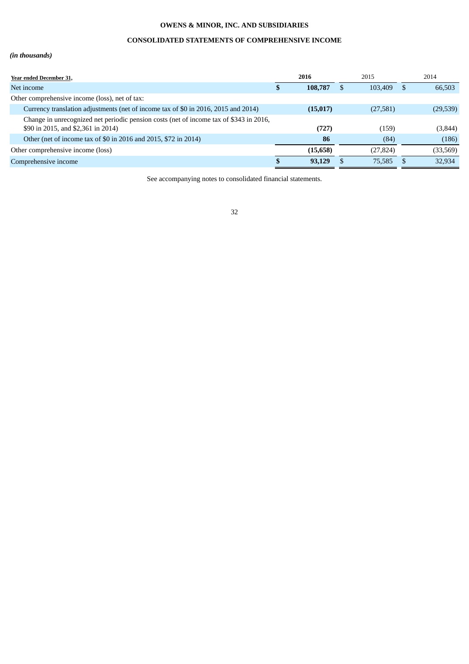# **CONSOLIDATED STATEMENTS OF COMPREHENSIVE INCOME**

# <span id="page-31-0"></span>*(in thousands)*

| Year ended December 31,                                                                                                      |   | 2016      | 2015 |           |  | 2014      |  |  |
|------------------------------------------------------------------------------------------------------------------------------|---|-----------|------|-----------|--|-----------|--|--|
| Net income                                                                                                                   | л | 108,787   |      | 103,409   |  | 66,503    |  |  |
| Other comprehensive income (loss), net of tax:                                                                               |   |           |      |           |  |           |  |  |
| Currency translation adjustments (net of income tax of \$0 in 2016, 2015 and 2014)                                           |   | (15, 017) |      | (27, 581) |  | (29, 539) |  |  |
| Change in unrecognized net periodic pension costs (net of income tax of \$343 in 2016,<br>\$90 in 2015, and \$2,361 in 2014) |   | (727)     |      | (159)     |  | (3,844)   |  |  |
| Other (net of income tax of \$0 in 2016 and 2015, \$72 in 2014)                                                              |   | 86        |      | (84)      |  | (186)     |  |  |
| Other comprehensive income (loss)                                                                                            |   | (15,658)  |      | (27, 824) |  | (33, 569) |  |  |
| Comprehensive income                                                                                                         |   | 93,129    |      | 75,585    |  | 32,934    |  |  |

See accompanying notes to consolidated financial statements.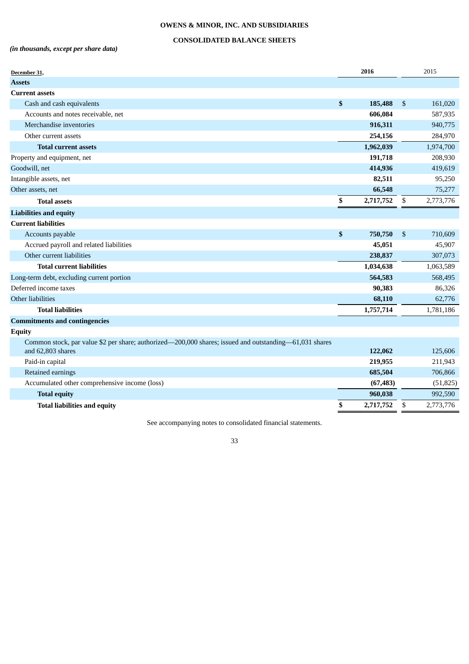# **CONSOLIDATED BALANCE SHEETS**

# <span id="page-32-0"></span>*(in thousands, except per share data)*

| December 31,                                                                                                                |              | 2016      |                           | 2015      |
|-----------------------------------------------------------------------------------------------------------------------------|--------------|-----------|---------------------------|-----------|
| <b>Assets</b>                                                                                                               |              |           |                           |           |
| <b>Current assets</b>                                                                                                       |              |           |                           |           |
| Cash and cash equivalents                                                                                                   | $\mathbf{s}$ | 185,488   | $\mathfrak{s}$            | 161,020   |
| Accounts and notes receivable, net                                                                                          |              | 606,084   |                           | 587,935   |
| Merchandise inventories                                                                                                     |              | 916,311   |                           | 940,775   |
| Other current assets                                                                                                        |              | 254,156   |                           | 284,970   |
| <b>Total current assets</b>                                                                                                 |              | 1,962,039 |                           | 1,974,700 |
| Property and equipment, net                                                                                                 |              | 191,718   |                           | 208,930   |
| Goodwill, net                                                                                                               |              | 414,936   |                           | 419,619   |
| Intangible assets, net                                                                                                      |              | 82,511    |                           | 95,250    |
| Other assets, net                                                                                                           |              | 66,548    |                           | 75,277    |
| <b>Total assets</b>                                                                                                         | \$           | 2,717,752 | \$                        | 2,773,776 |
| <b>Liabilities and equity</b>                                                                                               |              |           |                           |           |
| <b>Current liabilities</b>                                                                                                  |              |           |                           |           |
| Accounts payable                                                                                                            | $\$$         | 750,750   | $\boldsymbol{\mathsf{S}}$ | 710,609   |
| Accrued payroll and related liabilities                                                                                     |              | 45,051    |                           | 45,907    |
| Other current liabilities                                                                                                   |              | 238,837   |                           | 307,073   |
| <b>Total current liabilities</b>                                                                                            |              | 1,034,638 |                           | 1,063,589 |
| Long-term debt, excluding current portion                                                                                   |              | 564,583   |                           | 568,495   |
| Deferred income taxes                                                                                                       |              | 90,383    |                           | 86,326    |
| Other liabilities                                                                                                           |              | 68,110    |                           | 62,776    |
| <b>Total liabilities</b>                                                                                                    |              | 1,757,714 |                           | 1,781,186 |
| <b>Commitments and contingencies</b>                                                                                        |              |           |                           |           |
| <b>Equity</b>                                                                                                               |              |           |                           |           |
| Common stock, par value \$2 per share; authorized—200,000 shares; issued and outstanding—61,031 shares<br>and 62,803 shares |              | 122,062   |                           | 125,606   |
| Paid-in capital                                                                                                             |              | 219,955   |                           | 211,943   |
| Retained earnings                                                                                                           |              | 685,504   |                           | 706,866   |
| Accumulated other comprehensive income (loss)                                                                               |              | (67, 483) |                           | (51, 825) |
| <b>Total equity</b>                                                                                                         |              | 960,038   |                           | 992,590   |
| <b>Total liabilities and equity</b>                                                                                         | \$           | 2,717,752 | \$                        | 2,773,776 |

See accompanying notes to consolidated financial statements.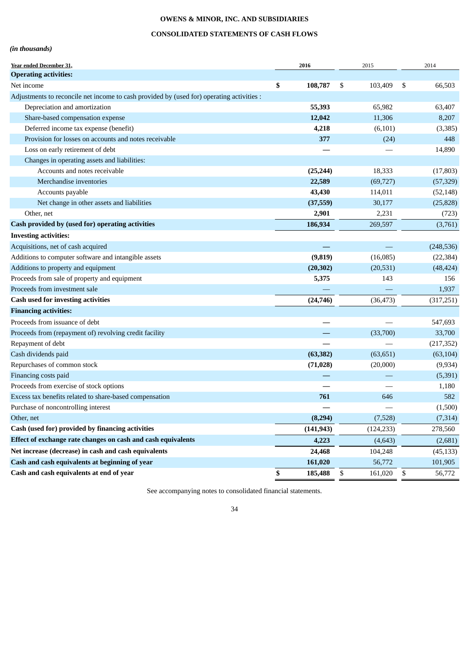# **CONSOLIDATED STATEMENTS OF CASH FLOWS**

# <span id="page-33-0"></span>*(in thousands)*

| <b>Year ended December 31,</b>                                                            |                    | 2016       |              | 2015       |              | 2014       |
|-------------------------------------------------------------------------------------------|--------------------|------------|--------------|------------|--------------|------------|
| <b>Operating activities:</b>                                                              |                    |            |              |            |              |            |
| Net income                                                                                | \$                 | 108,787    | \$           | 103,409    | \$           | 66,503     |
| Adjustments to reconcile net income to cash provided by (used for) operating activities : |                    |            |              |            |              |            |
| Depreciation and amortization                                                             |                    | 55,393     |              | 65,982     |              | 63,407     |
| Share-based compensation expense                                                          |                    | 12,042     |              | 11,306     |              | 8,207      |
| Deferred income tax expense (benefit)                                                     |                    | 4,218      |              | (6, 101)   |              | (3,385)    |
| Provision for losses on accounts and notes receivable                                     |                    | 377        |              | (24)       |              | 448        |
| Loss on early retirement of debt                                                          |                    |            |              |            |              | 14,890     |
| Changes in operating assets and liabilities:                                              |                    |            |              |            |              |            |
| Accounts and notes receivable                                                             |                    | (25, 244)  |              | 18,333     |              | (17, 803)  |
| Merchandise inventories                                                                   |                    | 22,589     |              | (69, 727)  |              | (57, 329)  |
| Accounts payable                                                                          |                    | 43,430     |              | 114,011    |              | (52, 148)  |
| Net change in other assets and liabilities                                                |                    | (37, 559)  |              | 30,177     |              | (25, 828)  |
| Other, net                                                                                |                    | 2,901      |              | 2,231      |              | (723)      |
| Cash provided by (used for) operating activities                                          |                    | 186,934    |              | 269,597    |              | (3,761)    |
| <b>Investing activities:</b>                                                              |                    |            |              |            |              |            |
| Acquisitions, net of cash acquired                                                        |                    |            |              |            |              | (248, 536) |
| Additions to computer software and intangible assets                                      |                    | (9, 819)   |              | (16,085)   |              | (22, 384)  |
| Additions to property and equipment                                                       |                    | (20, 302)  |              | (20, 531)  |              | (48, 424)  |
| Proceeds from sale of property and equipment                                              |                    | 5,375      |              | 143        |              | 156        |
| Proceeds from investment sale                                                             |                    |            |              |            |              | 1,937      |
| <b>Cash used for investing activities</b>                                                 |                    | (24, 746)  |              | (36, 473)  |              | (317,251)  |
| <b>Financing activities:</b>                                                              |                    |            |              |            |              |            |
| Proceeds from issuance of debt                                                            |                    |            |              |            |              | 547,693    |
| Proceeds from (repayment of) revolving credit facility                                    |                    |            |              | (33,700)   |              | 33,700     |
| Repayment of debt                                                                         |                    |            |              |            |              | (217, 352) |
| Cash dividends paid                                                                       |                    | (63, 382)  |              | (63, 651)  |              | (63, 104)  |
| Repurchases of common stock                                                               |                    | (71, 028)  |              | (20,000)   |              | (9, 934)   |
| Financing costs paid                                                                      |                    |            |              |            |              | (5, 391)   |
| Proceeds from exercise of stock options                                                   |                    |            |              |            |              | 1,180      |
| Excess tax benefits related to share-based compensation                                   |                    | 761        |              | 646        |              | 582        |
| Purchase of noncontrolling interest                                                       |                    |            |              |            |              | (1,500)    |
| Other, net                                                                                |                    | (8, 294)   |              | (7,528)    |              | (7, 314)   |
| Cash (used for) provided by financing activities                                          |                    | (141, 943) |              | (124, 233) |              | 278,560    |
| Effect of exchange rate changes on cash and cash equivalents                              |                    | 4,223      |              | (4, 643)   |              | (2,681)    |
| Net increase (decrease) in cash and cash equivalents                                      |                    | 24,468     |              | 104,248    |              | (45, 133)  |
| Cash and cash equivalents at beginning of year                                            |                    | 161,020    |              | 56,772     |              | 101,905    |
| Cash and cash equivalents at end of year                                                  | $\pmb{\mathbb{S}}$ | 185,488    | $\mathbb{S}$ | 161,020    | $\mathbb{S}$ | 56,772     |

See accompanying notes to consolidated financial statements.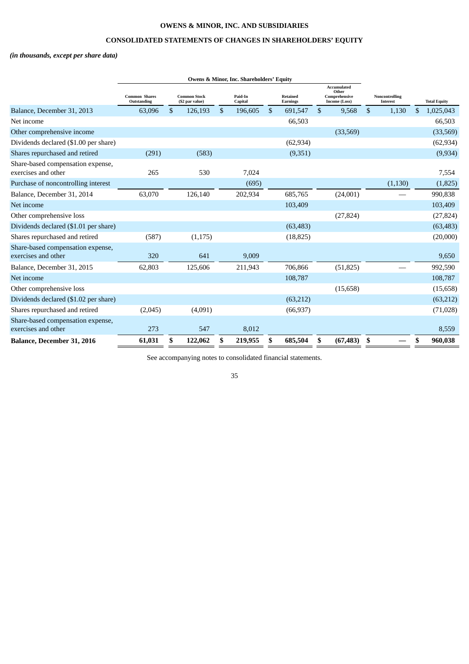# **CONSOLIDATED STATEMENTS OF CHANGES IN SHAREHOLDERS' EQUITY**

<span id="page-34-0"></span>*(in thousands, except per share data)*

|                                                          |                                     |                                        | Owens & Minor, Inc. Shareholders' Equity |                                    |                                                               |                                   |                     |
|----------------------------------------------------------|-------------------------------------|----------------------------------------|------------------------------------------|------------------------------------|---------------------------------------------------------------|-----------------------------------|---------------------|
|                                                          | <b>Common Shares</b><br>Outstanding | <b>Common Stock</b><br>(\$2 par value) | Paid-In<br>Capital                       | <b>Retained</b><br><b>Earnings</b> | Accumulated<br>Other<br>Comprehensive<br><b>Income (Loss)</b> | Noncontrolling<br><b>Interest</b> | <b>Total Equity</b> |
| Balance, December 31, 2013                               | 63,096                              | \$<br>126,193                          | \$<br>196,605                            | \$<br>691,547                      | \$<br>9,568                                                   | \$<br>1,130                       | \$<br>1,025,043     |
| Net income                                               |                                     |                                        |                                          | 66,503                             |                                                               |                                   | 66,503              |
| Other comprehensive income                               |                                     |                                        |                                          |                                    | (33, 569)                                                     |                                   | (33,569)            |
| Dividends declared (\$1.00 per share)                    |                                     |                                        |                                          | (62, 934)                          |                                                               |                                   | (62, 934)           |
| Shares repurchased and retired                           | (291)                               | (583)                                  |                                          | (9,351)                            |                                                               |                                   | (9,934)             |
| Share-based compensation expense,<br>exercises and other | 265                                 | 530                                    | 7,024                                    |                                    |                                                               |                                   | 7,554               |
| Purchase of noncontrolling interest                      |                                     |                                        | (695)                                    |                                    |                                                               | (1,130)                           | (1,825)             |
| Balance, December 31, 2014                               | 63,070                              | 126,140                                | 202,934                                  | 685,765                            | (24,001)                                                      |                                   | 990,838             |
| Net income                                               |                                     |                                        |                                          | 103,409                            |                                                               |                                   | 103,409             |
| Other comprehensive loss                                 |                                     |                                        |                                          |                                    | (27, 824)                                                     |                                   | (27, 824)           |
| Dividends declared (\$1.01 per share)                    |                                     |                                        |                                          | (63, 483)                          |                                                               |                                   | (63, 483)           |
| Shares repurchased and retired                           | (587)                               | (1, 175)                               |                                          | (18, 825)                          |                                                               |                                   | (20,000)            |
| Share-based compensation expense,<br>exercises and other | 320                                 | 641                                    | 9,009                                    |                                    |                                                               |                                   | 9,650               |
| Balance, December 31, 2015                               | 62,803                              | 125,606                                | 211,943                                  | 706.866                            | (51, 825)                                                     |                                   | 992,590             |
| Net income                                               |                                     |                                        |                                          | 108,787                            |                                                               |                                   | 108,787             |
| Other comprehensive loss                                 |                                     |                                        |                                          |                                    | (15,658)                                                      |                                   | (15,658)            |
| Dividends declared (\$1.02 per share)                    |                                     |                                        |                                          | (63,212)                           |                                                               |                                   | (63,212)            |
| Shares repurchased and retired                           | (2,045)                             | (4,091)                                |                                          | (66, 937)                          |                                                               |                                   | (71,028)            |
| Share-based compensation expense,<br>exercises and other | 273                                 | 547                                    | 8,012                                    |                                    |                                                               |                                   | 8,559               |
| Balance, December 31, 2016                               | 61,031                              | \$<br>122,062                          | \$<br>219,955                            | \$<br>685,504                      | \$<br>(67, 483)                                               | \$                                | 960,038             |

See accompanying notes to consolidated financial statements.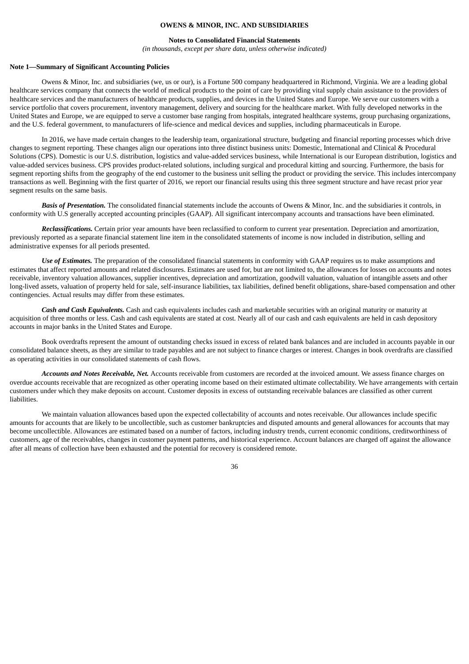#### **Notes to Consolidated Financial Statements**

*(in thousands, except per share data, unless otherwise indicated)*

#### <span id="page-35-0"></span>**Note 1—Summary of Significant Accounting Policies**

Owens & Minor, Inc. and subsidiaries (we, us or our), is a Fortune 500 company headquartered in Richmond, Virginia. We are a leading global healthcare services company that connects the world of medical products to the point of care by providing vital supply chain assistance to the providers of healthcare services and the manufacturers of healthcare products, supplies, and devices in the United States and Europe. We serve our customers with a service portfolio that covers procurement, inventory management, delivery and sourcing for the healthcare market. With fully developed networks in the United States and Europe, we are equipped to serve a customer base ranging from hospitals, integrated healthcare systems, group purchasing organizations, and the U.S. federal government, to manufacturers of life-science and medical devices and supplies, including pharmaceuticals in Europe.

In 2016, we have made certain changes to the leadership team, organizational structure, budgeting and financial reporting processes which drive changes to segment reporting. These changes align our operations into three distinct business units: Domestic, International and Clinical & Procedural Solutions (CPS). Domestic is our U.S. distribution, logistics and value-added services business, while International is our European distribution, logistics and value-added services business. CPS provides product-related solutions, including surgical and procedural kitting and sourcing. Furthermore, the basis for segment reporting shifts from the geography of the end customer to the business unit selling the product or providing the service. This includes intercompany transactions as well. Beginning with the first quarter of 2016, we report our financial results using this three segment structure and have recast prior year segment results on the same basis.

*Basis of Presentation.* The consolidated financial statements include the accounts of Owens & Minor, Inc. and the subsidiaries it controls, in conformity with U.S generally accepted accounting principles (GAAP). All significant intercompany accounts and transactions have been eliminated.

*Reclassifications.* Certain prior year amounts have been reclassified to conform to current year presentation. Depreciation and amortization, previously reported as a separate financial statement line item in the consolidated statements of income is now included in distribution, selling and administrative expenses for all periods presented.

*Use of Estimates.* The preparation of the consolidated financial statements in conformity with GAAP requires us to make assumptions and estimates that affect reported amounts and related disclosures. Estimates are used for, but are not limited to, the allowances for losses on accounts and notes receivable, inventory valuation allowances, supplier incentives, depreciation and amortization, goodwill valuation, valuation of intangible assets and other long-lived assets, valuation of property held for sale, self-insurance liabilities, tax liabilities, defined benefit obligations, share-based compensation and other contingencies. Actual results may differ from these estimates.

*Cash and Cash Equivalents.* Cash and cash equivalents includes cash and marketable securities with an original maturity or maturity at acquisition of three months or less. Cash and cash equivalents are stated at cost. Nearly all of our cash and cash equivalents are held in cash depository accounts in major banks in the United States and Europe.

Book overdrafts represent the amount of outstanding checks issued in excess of related bank balances and are included in accounts payable in our consolidated balance sheets, as they are similar to trade payables and are not subject to finance charges or interest. Changes in book overdrafts are classified as operating activities in our consolidated statements of cash flows.

*Accounts and Notes Receivable, Net.* Accounts receivable from customers are recorded at the invoiced amount. We assess finance charges on overdue accounts receivable that are recognized as other operating income based on their estimated ultimate collectability. We have arrangements with certain customers under which they make deposits on account. Customer deposits in excess of outstanding receivable balances are classified as other current liabilities.

We maintain valuation allowances based upon the expected collectability of accounts and notes receivable. Our allowances include specific amounts for accounts that are likely to be uncollectible, such as customer bankruptcies and disputed amounts and general allowances for accounts that may become uncollectible. Allowances are estimated based on a number of factors, including industry trends, current economic conditions, creditworthiness of customers, age of the receivables, changes in customer payment patterns, and historical experience. Account balances are charged off against the allowance after all means of collection have been exhausted and the potential for recovery is considered remote.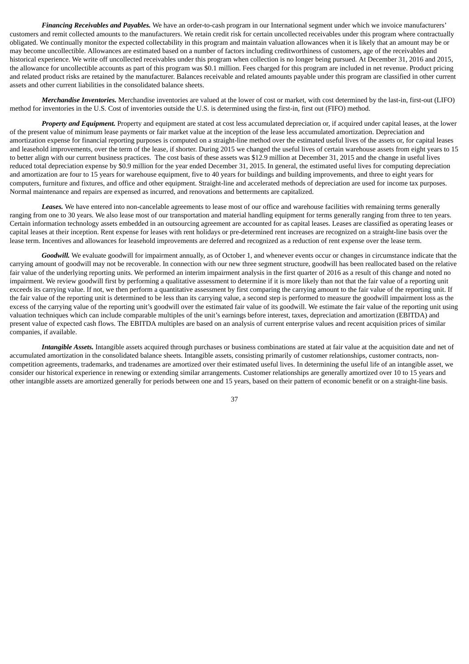*Financing Receivables and Payables.* We have an order-to-cash program in our International segment under which we invoice manufacturers' customers and remit collected amounts to the manufacturers. We retain credit risk for certain uncollected receivables under this program where contractually obligated. We continually monitor the expected collectability in this program and maintain valuation allowances when it is likely that an amount may be or may become uncollectible. Allowances are estimated based on a number of factors including creditworthiness of customers, age of the receivables and historical experience. We write off uncollected receivables under this program when collection is no longer being pursued. At December 31, 2016 and 2015, the allowance for uncollectible accounts as part of this program was \$0.1 million. Fees charged for this program are included in net revenue. Product pricing and related product risks are retained by the manufacturer. Balances receivable and related amounts payable under this program are classified in other current assets and other current liabilities in the consolidated balance sheets.

*Merchandise Inventories.* Merchandise inventories are valued at the lower of cost or market, with cost determined by the last-in, first-out (LIFO) method for inventories in the U.S. Cost of inventories outside the U.S. is determined using the first-in, first out (FIFO) method.

*Property and Equipment.* Property and equipment are stated at cost less accumulated depreciation or, if acquired under capital leases, at the lower of the present value of minimum lease payments or fair market value at the inception of the lease less accumulated amortization. Depreciation and amortization expense for financial reporting purposes is computed on a straight-line method over the estimated useful lives of the assets or, for capital leases and leasehold improvements, over the term of the lease, if shorter. During 2015 we changed the useful lives of certain warehouse assets from eight years to 15 to better align with our current business practices. The cost basis of these assets was \$12.9 million at December 31, 2015 and the change in useful lives reduced total depreciation expense by \$0.9 million for the year ended December 31, 2015. In general, the estimated useful lives for computing depreciation and amortization are four to 15 years for warehouse equipment, five to 40 years for buildings and building improvements, and three to eight years for computers, furniture and fixtures, and office and other equipment. Straight-line and accelerated methods of depreciation are used for income tax purposes. Normal maintenance and repairs are expensed as incurred, and renovations and betterments are capitalized.

*Leases.* We have entered into non-cancelable agreements to lease most of our office and warehouse facilities with remaining terms generally ranging from one to 30 years. We also lease most of our transportation and material handling equipment for terms generally ranging from three to ten years. Certain information technology assets embedded in an outsourcing agreement are accounted for as capital leases. Leases are classified as operating leases or capital leases at their inception. Rent expense for leases with rent holidays or pre-determined rent increases are recognized on a straight-line basis over the lease term. Incentives and allowances for leasehold improvements are deferred and recognized as a reduction of rent expense over the lease term.

*Goodwill.* We evaluate goodwill for impairment annually, as of October 1, and whenever events occur or changes in circumstance indicate that the carrying amount of goodwill may not be recoverable. In connection with our new three segment structure, goodwill has been reallocated based on the relative fair value of the underlying reporting units. We performed an interim impairment analysis in the first quarter of 2016 as a result of this change and noted no impairment. We review goodwill first by performing a qualitative assessment to determine if it is more likely than not that the fair value of a reporting unit exceeds its carrying value. If not, we then perform a quantitative assessment by first comparing the carrying amount to the fair value of the reporting unit. If the fair value of the reporting unit is determined to be less than its carrying value, a second step is performed to measure the goodwill impairment loss as the excess of the carrying value of the reporting unit's goodwill over the estimated fair value of its goodwill. We estimate the fair value of the reporting unit using valuation techniques which can include comparable multiples of the unit's earnings before interest, taxes, depreciation and amortization (EBITDA) and present value of expected cash flows. The EBITDA multiples are based on an analysis of current enterprise values and recent acquisition prices of similar companies, if available.

*Intangible Assets.* Intangible assets acquired through purchases or business combinations are stated at fair value at the acquisition date and net of accumulated amortization in the consolidated balance sheets. Intangible assets, consisting primarily of customer relationships, customer contracts, noncompetition agreements, trademarks, and tradenames are amortized over their estimated useful lives. In determining the useful life of an intangible asset, we consider our historical experience in renewing or extending similar arrangements. Customer relationships are generally amortized over 10 to 15 years and other intangible assets are amortized generally for periods between one and 15 years, based on their pattern of economic benefit or on a straight-line basis.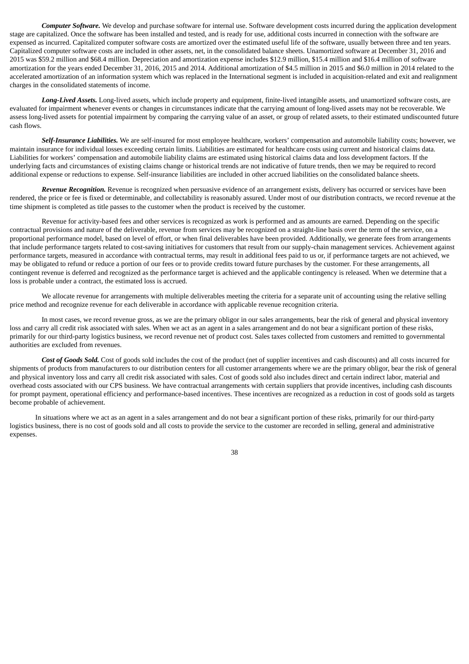*Computer Software.* We develop and purchase software for internal use. Software development costs incurred during the application development stage are capitalized. Once the software has been installed and tested, and is ready for use, additional costs incurred in connection with the software are expensed as incurred. Capitalized computer software costs are amortized over the estimated useful life of the software, usually between three and ten years. Capitalized computer software costs are included in other assets, net, in the consolidated balance sheets. Unamortized software at December 31, 2016 and 2015 was \$59.2 million and \$68.4 million. Depreciation and amortization expense includes \$12.9 million, \$15.4 million and \$16.4 million of software amortization for the years ended December 31, 2016, 2015 and 2014. Additional amortization of \$4.5 million in 2015 and \$6.0 million in 2014 related to the accelerated amortization of an information system which was replaced in the International segment is included in acquisition-related and exit and realignment charges in the consolidated statements of income.

*Long-Lived Assets.* Long-lived assets, which include property and equipment, finite-lived intangible assets, and unamortized software costs, are evaluated for impairment whenever events or changes in circumstances indicate that the carrying amount of long-lived assets may not be recoverable. We assess long-lived assets for potential impairment by comparing the carrying value of an asset, or group of related assets, to their estimated undiscounted future cash flows.

*Self-Insurance Liabilities.* We are self-insured for most employee healthcare, workers' compensation and automobile liability costs; however, we maintain insurance for individual losses exceeding certain limits. Liabilities are estimated for healthcare costs using current and historical claims data. Liabilities for workers' compensation and automobile liability claims are estimated using historical claims data and loss development factors. If the underlying facts and circumstances of existing claims change or historical trends are not indicative of future trends, then we may be required to record additional expense or reductions to expense. Self-insurance liabilities are included in other accrued liabilities on the consolidated balance sheets.

*Revenue Recognition.* Revenue is recognized when persuasive evidence of an arrangement exists, delivery has occurred or services have been rendered, the price or fee is fixed or determinable, and collectability is reasonably assured. Under most of our distribution contracts, we record revenue at the time shipment is completed as title passes to the customer when the product is received by the customer.

Revenue for activity-based fees and other services is recognized as work is performed and as amounts are earned. Depending on the specific contractual provisions and nature of the deliverable, revenue from services may be recognized on a straight-line basis over the term of the service, on a proportional performance model, based on level of effort, or when final deliverables have been provided. Additionally, we generate fees from arrangements that include performance targets related to cost-saving initiatives for customers that result from our supply-chain management services. Achievement against performance targets, measured in accordance with contractual terms, may result in additional fees paid to us or, if performance targets are not achieved, we may be obligated to refund or reduce a portion of our fees or to provide credits toward future purchases by the customer. For these arrangements, all contingent revenue is deferred and recognized as the performance target is achieved and the applicable contingency is released. When we determine that a loss is probable under a contract, the estimated loss is accrued.

We allocate revenue for arrangements with multiple deliverables meeting the criteria for a separate unit of accounting using the relative selling price method and recognize revenue for each deliverable in accordance with applicable revenue recognition criteria.

In most cases, we record revenue gross, as we are the primary obligor in our sales arrangements, bear the risk of general and physical inventory loss and carry all credit risk associated with sales. When we act as an agent in a sales arrangement and do not bear a significant portion of these risks, primarily for our third-party logistics business, we record revenue net of product cost. Sales taxes collected from customers and remitted to governmental authorities are excluded from revenues.

*Cost of Goods Sold.* Cost of goods sold includes the cost of the product (net of supplier incentives and cash discounts) and all costs incurred for shipments of products from manufacturers to our distribution centers for all customer arrangements where we are the primary obligor, bear the risk of general and physical inventory loss and carry all credit risk associated with sales. Cost of goods sold also includes direct and certain indirect labor, material and overhead costs associated with our CPS business. We have contractual arrangements with certain suppliers that provide incentives, including cash discounts for prompt payment, operational efficiency and performance-based incentives. These incentives are recognized as a reduction in cost of goods sold as targets become probable of achievement.

In situations where we act as an agent in a sales arrangement and do not bear a significant portion of these risks, primarily for our third-party logistics business, there is no cost of goods sold and all costs to provide the service to the customer are recorded in selling, general and administrative expenses.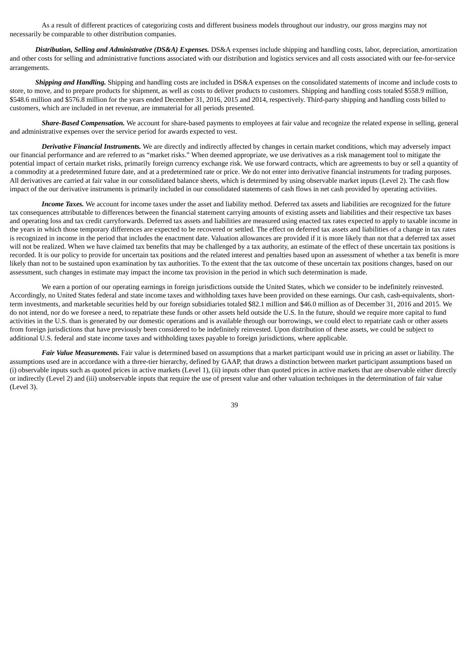As a result of different practices of categorizing costs and different business models throughout our industry, our gross margins may not necessarily be comparable to other distribution companies.

*Distribution, Selling and Administrative (DS&A) Expenses.* DS&A expenses include shipping and handling costs, labor, depreciation, amortization and other costs for selling and administrative functions associated with our distribution and logistics services and all costs associated with our fee-for-service arrangements.

*Shipping and Handling.* Shipping and handling costs are included in DS&A expenses on the consolidated statements of income and include costs to store, to move, and to prepare products for shipment, as well as costs to deliver products to customers. Shipping and handling costs totaled \$558.9 million, \$548.6 million and \$576.8 million for the years ended December 31, 2016, 2015 and 2014, respectively. Third-party shipping and handling costs billed to customers, which are included in net revenue, are immaterial for all periods presented.

*Share-Based Compensation.* We account for share-based payments to employees at fair value and recognize the related expense in selling, general and administrative expenses over the service period for awards expected to vest.

*Derivative Financial Instruments.* We are directly and indirectly affected by changes in certain market conditions, which may adversely impact our financial performance and are referred to as "market risks." When deemed appropriate, we use derivatives as a risk management tool to mitigate the potential impact of certain market risks, primarily foreign currency exchange risk. We use forward contracts, which are agreements to buy or sell a quantity of a commodity at a predetermined future date, and at a predetermined rate or price. We do not enter into derivative financial instruments for trading purposes. All derivatives are carried at fair value in our consolidated balance sheets, which is determined by using observable market inputs (Level 2). The cash flow impact of the our derivative instruments is primarily included in our consolidated statements of cash flows in net cash provided by operating activities.

*Income Taxes.* We account for income taxes under the asset and liability method. Deferred tax assets and liabilities are recognized for the future tax consequences attributable to differences between the financial statement carrying amounts of existing assets and liabilities and their respective tax bases and operating loss and tax credit carryforwards. Deferred tax assets and liabilities are measured using enacted tax rates expected to apply to taxable income in the years in which those temporary differences are expected to be recovered or settled. The effect on deferred tax assets and liabilities of a change in tax rates is recognized in income in the period that includes the enactment date. Valuation allowances are provided if it is more likely than not that a deferred tax asset will not be realized. When we have claimed tax benefits that may be challenged by a tax authority, an estimate of the effect of these uncertain tax positions is recorded. It is our policy to provide for uncertain tax positions and the related interest and penalties based upon an assessment of whether a tax benefit is more likely than not to be sustained upon examination by tax authorities. To the extent that the tax outcome of these uncertain tax positions changes, based on our assessment, such changes in estimate may impact the income tax provision in the period in which such determination is made.

We earn a portion of our operating earnings in foreign jurisdictions outside the United States, which we consider to be indefinitely reinvested. Accordingly, no United States federal and state income taxes and withholding taxes have been provided on these earnings. Our cash, cash-equivalents, shortterm investments, and marketable securities held by our foreign subsidiaries totaled \$82.1 million and \$46.0 million as of December 31, 2016 and 2015. We do not intend, nor do we foresee a need, to repatriate these funds or other assets held outside the U.S. In the future, should we require more capital to fund activities in the U.S. than is generated by our domestic operations and is available through our borrowings, we could elect to repatriate cash or other assets from foreign jurisdictions that have previously been considered to be indefinitely reinvested. Upon distribution of these assets, we could be subject to additional U.S. federal and state income taxes and withholding taxes payable to foreign jurisdictions, where applicable.

*Fair Value Measurements.* Fair value is determined based on assumptions that a market participant would use in pricing an asset or liability. The assumptions used are in accordance with a three-tier hierarchy, defined by GAAP, that draws a distinction between market participant assumptions based on (i) observable inputs such as quoted prices in active markets (Level 1), (ii) inputs other than quoted prices in active markets that are observable either directly or indirectly (Level 2) and (iii) unobservable inputs that require the use of present value and other valuation techniques in the determination of fair value (Level 3).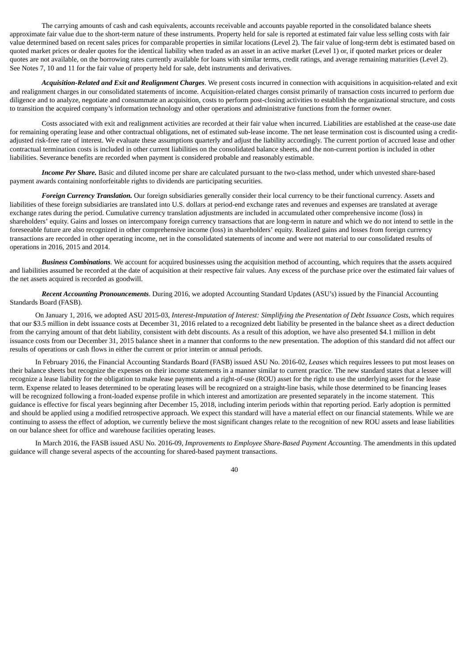The carrying amounts of cash and cash equivalents, accounts receivable and accounts payable reported in the consolidated balance sheets approximate fair value due to the short-term nature of these instruments. Property held for sale is reported at estimated fair value less selling costs with fair value determined based on recent sales prices for comparable properties in similar locations (Level 2). The fair value of long-term debt is estimated based on quoted market prices or dealer quotes for the identical liability when traded as an asset in an active market (Level 1) or, if quoted market prices or dealer quotes are not available, on the borrowing rates currently available for loans with similar terms, credit ratings, and average remaining maturities (Level 2). See Notes 7, 10 and 11 for the fair value of property held for sale, debt instruments and derivatives.

*Acquisition-Related and Exit and Realignment Charges*. We present costs incurred in connection with acquisitions in acquisition-related and exit and realignment charges in our consolidated statements of income. Acquisition-related charges consist primarily of transaction costs incurred to perform due diligence and to analyze, negotiate and consummate an acquisition, costs to perform post-closing activities to establish the organizational structure, and costs to transition the acquired company's information technology and other operations and administrative functions from the former owner.

Costs associated with exit and realignment activities are recorded at their fair value when incurred. Liabilities are established at the cease-use date for remaining operating lease and other contractual obligations, net of estimated sub-lease income. The net lease termination cost is discounted using a creditadjusted risk-free rate of interest. We evaluate these assumptions quarterly and adjust the liability accordingly. The current portion of accrued lease and other contractual termination costs is included in other current liabilities on the consolidated balance sheets, and the non-current portion is included in other liabilities. Severance benefits are recorded when payment is considered probable and reasonably estimable.

*Income Per Share.* Basic and diluted income per share are calculated pursuant to the two-class method, under which unvested share-based payment awards containing nonforfeitable rights to dividends are participating securities.

*Foreign Currency Translation.* Our foreign subsidiaries generally consider their local currency to be their functional currency. Assets and liabilities of these foreign subsidiaries are translated into U.S. dollars at period-end exchange rates and revenues and expenses are translated at average exchange rates during the period. Cumulative currency translation adjustments are included in accumulated other comprehensive income (loss) in shareholders' equity. Gains and losses on intercompany foreign currency transactions that are long-term in nature and which we do not intend to settle in the foreseeable future are also recognized in other comprehensive income (loss) in shareholders' equity. Realized gains and losses from foreign currency transactions are recorded in other operating income, net in the consolidated statements of income and were not material to our consolidated results of operations in 2016, 2015 and 2014.

*Business Combinations.* We account for acquired businesses using the acquisition method of accounting, which requires that the assets acquired and liabilities assumed be recorded at the date of acquisition at their respective fair values. Any excess of the purchase price over the estimated fair values of the net assets acquired is recorded as goodwill.

*Recent Accounting Pronouncements*. During 2016, we adopted Accounting Standard Updates (ASU's) issued by the Financial Accounting Standards Board (FASB).

On January 1, 2016, we adopted ASU 2015-03, *Interest-Imputation of Interest: Simplifying the Presentation of Debt Issuance Costs*, which requires that our \$3.5 million in debt issuance costs at December 31, 2016 related to a recognized debt liability be presented in the balance sheet as a direct deduction from the carrying amount of that debt liability, consistent with debt discounts. As a result of this adoption, we have also presented \$4.1 million in debt issuance costs from our December 31, 2015 balance sheet in a manner that conforms to the new presentation. The adoption of this standard did not affect our results of operations or cash flows in either the current or prior interim or annual periods.

In February 2016, the Financial Accounting Standards Board (FASB) issued ASU No. 2016-02, *Leases* which requires lessees to put most leases on their balance sheets but recognize the expenses on their income statements in a manner similar to current practice. The new standard states that a lessee will recognize a lease liability for the obligation to make lease payments and a right-of-use (ROU) asset for the right to use the underlying asset for the lease term. Expense related to leases determined to be operating leases will be recognized on a straight-line basis, while those determined to be financing leases will be recognized following a front-loaded expense profile in which interest and amortization are presented separately in the income statement. This guidance is effective for fiscal years beginning after December 15, 2018, including interim periods within that reporting period. Early adoption is permitted and should be applied using a modified retrospective approach. We expect this standard will have a material effect on our financial statements. While we are continuing to assess the effect of adoption, we currently believe the most significant changes relate to the recognition of new ROU assets and lease liabilities on our balance sheet for office and warehouse facilities operating leases.

In March 2016, the FASB issued ASU No. 2016-09, *Improvements to Employee Share-Based Payment Accounting.* The amendments in this updated guidance will change several aspects of the accounting for shared-based payment transactions.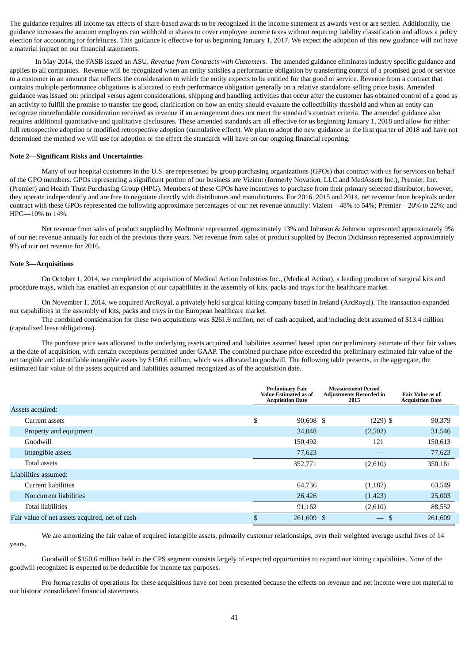The guidance requires all income tax effects of share-based awards to be recognized in the income statement as awards vest or are settled. Additionally, the guidance increases the amount employers can withhold in shares to cover employee income taxes without requiring liability classification and allows a policy election for accounting for forfeitures. This guidance is effective for us beginning January 1, 2017. We expect the adoption of this new guidance will not have a material impact on our financial statements.

In May 2014, the FASB issued an ASU, *Revenue from Contracts with Customers*. The amended guidance eliminates industry specific guidance and applies to all companies. Revenue will be recognized when an entity satisfies a performance obligation by transferring control of a promised good or service to a customer in an amount that reflects the consideration to which the entity expects to be entitled for that good or service. Revenue from a contract that contains multiple performance obligations is allocated to each performance obligation generally on a relative standalone selling price basis. Amended guidance was issued on: principal versus agent considerations, shipping and handling activities that occur after the customer has obtained control of a good as an activity to fulfill the promise to transfer the good, clarification on how an entity should evaluate the collectibility threshold and when an entity can recognize nonrefundable consideration received as revenue if an arrangement does not meet the standard's contract criteria. The amended guidance also requires additional quantitative and qualitative disclosures. These amended standards are all effective for us beginning January 1, 2018 and allow for either full retrospective adoption or modified retrospective adoption (cumulative effect). We plan to adopt the new guidance in the first quarter of 2018 and have not determined the method we will use for adoption or the effect the standards will have on our ongoing financial reporting.

#### **Note 2—Significant Risks and Uncertainties**

Many of our hospital customers in the U.S. are represented by group purchasing organizations (GPOs) that contract with us for services on behalf of the GPO members. GPOs representing a significant portion of our business are Vizient (formerly Novation, LLC and MedAssets Inc.), Premier, Inc. (Premier) and Health Trust Purchasing Group (HPG). Members of these GPOs have incentives to purchase from their primary selected distributor; however, they operate independently and are free to negotiate directly with distributors and manufacturers. For 2016, 2015 and 2014, net revenue from hospitals under contract with these GPOs represented the following approximate percentages of our net revenue annually: Vizient—48% to 54%; Premier—20% to 22%; and HPG—10% to 14%.

Net revenue from sales of product supplied by Medtronic represented approximately 13% and Johnson & Johnson represented approximately 9% of our net revenue annually for each of the previous three years. Net revenue from sales of product supplied by Becton Dickinson represented approximately 9% of our net revenue for 2016.

### **Note 3—Acquisitions**

On October 1, 2014, we completed the acquisition of Medical Action Industries Inc., (Medical Action), a leading producer of surgical kits and procedure trays, which has enabled an expansion of our capabilities in the assembly of kits, packs and trays for the healthcare market.

On November 1, 2014, we acquired ArcRoyal, a privately held surgical kitting company based in Ireland (ArcRoyal). The transaction expanded our capabilities in the assembly of kits, packs and trays in the European healthcare market.

The combined consideration for these two acquisitions was \$261.6 million, net of cash acquired, and including debt assumed of \$13.4 million (capitalized lease obligations).

The purchase price was allocated to the underlying assets acquired and liabilities assumed based upon our preliminary estimate of their fair values at the date of acquisition, with certain exceptions permitted under GAAP. The combined purchase price exceeded the preliminary estimated fair value of the net tangible and identifiable intangible assets by \$150.6 million, which was allocated to goodwill. The following table presents, in the aggregate, the estimated fair value of the assets acquired and liabilities assumed recognized as of the acquisition date.

|                                                |                          | <b>Preliminary Fair</b><br><b>Value Estimated as of</b><br><b>Acquisition Date</b> |            | <b>Measurement Period</b><br><b>Adjustments Recorded in</b><br>2015 | <b>Fair Value as of</b><br><b>Acquisition Date</b> |
|------------------------------------------------|--------------------------|------------------------------------------------------------------------------------|------------|---------------------------------------------------------------------|----------------------------------------------------|
| Assets acquired:                               |                          |                                                                                    |            |                                                                     |                                                    |
|                                                | Current assets           | \$                                                                                 | 90,608 \$  | $(229)$ \$                                                          | 90,379                                             |
|                                                | Property and equipment   |                                                                                    | 34,048     | (2,502)                                                             | 31,546                                             |
|                                                | Goodwill                 |                                                                                    | 150,492    | 121                                                                 | 150,613                                            |
|                                                | Intangible assets        |                                                                                    | 77,623     |                                                                     | 77,623                                             |
|                                                | <b>Total assets</b>      |                                                                                    | 352,771    | (2,610)                                                             | 350,161                                            |
|                                                | Liabilities assumed:     |                                                                                    |            |                                                                     |                                                    |
|                                                | Current liabilities      |                                                                                    | 64,736     | (1,187)                                                             | 63,549                                             |
|                                                | Noncurrent liabilities   |                                                                                    | 26,426     | (1,423)                                                             | 25,003                                             |
|                                                | <b>Total liabilities</b> |                                                                                    | 91,162     | (2,610)                                                             | 88,552                                             |
| Fair value of net assets acquired, net of cash |                          |                                                                                    | 261,609 \$ | -S<br>$\hspace{0.05cm}$                                             | 261,609                                            |

We are amortizing the fair value of acquired intangible assets, primarily customer relationships, over their weighted average useful lives of 14 years.

Goodwill of \$150.6 million held in the CPS segment consists largely of expected opportunities to expand our kitting capabilities. None of the goodwill recognized is expected to be deductible for income tax purposes.

Pro forma results of operations for these acquisitions have not been presented because the effects on revenue and net income were not material to our historic consolidated financial statements.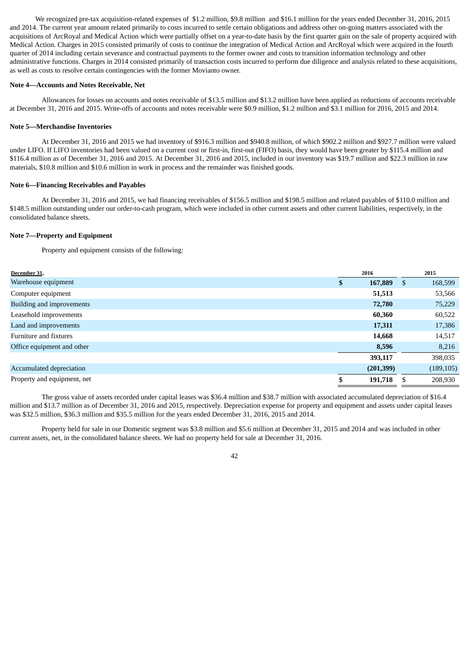We recognized pre-tax acquisition-related expenses of \$1.2 million, \$9.8 million and \$16.1 million for the years ended December 31, 2016, 2015 and 2014. The current year amount related primarily to costs incurred to settle certain obligations and address other on-going matters associated with the acquisitions of ArcRoyal and Medical Action which were partially offset on a year-to-date basis by the first quarter gain on the sale of property acquired with Medical Action. Charges in 2015 consisted primarily of costs to continue the integration of Medical Action and ArcRoyal which were acquired in the fourth quarter of 2014 including certain severance and contractual payments to the former owner and costs to transition information technology and other administrative functions. Charges in 2014 consisted primarily of transaction costs incurred to perform due diligence and analysis related to these acquisitions, as well as costs to resolve certain contingencies with the former Movianto owner.

### **Note 4—Accounts and Notes Receivable, Net**

Allowances for losses on accounts and notes receivable of \$13.5 million and \$13.2 million have been applied as reductions of accounts receivable at December 31, 2016 and 2015. Write-offs of accounts and notes receivable were \$0.9 million, \$1.2 million and \$3.1 million for 2016, 2015 and 2014.

### **Note 5—Merchandise Inventories**

At December 31, 2016 and 2015 we had inventory of \$916.3 million and \$940.8 million, of which \$902.2 million and \$927.7 million were valued under LIFO. If LIFO inventories had been valued on a current cost or first-in, first-out (FIFO) basis, they would have been greater by \$115.4 million and \$116.4 million as of December 31, 2016 and 2015. At December 31, 2016 and 2015, included in our inventory was \$19.7 million and \$22.3 million in raw materials, \$10.8 million and \$10.6 million in work in process and the remainder was finished goods.

## **Note 6—Financing Receivables and Payables**

At December 31, 2016 and 2015, we had financing receivables of \$156.5 million and \$198.5 million and related payables of \$110.0 million and \$148.5 million outstanding under our order-to-cash program, which were included in other current assets and other current liabilities, respectively, in the consolidated balance sheets.

#### **Note 7—Property and Equipment**

Property and equipment consists of the following:

| December 31,                |   | 2016       |               | 2015       |
|-----------------------------|---|------------|---------------|------------|
| Warehouse equipment         | D | 167,889    | <sup>\$</sup> | 168,599    |
| Computer equipment          |   | 51,513     |               | 53,566     |
| Building and improvements   |   | 72,780     |               | 75,229     |
| Leasehold improvements      |   | 60,360     |               | 60,522     |
| Land and improvements       |   | 17,311     |               | 17,386     |
| Furniture and fixtures      |   | 14,668     |               | 14,517     |
| Office equipment and other  |   | 8,596      |               | 8,216      |
|                             |   | 393,117    |               | 398,035    |
| Accumulated depreciation    |   | (201, 399) |               | (189, 105) |
| Property and equipment, net | S | 191,718    |               | 208,930    |

The gross value of assets recorded under capital leases was \$36.4 million and \$38.7 million with associated accumulated depreciation of \$16.4 million and \$13.7 million as of December 31, 2016 and 2015, respectively. Depreciation expense for property and equipment and assets under capital leases was \$32.5 million, \$36.3 million and \$35.5 million for the years ended December 31, 2016, 2015 and 2014.

Property held for sale in our Domestic segment was \$3.8 million and \$5.6 million at December 31, 2015 and 2014 and was included in other current assets, net, in the consolidated balance sheets. We had no property held for sale at December 31, 2016.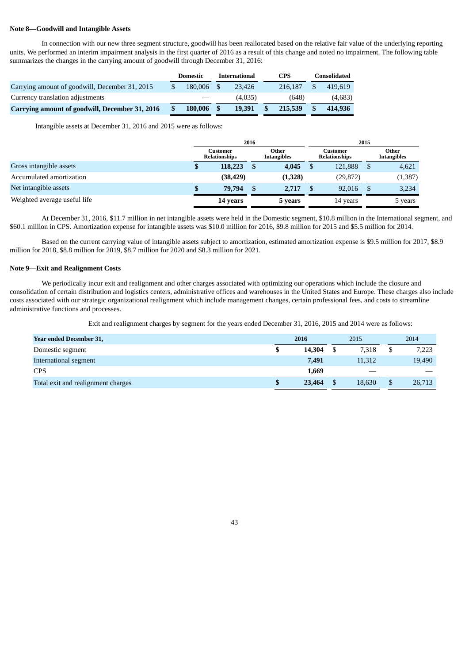### **Note 8—Goodwill and Intangible Assets**

In connection with our new three segment structure, goodwill has been reallocated based on the relative fair value of the underlying reporting units. We performed an interim impairment analysis in the first quarter of 2016 as a result of this change and noted no impairment. The following table summarizes the changes in the carrying amount of goodwill through December 31, 2016:

|                                                       | Domestic | International | CPS     | Consolidated |
|-------------------------------------------------------|----------|---------------|---------|--------------|
| Carrying amount of goodwill, December 31, 2015        | 180.006  | 23.426        | 216.187 | 419.619      |
| Currency translation adjustments                      |          | (4.035)       | (648)   | (4.683)      |
| <b>Carrying amount of goodwill, December 31, 2016</b> | 180,006  | 19,391        | 215,539 | 414.936      |

Intangible assets at December 31, 2016 and 2015 were as follows:

|                              | 2016                             |  |                             |  | 2015                             |  |                             |  |
|------------------------------|----------------------------------|--|-----------------------------|--|----------------------------------|--|-----------------------------|--|
|                              | Customer<br><b>Relationships</b> |  | Other<br><b>Intangibles</b> |  | Customer<br><b>Relationships</b> |  | Other<br><b>Intangibles</b> |  |
| Gross intangible assets      | \$<br>118,223                    |  | 4,045                       |  | 121,888                          |  | 4,621                       |  |
| Accumulated amortization     | (38, 429)                        |  | (1,328)                     |  | (29, 872)                        |  | (1, 387)                    |  |
| Net intangible assets        | 79,794                           |  | 2,717                       |  | 92,016                           |  | 3.234                       |  |
| Weighted average useful life | 14 years                         |  | 5 years                     |  | 14 years                         |  | 5 years                     |  |

At December 31, 2016, \$11.7 million in net intangible assets were held in the Domestic segment, \$10.8 million in the International segment, and \$60.1 million in CPS. Amortization expense for intangible assets was \$10.0 million for 2016, \$9.8 million for 2015 and \$5.5 million for 2014.

Based on the current carrying value of intangible assets subject to amortization, estimated amortization expense is \$9.5 million for 2017, \$8.9 million for 2018, \$8.8 million for 2019, \$8.7 million for 2020 and \$8.3 million for 2021.

### **Note 9—Exit and Realignment Costs**

We periodically incur exit and realignment and other charges associated with optimizing our operations which include the closure and consolidation of certain distribution and logistics centers, administrative offices and warehouses in the United States and Europe. These charges also include costs associated with our strategic organizational realignment which include management changes, certain professional fees, and costs to streamline administrative functions and processes.

Exit and realignment charges by segment for the years ended December 31, 2016, 2015 and 2014 were as follows:

| Year ended December 31,            |   | 2016   | 2015   | 2014   |
|------------------------------------|---|--------|--------|--------|
| Domestic segment                   |   | 14,304 | 7.318  | 7,223  |
| International segment              |   | 7.491  | 11.312 | 19,490 |
| <b>CPS</b>                         |   | 1,669  | _      |        |
| Total exit and realignment charges | S | 23,464 | 18.630 | 26,713 |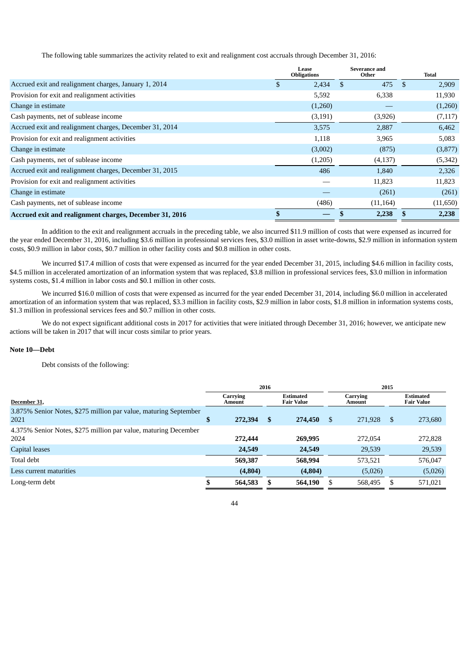The following table summarizes the activity related to exit and realignment cost accruals through December 31, 2016:

|                                                         | Lease<br><b>Obligations</b> |     | <b>Severance and</b><br>Other | <b>Total</b> |
|---------------------------------------------------------|-----------------------------|-----|-------------------------------|--------------|
| Accrued exit and realignment charges, January 1, 2014   | \$<br>2,434                 | -\$ | 475                           | \$<br>2,909  |
| Provision for exit and realignment activities           | 5,592                       |     | 6,338                         | 11,930       |
| Change in estimate                                      | (1,260)                     |     |                               | (1,260)      |
| Cash payments, net of sublease income                   | (3, 191)                    |     | (3,926)                       | (7, 117)     |
| Accrued exit and realignment charges, December 31, 2014 | 3,575                       |     | 2,887                         | 6,462        |
| Provision for exit and realignment activities           | 1,118                       |     | 3,965                         | 5,083        |
| Change in estimate                                      | (3,002)                     |     | (875)                         | (3,877)      |
| Cash payments, net of sublease income                   | (1,205)                     |     | (4,137)                       | (5,342)      |
| Accrued exit and realignment charges, December 31, 2015 | 486                         |     | 1,840                         | 2,326        |
| Provision for exit and realignment activities           |                             |     | 11,823                        | 11,823       |
| Change in estimate                                      |                             |     | (261)                         | (261)        |
| Cash payments, net of sublease income                   | (486)                       |     | (11, 164)                     | (11,650)     |
| Accrued exit and realignment charges, December 31, 2016 | \$                          |     | 2,238                         | 2,238        |

In addition to the exit and realignment accruals in the preceding table, we also incurred \$11.9 million of costs that were expensed as incurred for the year ended December 31, 2016, including \$3.6 million in professional services fees, \$3.0 million in asset write-downs, \$2.9 million in information system costs, \$0.9 million in labor costs, \$0.7 million in other facility costs and \$0.8 million in other costs.

We incurred \$17.4 million of costs that were expensed as incurred for the year ended December 31, 2015, including \$4.6 million in facility costs, \$4.5 million in accelerated amortization of an information system that was replaced, \$3.8 million in professional services fees, \$3.0 million in information systems costs, \$1.4 million in labor costs and \$0.1 million in other costs.

We incurred \$16.0 million of costs that were expensed as incurred for the year ended December 31, 2014, including \$6.0 million in accelerated amortization of an information system that was replaced, \$3.3 million in facility costs, \$2.9 million in labor costs, \$1.8 million in information systems costs, \$1.3 million in professional services fees and \$0.7 million in other costs.

We do not expect significant additional costs in 2017 for activities that were initiated through December 31, 2016; however, we anticipate new actions will be taken in 2017 that will incur costs similar to prior years.

# **Note 10—Debt**

Debt consists of the following:

|                                                                          | 2016 |                    |               |                                       |      | 2015               |               |                                       |
|--------------------------------------------------------------------------|------|--------------------|---------------|---------------------------------------|------|--------------------|---------------|---------------------------------------|
| December 31,                                                             |      | Carrying<br>Amount |               | <b>Estimated</b><br><b>Fair Value</b> |      | Carrying<br>Amount |               | <b>Estimated</b><br><b>Fair Value</b> |
| 3.875% Senior Notes, \$275 million par value, maturing September<br>2021 | \$   | 272,394            | <sup>\$</sup> | 274,450                               | - \$ | 271,928            | <sup>\$</sup> | 273,680                               |
| 4.375% Senior Notes, \$275 million par value, maturing December<br>2024  |      | 272,444            |               | 269,995                               |      | 272,054            |               | 272,828                               |
| Capital leases                                                           |      | 24,549             |               | 24,549                                |      | 29,539             |               | 29,539                                |
| Total debt                                                               |      | 569,387            |               | 568,994                               |      | 573,521            |               | 576,047                               |
| Less current maturities                                                  |      | (4,804)            |               | (4,804)                               |      | (5,026)            |               | (5,026)                               |
| Long-term debt                                                           |      | 564,583            |               | 564,190                               |      | 568,495            |               | 571,021                               |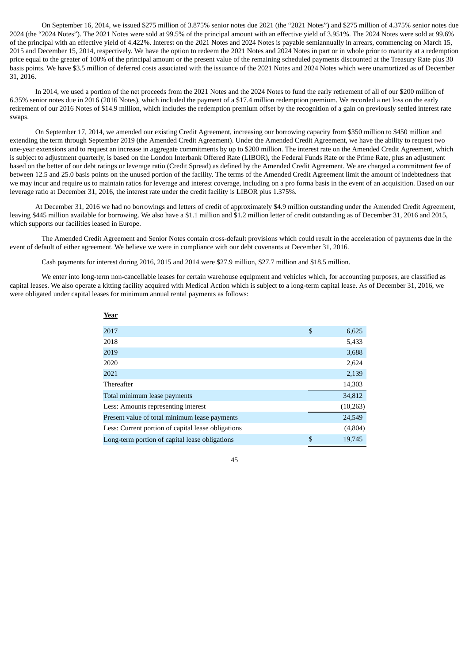On September 16, 2014, we issued \$275 million of 3.875% senior notes due 2021 (the "2021 Notes") and \$275 million of 4.375% senior notes due 2024 (the "2024 Notes"). The 2021 Notes were sold at 99.5% of the principal amount with an effective yield of 3.951%. The 2024 Notes were sold at 99.6% of the principal with an effective yield of 4.422%. Interest on the 2021 Notes and 2024 Notes is payable semiannually in arrears, commencing on March 15, 2015 and December 15, 2014, respectively. We have the option to redeem the 2021 Notes and 2024 Notes in part or in whole prior to maturity at a redemption price equal to the greater of 100% of the principal amount or the present value of the remaining scheduled payments discounted at the Treasury Rate plus 30 basis points. We have \$3.5 million of deferred costs associated with the issuance of the 2021 Notes and 2024 Notes which were unamortized as of December 31, 2016.

In 2014, we used a portion of the net proceeds from the 2021 Notes and the 2024 Notes to fund the early retirement of all of our \$200 million of 6.35% senior notes due in 2016 (2016 Notes), which included the payment of a \$17.4 million redemption premium. We recorded a net loss on the early retirement of our 2016 Notes of \$14.9 million, which includes the redemption premium offset by the recognition of a gain on previously settled interest rate swaps.

On September 17, 2014, we amended our existing Credit Agreement, increasing our borrowing capacity from \$350 million to \$450 million and extending the term through September 2019 (the Amended Credit Agreement). Under the Amended Credit Agreement, we have the ability to request two one-year extensions and to request an increase in aggregate commitments by up to \$200 million. The interest rate on the Amended Credit Agreement, which is subject to adjustment quarterly, is based on the London Interbank Offered Rate (LIBOR), the Federal Funds Rate or the Prime Rate, plus an adjustment based on the better of our debt ratings or leverage ratio (Credit Spread) as defined by the Amended Credit Agreement. We are charged a commitment fee of between 12.5 and 25.0 basis points on the unused portion of the facility. The terms of the Amended Credit Agreement limit the amount of indebtedness that we may incur and require us to maintain ratios for leverage and interest coverage, including on a pro forma basis in the event of an acquisition. Based on our leverage ratio at December 31, 2016, the interest rate under the credit facility is LIBOR plus 1.375%.

At December 31, 2016 we had no borrowings and letters of credit of approximately \$4.9 million outstanding under the Amended Credit Agreement, leaving \$445 million available for borrowing. We also have a \$1.1 million and \$1.2 million letter of credit outstanding as of December 31, 2016 and 2015, which supports our facilities leased in Europe.

The Amended Credit Agreement and Senior Notes contain cross-default provisions which could result in the acceleration of payments due in the event of default of either agreement. We believe we were in compliance with our debt covenants at December 31, 2016.

Cash payments for interest during 2016, 2015 and 2014 were \$27.9 million, \$27.7 million and \$18.5 million.

**Year**

We enter into long-term non-cancellable leases for certain warehouse equipment and vehicles which, for accounting purposes, are classified as capital leases. We also operate a kitting facility acquired with Medical Action which is subject to a long-term capital lease. As of December 31, 2016, we were obligated under capital leases for minimum annual rental payments as follows:

| $-$ - $-$                                          |     |           |
|----------------------------------------------------|-----|-----------|
| 2017                                               | \$  | 6,625     |
| 2018                                               |     | 5,433     |
| 2019                                               |     | 3,688     |
| 2020                                               |     | 2,624     |
| 2021                                               |     | 2,139     |
| <b>Thereafter</b>                                  |     | 14,303    |
| Total minimum lease payments                       |     | 34,812    |
| Less: Amounts representing interest                |     | (10, 263) |
| Present value of total minimum lease payments      |     | 24,549    |
| Less: Current portion of capital lease obligations |     | (4,804)   |
| Long-term portion of capital lease obligations     | \$. | 19,745    |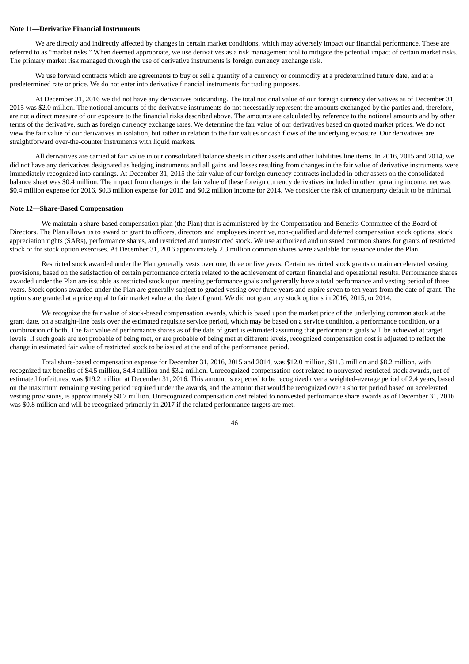### **Note 11—Derivative Financial Instruments**

We are directly and indirectly affected by changes in certain market conditions, which may adversely impact our financial performance. These are referred to as "market risks." When deemed appropriate, we use derivatives as a risk management tool to mitigate the potential impact of certain market risks. The primary market risk managed through the use of derivative instruments is foreign currency exchange risk.

We use forward contracts which are agreements to buy or sell a quantity of a currency or commodity at a predetermined future date, and at a predetermined rate or price. We do not enter into derivative financial instruments for trading purposes.

At December 31, 2016 we did not have any derivatives outstanding. The total notional value of our foreign currency derivatives as of December 31, 2015 was \$2.0 million. The notional amounts of the derivative instruments do not necessarily represent the amounts exchanged by the parties and, therefore, are not a direct measure of our exposure to the financial risks described above. The amounts are calculated by reference to the notional amounts and by other terms of the derivative, such as foreign currency exchange rates. We determine the fair value of our derivatives based on quoted market prices. We do not view the fair value of our derivatives in isolation, but rather in relation to the fair values or cash flows of the underlying exposure. Our derivatives are straightforward over-the-counter instruments with liquid markets.

All derivatives are carried at fair value in our consolidated balance sheets in other assets and other liabilities line items. In 2016, 2015 and 2014, we did not have any derivatives designated as hedging instruments and all gains and losses resulting from changes in the fair value of derivative instruments were immediately recognized into earnings. At December 31, 2015 the fair value of our foreign currency contracts included in other assets on the consolidated balance sheet was \$0.4 million. The impact from changes in the fair value of these foreign currency derivatives included in other operating income, net was \$0.4 million expense for 2016, \$0.3 million expense for 2015 and \$0.2 million income for 2014. We consider the risk of counterparty default to be minimal.

#### **Note 12—Share-Based Compensation**

We maintain a share-based compensation plan (the Plan) that is administered by the Compensation and Benefits Committee of the Board of Directors. The Plan allows us to award or grant to officers, directors and employees incentive, non-qualified and deferred compensation stock options, stock appreciation rights (SARs), performance shares, and restricted and unrestricted stock. We use authorized and unissued common shares for grants of restricted stock or for stock option exercises. At December 31, 2016 approximately 2.3 million common shares were available for issuance under the Plan.

Restricted stock awarded under the Plan generally vests over one, three or five years. Certain restricted stock grants contain accelerated vesting provisions, based on the satisfaction of certain performance criteria related to the achievement of certain financial and operational results. Performance shares awarded under the Plan are issuable as restricted stock upon meeting performance goals and generally have a total performance and vesting period of three years. Stock options awarded under the Plan are generally subject to graded vesting over three years and expire seven to ten years from the date of grant. The options are granted at a price equal to fair market value at the date of grant. We did not grant any stock options in 2016, 2015, or 2014.

We recognize the fair value of stock-based compensation awards, which is based upon the market price of the underlying common stock at the grant date, on a straight-line basis over the estimated requisite service period, which may be based on a service condition, a performance condition, or a combination of both. The fair value of performance shares as of the date of grant is estimated assuming that performance goals will be achieved at target levels. If such goals are not probable of being met, or are probable of being met at different levels, recognized compensation cost is adjusted to reflect the change in estimated fair value of restricted stock to be issued at the end of the performance period.

Total share-based compensation expense for December 31, 2016, 2015 and 2014, was \$12.0 million, \$11.3 million and \$8.2 million, with recognized tax benefits of \$4.5 million, \$4.4 million and \$3.2 million. Unrecognized compensation cost related to nonvested restricted stock awards, net of estimated forfeitures, was \$19.2 million at December 31, 2016. This amount is expected to be recognized over a weighted-average period of 2.4 years, based on the maximum remaining vesting period required under the awards, and the amount that would be recognized over a shorter period based on accelerated vesting provisions, is approximately \$0.7 million. Unrecognized compensation cost related to nonvested performance share awards as of December 31, 2016 was \$0.8 million and will be recognized primarily in 2017 if the related performance targets are met.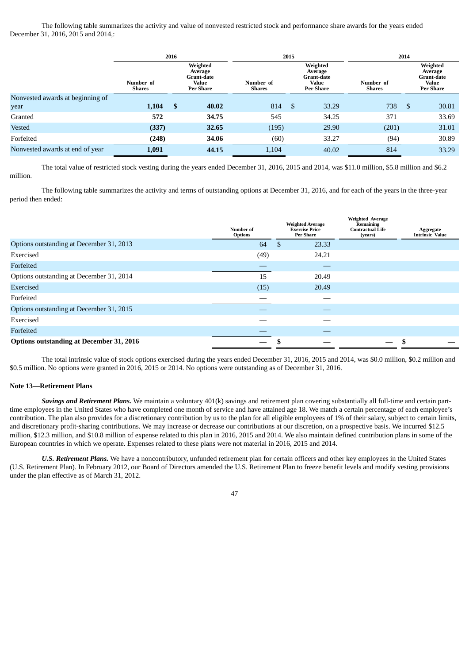The following table summarizes the activity and value of nonvested restricted stock and performance share awards for the years ended December 31, 2016, 2015 and 2014,:

|                                  | 2016                       |      |                                                                       | 2015                |    | 2014                                                                  |                            |     |                                                                       |
|----------------------------------|----------------------------|------|-----------------------------------------------------------------------|---------------------|----|-----------------------------------------------------------------------|----------------------------|-----|-----------------------------------------------------------------------|
|                                  | Number of<br><b>Shares</b> |      | Weighted<br>Average<br><b>Grant-date</b><br>Value<br><b>Per Share</b> | Number of<br>Shares |    | Weighted<br>Average<br><b>Grant-date</b><br>Value<br><b>Per Share</b> | Number of<br><b>Shares</b> |     | Weighted<br>Average<br><b>Grant-date</b><br>Value<br><b>Per Share</b> |
| Nonvested awards at beginning of |                            |      |                                                                       |                     |    |                                                                       |                            |     |                                                                       |
| year                             | 1,104                      | - \$ | 40.02                                                                 | 814                 | \$ | 33.29                                                                 | 738                        | -\$ | 30.81                                                                 |
| Granted                          | 572                        |      | 34.75                                                                 | 545                 |    | 34.25                                                                 | 371                        |     | 33.69                                                                 |
| Vested                           | (337)                      |      | 32.65                                                                 | (195)               |    | 29.90                                                                 | (201)                      |     | 31.01                                                                 |
| Forfeited                        | (248)                      |      | 34.06                                                                 | (60)                |    | 33.27                                                                 | (94)                       |     | 30.89                                                                 |
| Nonvested awards at end of year  | 1,091                      |      | 44.15                                                                 | 1,104               |    | 40.02                                                                 | 814                        |     | 33.29                                                                 |

The total value of restricted stock vesting during the years ended December 31, 2016, 2015 and 2014, was \$11.0 million, \$5.8 million and \$6.2 million.

The following table summarizes the activity and terms of outstanding options at December 31, 2016, and for each of the years in the three-year period then ended:

|                                                 | Number of<br><b>Options</b> | <b>Weighted Average</b><br><b>Exercise Price</b><br>Per Share | <b>Weighted Average</b><br>Remaining<br><b>Contractual Life</b><br>(years) | Aggregate<br><b>Intrinsic Value</b> |
|-------------------------------------------------|-----------------------------|---------------------------------------------------------------|----------------------------------------------------------------------------|-------------------------------------|
| Options outstanding at December 31, 2013        | 64                          | 23.33<br>-S                                                   |                                                                            |                                     |
| Exercised                                       | (49)                        | 24.21                                                         |                                                                            |                                     |
| Forfeited                                       |                             |                                                               |                                                                            |                                     |
| Options outstanding at December 31, 2014        | 15                          | 20.49                                                         |                                                                            |                                     |
| Exercised                                       | (15)                        | 20.49                                                         |                                                                            |                                     |
| Forfeited                                       |                             |                                                               |                                                                            |                                     |
| Options outstanding at December 31, 2015        |                             |                                                               |                                                                            |                                     |
| Exercised                                       |                             |                                                               |                                                                            |                                     |
| Forfeited                                       |                             |                                                               |                                                                            |                                     |
| <b>Options outstanding at December 31, 2016</b> |                             |                                                               |                                                                            |                                     |

The total intrinsic value of stock options exercised during the years ended December 31, 2016, 2015 and 2014, was \$0.0 million, \$0.2 million and \$0.5 million. No options were granted in 2016, 2015 or 2014. No options were outstanding as of December 31, 2016.

### **Note 13—Retirement Plans**

*Savings and Retirement Plans.* We maintain a voluntary 401(k) savings and retirement plan covering substantially all full-time and certain parttime employees in the United States who have completed one month of service and have attained age 18. We match a certain percentage of each employee's contribution. The plan also provides for a discretionary contribution by us to the plan for all eligible employees of 1% of their salary, subject to certain limits, and discretionary profit-sharing contributions. We may increase or decrease our contributions at our discretion, on a prospective basis. We incurred \$12.5 million, \$12.3 million, and \$10.8 million of expense related to this plan in 2016, 2015 and 2014. We also maintain defined contribution plans in some of the European countries in which we operate. Expenses related to these plans were not material in 2016, 2015 and 2014.

*U.S. Retirement Plans.* We have a noncontributory, unfunded retirement plan for certain officers and other key employees in the United States (U.S. Retirement Plan). In February 2012, our Board of Directors amended the U.S. Retirement Plan to freeze benefit levels and modify vesting provisions under the plan effective as of March 31, 2012.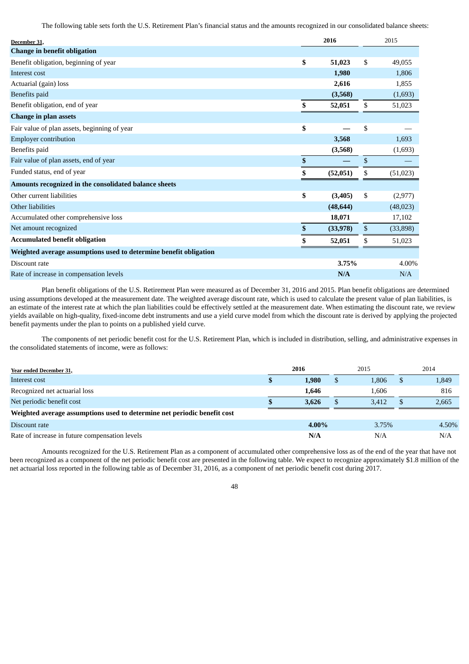The following table sets forth the U.S. Retirement Plan's financial status and the amounts recognized in our consolidated balance sheets:

| December 31,                                                      | 2016           | 2015           |
|-------------------------------------------------------------------|----------------|----------------|
| <b>Change in benefit obligation</b>                               |                |                |
| Benefit obligation, beginning of year                             | \$<br>51,023   | \$<br>49,055   |
| Interest cost                                                     | 1,980          | 1,806          |
| Actuarial (gain) loss                                             | 2,616          | 1,855          |
| <b>Benefits</b> paid                                              | (3,568)        | (1,693)        |
| Benefit obligation, end of year                                   | \$<br>52,051   | \$<br>51,023   |
| <b>Change in plan assets</b>                                      |                |                |
| Fair value of plan assets, beginning of year                      | \$             | \$             |
| <b>Employer contribution</b>                                      | 3,568          | 1,693          |
| Benefits paid                                                     | (3,568)        | (1,693)        |
| Fair value of plan assets, end of year                            | \$             | \$             |
| Funded status, end of year                                        | \$<br>(52,051) | \$<br>(51,023) |
| Amounts recognized in the consolidated balance sheets             |                |                |
| Other current liabilities                                         | \$<br>(3,405)  | \$<br>(2,977)  |
| Other liabilities                                                 | (48, 644)      | (48, 023)      |
| Accumulated other comprehensive loss                              | 18,071         | 17,102         |
| Net amount recognized                                             | \$<br>(33,978) | \$<br>(33,898) |
| <b>Accumulated benefit obligation</b>                             | \$<br>52,051   | \$<br>51,023   |
| Weighted average assumptions used to determine benefit obligation |                |                |
| Discount rate                                                     | 3.75%          | 4.00%          |
| Rate of increase in compensation levels                           | N/A            | N/A            |

Plan benefit obligations of the U.S. Retirement Plan were measured as of December 31, 2016 and 2015. Plan benefit obligations are determined using assumptions developed at the measurement date. The weighted average discount rate, which is used to calculate the present value of plan liabilities, is an estimate of the interest rate at which the plan liabilities could be effectively settled at the measurement date. When estimating the discount rate, we review yields available on high-quality, fixed-income debt instruments and use a yield curve model from which the discount rate is derived by applying the projected benefit payments under the plan to points on a published yield curve.

The components of net periodic benefit cost for the U.S. Retirement Plan, which is included in distribution, selling, and administrative expenses in the consolidated statements of income, were as follows:

| Year ended December 31,                                                  | 2016  |    | 2015  | 2014  |
|--------------------------------------------------------------------------|-------|----|-------|-------|
| Interest cost                                                            | 1.980 | S. | 1,806 | 1,849 |
| Recognized net actuarial loss                                            | 1.646 |    | 1.606 | 816   |
| Net periodic benefit cost                                                | 3.626 | S. | 3.412 | 2.665 |
| Weighted average assumptions used to determine net periodic benefit cost |       |    |       |       |
| Discount rate                                                            | 4.00% |    | 3.75% | 4.50% |
| Rate of increase in future compensation levels                           | N/A   |    | N/A   | N/A   |

Amounts recognized for the U.S. Retirement Plan as a component of accumulated other comprehensive loss as of the end of the year that have not been recognized as a component of the net periodic benefit cost are presented in the following table. We expect to recognize approximately \$1.8 million of the net actuarial loss reported in the following table as of December 31, 2016, as a component of net periodic benefit cost during 2017.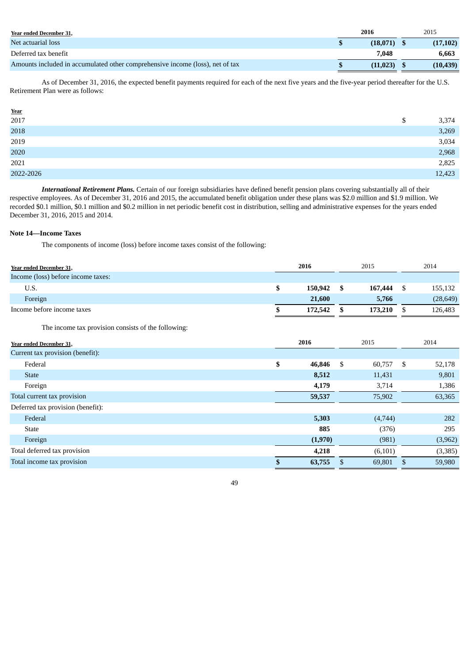| Year ended December 31,                                                       | 2016 |           | 2015      |
|-------------------------------------------------------------------------------|------|-----------|-----------|
| Net actuarial loss                                                            |      | (18,071)  | (17, 102) |
| Deferred tax benefit                                                          |      | 7.048     | 6,663     |
| Amounts included in accumulated other comprehensive income (loss), net of tax |      | (11, 023) | (10, 439) |

As of December 31, 2016, the expected benefit payments required for each of the next five years and the five-year period thereafter for the U.S. Retirement Plan were as follows:

| <u>Year</u> |             |
|-------------|-------------|
| 2017        | \$<br>3,374 |
| 2018        | 3,269       |
| 2019        | 3,034       |
| 2020        | 2,968       |
| 2021        | 2,825       |
| 2022-2026   | 12,423      |

*International Retirement Plans.* Certain of our foreign subsidiaries have defined benefit pension plans covering substantially all of their respective employees. As of December 31, 2016 and 2015, the accumulated benefit obligation under these plans was \$2.0 million and \$1.9 million. We recorded \$0.1 million, \$0.1 million and \$0.2 million in net periodic benefit cost in distribution, selling and administrative expenses for the years ended December 31, 2016, 2015 and 2014.

# **Note 14—Income Taxes**

The components of income (loss) before income taxes consist of the following:

| Year ended December 31,            | 2016    | 2015 |         |  | 2014      |  |  |
|------------------------------------|---------|------|---------|--|-----------|--|--|
| Income (loss) before income taxes: |         |      |         |  |           |  |  |
| U.S.                               | 150,942 |      | 167,444 |  | 155,132   |  |  |
| Foreign                            | 21,600  |      | 5,766   |  | (28, 649) |  |  |
| Income before income taxes         | 172,542 |      | 173,210 |  | 126,483   |  |  |

The income tax provision consists of the following:

| Year ended December 31,           | 2016 |         | 2015 |         |    | 2014     |
|-----------------------------------|------|---------|------|---------|----|----------|
| Current tax provision (benefit):  |      |         |      |         |    |          |
| Federal                           | \$   | 46,846  | \$   | 60,757  | -S | 52,178   |
| <b>State</b>                      |      | 8,512   |      | 11,431  |    | 9,801    |
| Foreign                           |      | 4,179   |      | 3,714   |    | 1,386    |
| Total current tax provision       |      | 59,537  |      | 75,902  |    | 63,365   |
| Deferred tax provision (benefit): |      |         |      |         |    |          |
| Federal                           |      | 5,303   |      | (4,744) |    | 282      |
| <b>State</b>                      |      | 885     |      | (376)   |    | 295      |
| Foreign                           |      | (1,970) |      | (981)   |    | (3,962)  |
| Total deferred tax provision      |      | 4,218   |      | (6,101) |    | (3, 385) |
| Total income tax provision        |      | 63,755  |      | 69,801  |    | 59,980   |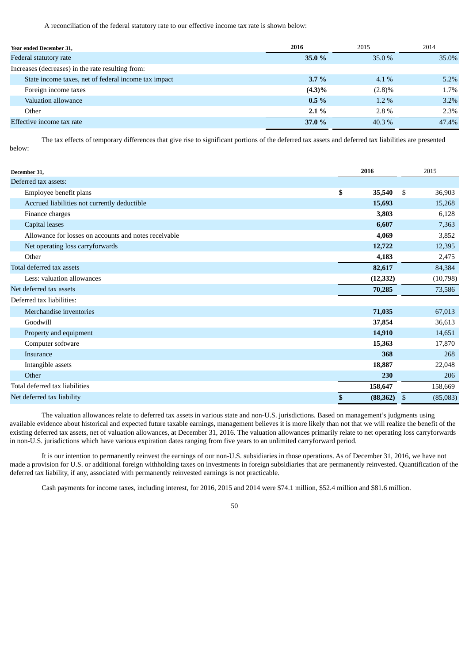A reconciliation of the federal statutory rate to our effective income tax rate is shown below:

| Year ended December 31,                              | 2016          | 2015      | 2014    |
|------------------------------------------------------|---------------|-----------|---------|
| Federal statutory rate                               | 35.0%         | 35.0%     | 35.0%   |
| Increases (decreases) in the rate resulting from:    |               |           |         |
| State income taxes, net of federal income tax impact | 3.7%          | $4.1\%$   | $5.2\%$ |
| Foreign income taxes                                 | $(4.3)\%$     | $(2.8)\%$ | 1.7%    |
| Valuation allowance                                  | $0.5\%$       | $1.2\%$   | $3.2\%$ |
| Other                                                | $2.1\%$       | 2.8%      | 2.3%    |
| Effective income tax rate                            | <b>37.0 %</b> | 40.3%     | 47.4%   |

The tax effects of temporary differences that give rise to significant portions of the deferred tax assets and deferred tax liabilities are presented below:

| December 31,                                          | 2016 |           |      | 2015     |
|-------------------------------------------------------|------|-----------|------|----------|
| Deferred tax assets:                                  |      |           |      |          |
| Employee benefit plans                                | \$   | 35,540    | S.   | 36,903   |
| Accrued liabilities not currently deductible          |      | 15,693    |      | 15,268   |
| Finance charges                                       |      | 3,803     |      | 6,128    |
| Capital leases                                        |      | 6,607     |      | 7,363    |
| Allowance for losses on accounts and notes receivable |      | 4,069     |      | 3,852    |
| Net operating loss carryforwards                      |      | 12,722    |      | 12,395   |
| Other                                                 |      | 4,183     |      | 2,475    |
| Total deferred tax assets                             |      | 82,617    |      | 84,384   |
| Less: valuation allowances                            |      | (12, 332) |      | (10,798) |
| Net deferred tax assets                               |      | 70,285    |      | 73,586   |
| Deferred tax liabilities:                             |      |           |      |          |
| Merchandise inventories                               |      | 71,035    |      | 67,013   |
| Goodwill                                              |      | 37,854    |      | 36,613   |
| Property and equipment                                |      | 14,910    |      | 14,651   |
| Computer software                                     |      | 15,363    |      | 17,870   |
| Insurance                                             |      | 368       |      | 268      |
| Intangible assets                                     |      | 18,887    |      | 22,048   |
| Other                                                 |      | 230       |      | 206      |
| Total deferred tax liabilities                        |      | 158,647   |      | 158,669  |
| Net deferred tax liability                            | \$   | (88, 362) | - \$ | (85,083) |

The valuation allowances relate to deferred tax assets in various state and non-U.S. jurisdictions. Based on management's judgments using available evidence about historical and expected future taxable earnings, management believes it is more likely than not that we will realize the benefit of the existing deferred tax assets, net of valuation allowances, at December 31, 2016. The valuation allowances primarily relate to net operating loss carryforwards in non-U.S. jurisdictions which have various expiration dates ranging from five years to an unlimited carryforward period.

It is our intention to permanently reinvest the earnings of our non-U.S. subsidiaries in those operations. As of December 31, 2016, we have not made a provision for U.S. or additional foreign withholding taxes on investments in foreign subsidiaries that are permanently reinvested. Quantification of the deferred tax liability, if any, associated with permanently reinvested earnings is not practicable.

Cash payments for income taxes, including interest, for 2016, 2015 and 2014 were \$74.1 million, \$52.4 million and \$81.6 million.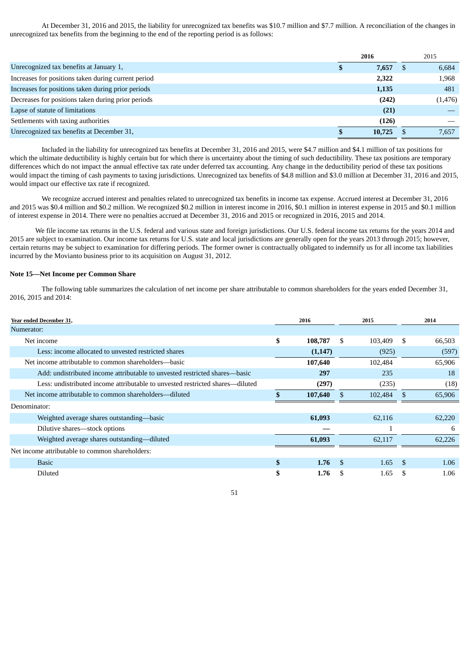At December 31, 2016 and 2015, the liability for unrecognized tax benefits was \$10.7 million and \$7.7 million. A reconciliation of the changes in unrecognized tax benefits from the beginning to the end of the reporting period is as follows:

|                                                     | 2016 |        |     | 2015     |
|-----------------------------------------------------|------|--------|-----|----------|
| Unrecognized tax benefits at January 1,             |      | 7,657  | - S | 6.684    |
| Increases for positions taken during current period |      | 2,322  |     | 1,968    |
| Increases for positions taken during prior periods  |      | 1,135  |     | 481      |
| Decreases for positions taken during prior periods  |      | (242)  |     | (1, 476) |
| Lapse of statute of limitations                     |      | (21)   |     |          |
| Settlements with taxing authorities                 |      | (126)  |     |          |
| Unrecognized tax benefits at December 31,           |      | 10,725 |     | 7,657    |

Included in the liability for unrecognized tax benefits at December 31, 2016 and 2015, were \$4.7 million and \$4.1 million of tax positions for which the ultimate deductibility is highly certain but for which there is uncertainty about the timing of such deductibility. These tax positions are temporary differences which do not impact the annual effective tax rate under deferred tax accounting. Any change in the deductibility period of these tax positions would impact the timing of cash payments to taxing jurisdictions. Unrecognized tax benefits of \$4.8 million and \$3.0 million at December 31, 2016 and 2015, would impact our effective tax rate if recognized.

We recognize accrued interest and penalties related to unrecognized tax benefits in income tax expense. Accrued interest at December 31, 2016 and 2015 was \$0.4 million and \$0.2 million. We recognized \$0.2 million in interest income in 2016, \$0.1 million in interest expense in 2015 and \$0.1 million of interest expense in 2014. There were no penalties accrued at December 31, 2016 and 2015 or recognized in 2016, 2015 and 2014.

We file income tax returns in the U.S. federal and various state and foreign jurisdictions. Our U.S. federal income tax returns for the years 2014 and 2015 are subject to examination. Our income tax returns for U.S. state and local jurisdictions are generally open for the years 2013 through 2015; however, certain returns may be subject to examination for differing periods. The former owner is contractually obligated to indemnify us for all income tax liabilities incurred by the Movianto business prior to its acquisition on August 31, 2012.

### **Note 15—Net Income per Common Share**

The following table summarizes the calculation of net income per share attributable to common shareholders for the years ended December 31, 2016, 2015 and 2014:

| Year ended December 31,                                                       | 2016 |         |     |         |     |        | 2015 |  |  | 2014 |
|-------------------------------------------------------------------------------|------|---------|-----|---------|-----|--------|------|--|--|------|
| Numerator:                                                                    |      |         |     |         |     |        |      |  |  |      |
| Net income                                                                    | \$   | 108,787 | \$. | 103,409 | -S  | 66,503 |      |  |  |      |
| Less: income allocated to unvested restricted shares                          |      | (1,147) |     | (925)   |     | (597)  |      |  |  |      |
| Net income attributable to common shareholders—basic                          |      | 107,640 |     | 102,484 |     | 65,906 |      |  |  |      |
| Add: undistributed income attributable to unvested restricted shares—basic    |      | 297     |     | 235     |     | 18     |      |  |  |      |
| Less: undistributed income attributable to unvested restricted shares—diluted |      | (297)   |     | (235)   |     | (18)   |      |  |  |      |
| Net income attributable to common shareholders—diluted                        |      | 107,640 |     | 102,484 |     | 65,906 |      |  |  |      |
| Denominator:                                                                  |      |         |     |         |     |        |      |  |  |      |
| Weighted average shares outstanding—basic                                     |      | 61,093  |     | 62,116  |     | 62,220 |      |  |  |      |
| Dilutive shares—stock options                                                 |      |         |     |         |     | 6      |      |  |  |      |
| Weighted average shares outstanding—diluted                                   |      | 61,093  |     | 62,117  |     | 62,226 |      |  |  |      |
| Net income attributable to common shareholders:                               |      |         |     |         |     |        |      |  |  |      |
| <b>Basic</b>                                                                  | \$   | 1.76    | -S  | 1.65    | -\$ | 1.06   |      |  |  |      |
| Diluted                                                                       | \$   | 1.76    | \$. | 1.65    | .S  | 1.06   |      |  |  |      |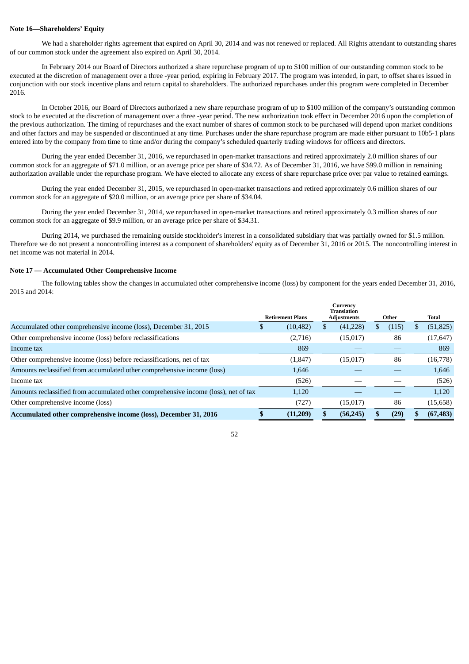### **Note 16—Shareholders' Equity**

We had a shareholder rights agreement that expired on April 30, 2014 and was not renewed or replaced. All Rights attendant to outstanding shares of our common stock under the agreement also expired on April 30, 2014.

In February 2014 our Board of Directors authorized a share repurchase program of up to \$100 million of our outstanding common stock to be executed at the discretion of management over a three -year period, expiring in February 2017. The program was intended, in part, to offset shares issued in conjunction with our stock incentive plans and return capital to shareholders. The authorized repurchases under this program were completed in December 2016.

In October 2016, our Board of Directors authorized a new share repurchase program of up to \$100 million of the company's outstanding common stock to be executed at the discretion of management over a three -year period. The new authorization took effect in December 2016 upon the completion of the previous authorization. The timing of repurchases and the exact number of shares of common stock to be purchased will depend upon market conditions and other factors and may be suspended or discontinued at any time. Purchases under the share repurchase program are made either pursuant to 10b5-1 plans entered into by the company from time to time and/or during the company's scheduled quarterly trading windows for officers and directors.

During the year ended December 31, 2016, we repurchased in open-market transactions and retired approximately 2.0 million shares of our common stock for an aggregate of \$71.0 million, or an average price per share of \$34.72. As of December 31, 2016, we have \$99.0 million in remaining authorization available under the repurchase program. We have elected to allocate any excess of share repurchase price over par value to retained earnings.

During the year ended December 31, 2015, we repurchased in open-market transactions and retired approximately 0.6 million shares of our common stock for an aggregate of \$20.0 million, or an average price per share of \$34.04.

During the year ended December 31, 2014, we repurchased in open-market transactions and retired approximately 0.3 million shares of our common stock for an aggregate of \$9.9 million, or an average price per share of \$34.31.

During 2014, we purchased the remaining outside stockholder's interest in a consolidated subsidiary that was partially owned for \$1.5 million. Therefore we do not present a noncontrolling interest as a component of shareholders' equity as of December 31, 2016 or 2015. The noncontrolling interest in net income was not material in 2014.

### **Note 17 — Accumulated Other Comprehensive Income**

The following tables show the changes in accumulated other comprehensive income (loss) by component for the years ended December 31, 2016, 2015 and 2014:

|                                                                                     |   | Currency<br><b>Translation</b><br><b>Retirement Plans</b><br><b>Adjustments</b> |  |           |       |       | <b>Total</b> |
|-------------------------------------------------------------------------------------|---|---------------------------------------------------------------------------------|--|-----------|-------|-------|--------------|
|                                                                                     |   |                                                                                 |  |           | Other |       |              |
| Accumulated other comprehensive income (loss), December 31, 2015                    | D | (10, 482)                                                                       |  | (41,228)  |       | (115) | (51, 825)    |
| Other comprehensive income (loss) before reclassifications                          |   | (2,716)                                                                         |  | (15,017)  |       | 86    | (17, 647)    |
| Income tax                                                                          |   | 869                                                                             |  |           |       |       | 869          |
| Other comprehensive income (loss) before reclassifications, net of tax              |   | (1,847)                                                                         |  | (15,017)  |       | 86    | (16, 778)    |
| Amounts reclassified from accumulated other comprehensive income (loss)             |   | 1,646                                                                           |  |           |       |       | 1,646        |
| Income tax                                                                          |   | (526)                                                                           |  |           |       |       | (526)        |
| Amounts reclassified from accumulated other comprehensive income (loss), net of tax |   | 1,120                                                                           |  |           |       |       | 1,120        |
| Other comprehensive income (loss)                                                   |   | (727)                                                                           |  | (15,017)  |       | 86    | (15, 658)    |
| Accumulated other comprehensive income (loss), December 31, 2016                    |   | (11,209)                                                                        |  | (56, 245) |       | (29)  | (67, 483)    |

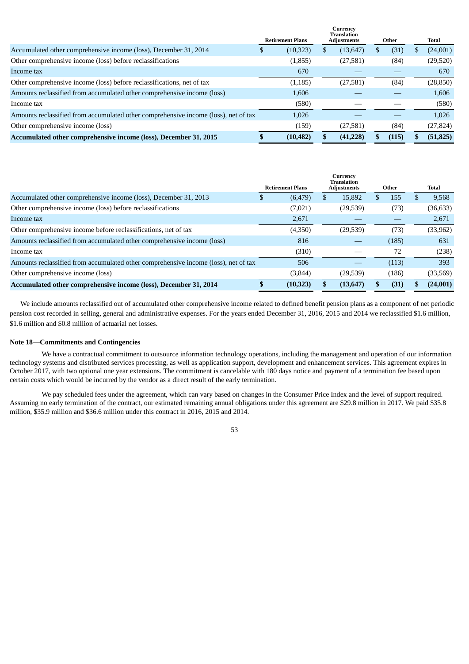|                                                                                     |  | <b>Retirement Plans</b> |  |           |   | <b>Translation</b><br><b>Adjustments</b> | Other     |  | <b>Total</b> |
|-------------------------------------------------------------------------------------|--|-------------------------|--|-----------|---|------------------------------------------|-----------|--|--------------|
| Accumulated other comprehensive income (loss), December 31, 2014                    |  | (10, 323)               |  | (13, 647) | S | (31)                                     | (24,001)  |  |              |
| Other comprehensive income (loss) before reclassifications                          |  | (1,855)                 |  | (27, 581) |   | (84)                                     | (29, 520) |  |              |
| Income tax                                                                          |  | 670                     |  |           |   |                                          | 670       |  |              |
| Other comprehensive income (loss) before reclassifications, net of tax              |  | (1, 185)                |  | (27, 581) |   | (84)                                     | (28, 850) |  |              |
| Amounts reclassified from accumulated other comprehensive income (loss)             |  | 1,606                   |  |           |   |                                          | 1,606     |  |              |
| Income tax                                                                          |  | (580)                   |  |           |   |                                          | (580)     |  |              |
| Amounts reclassified from accumulated other comprehensive income (loss), net of tax |  | 1,026                   |  |           |   |                                          | 1,026     |  |              |
| Other comprehensive income (loss)                                                   |  | (159)                   |  | (27, 581) |   | (84)                                     | (27, 824) |  |              |
| Accumulated other comprehensive income (loss), December 31, 2015                    |  | (10, 482)               |  | (41,228)  |   | (115)                                    | (51, 825) |  |              |

|                                                                                     |   | <b>Retirement Plans</b> | Currency<br>Translation<br><b>Adjustments</b> |    | Other | Total     |
|-------------------------------------------------------------------------------------|---|-------------------------|-----------------------------------------------|----|-------|-----------|
| Accumulated other comprehensive income (loss), December 31, 2013                    | æ | (6, 479)                | 15,892                                        | S. | 155   | 9,568     |
| Other comprehensive income (loss) before reclassifications                          |   | (7,021)                 | (29, 539)                                     |    | (73)  | (36,633)  |
| Income tax                                                                          |   | 2,671                   |                                               |    |       | 2,671     |
| Other comprehensive income before reclassifications, net of tax                     |   | (4,350)                 | (29, 539)                                     |    | (73)  | (33,962)  |
| Amounts reclassified from accumulated other comprehensive income (loss)             |   | 816                     |                                               |    | (185) | 631       |
| Income tax                                                                          |   | (310)                   |                                               |    | 72    | (238)     |
| Amounts reclassified from accumulated other comprehensive income (loss), net of tax |   | 506                     |                                               |    | (113) | 393       |
| Other comprehensive income (loss)                                                   |   | (3,844)                 | (29, 539)                                     |    | (186) | (33, 569) |
| Accumulated other comprehensive income (loss), December 31, 2014                    |   | (10, 323)               | (13, 647)                                     |    | (31)  | (24,001)  |

 We include amounts reclassified out of accumulated other comprehensive income related to defined benefit pension plans as a component of net periodic pension cost recorded in selling, general and administrative expenses. For the years ended December 31, 2016, 2015 and 2014 we reclassified \$1.6 million, \$1.6 million and \$0.8 million of actuarial net losses.

### **Note 18—Commitments and Contingencies**

We have a contractual commitment to outsource information technology operations, including the management and operation of our information technology systems and distributed services processing, as well as application support, development and enhancement services. This agreement expires in October 2017, with two optional one year extensions. The commitment is cancelable with 180 days notice and payment of a termination fee based upon certain costs which would be incurred by the vendor as a direct result of the early termination.

We pay scheduled fees under the agreement, which can vary based on changes in the Consumer Price Index and the level of support required. Assuming no early termination of the contract, our estimated remaining annual obligations under this agreement are \$29.8 million in 2017. We paid \$35.8 million, \$35.9 million and \$36.6 million under this contract in 2016, 2015 and 2014.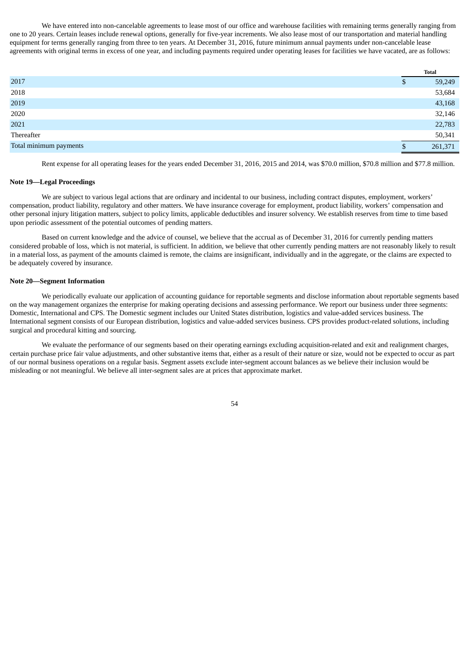We have entered into non-cancelable agreements to lease most of our office and warehouse facilities with remaining terms generally ranging from one to 20 years. Certain leases include renewal options, generally for five-year increments. We also lease most of our transportation and material handling equipment for terms generally ranging from three to ten years. At December 31, 2016, future minimum annual payments under non-cancelable lease agreements with original terms in excess of one year, and including payments required under operating leases for facilities we have vacated, are as follows:

|                        | <b>Total</b> |
|------------------------|--------------|
| 2017<br>D              | 59,249       |
| 2018                   | 53,684       |
| 2019                   | 43,168       |
| 2020                   | 32,146       |
| 2021                   | 22,783       |
| Thereafter             | 50,341       |
| Total minimum payments | 261,371      |

Rent expense for all operating leases for the years ended December 31, 2016, 2015 and 2014, was \$70.0 million, \$70.8 million and \$77.8 million.

#### **Note 19—Legal Proceedings**

We are subject to various legal actions that are ordinary and incidental to our business, including contract disputes, employment, workers' compensation, product liability, regulatory and other matters. We have insurance coverage for employment, product liability, workers' compensation and other personal injury litigation matters, subject to policy limits, applicable deductibles and insurer solvency. We establish reserves from time to time based upon periodic assessment of the potential outcomes of pending matters.

Based on current knowledge and the advice of counsel, we believe that the accrual as of December 31, 2016 for currently pending matters considered probable of loss, which is not material, is sufficient. In addition, we believe that other currently pending matters are not reasonably likely to result in a material loss, as payment of the amounts claimed is remote, the claims are insignificant, individually and in the aggregate, or the claims are expected to be adequately covered by insurance.

### **Note 20—Segment Information**

We periodically evaluate our application of accounting guidance for reportable segments and disclose information about reportable segments based on the way management organizes the enterprise for making operating decisions and assessing performance. We report our business under three segments: Domestic, International and CPS. The Domestic segment includes our United States distribution, logistics and value-added services business. The International segment consists of our European distribution, logistics and value-added services business. CPS provides product-related solutions, including surgical and procedural kitting and sourcing.

We evaluate the performance of our segments based on their operating earnings excluding acquisition-related and exit and realignment charges, certain purchase price fair value adjustments, and other substantive items that, either as a result of their nature or size, would not be expected to occur as part of our normal business operations on a regular basis. Segment assets exclude inter-segment account balances as we believe their inclusion would be misleading or not meaningful. We believe all inter-segment sales are at prices that approximate market.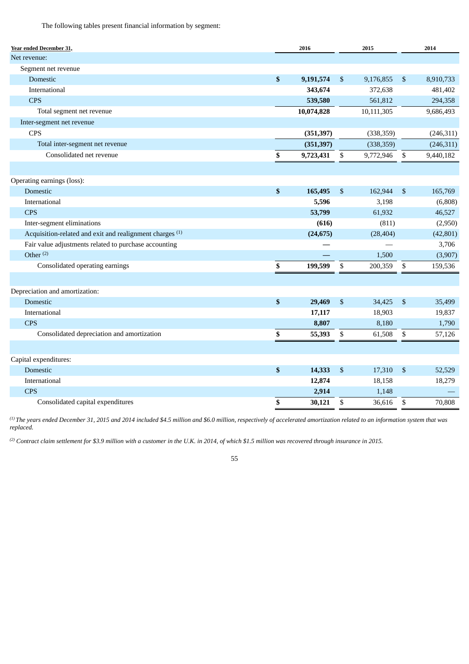The following tables present financial information by segment:

| Year ended December 31,                                             | 2016            |              | 2015       |                | 2014       |
|---------------------------------------------------------------------|-----------------|--------------|------------|----------------|------------|
| Net revenue:                                                        |                 |              |            |                |            |
| Segment net revenue                                                 |                 |              |            |                |            |
| Domestic                                                            | \$<br>9,191,574 | \$           | 9,176,855  | $\mathfrak{S}$ | 8,910,733  |
| International                                                       | 343,674         |              | 372,638    |                | 481,402    |
| <b>CPS</b>                                                          | 539,580         |              | 561,812    |                | 294,358    |
| Total segment net revenue                                           | 10,074,828      |              | 10,111,305 |                | 9,686,493  |
| Inter-segment net revenue                                           |                 |              |            |                |            |
| <b>CPS</b>                                                          | (351, 397)      |              | (338, 359) |                | (246, 311) |
| Total inter-segment net revenue                                     | (351, 397)      |              | (338, 359) |                | (246, 311) |
| Consolidated net revenue                                            | \$<br>9,723,431 | \$           | 9,772,946  | \$             | 9,440,182  |
|                                                                     |                 |              |            |                |            |
| Operating earnings (loss):                                          |                 |              |            |                |            |
| Domestic                                                            | \$<br>165,495   | $\mathbb{S}$ | 162,944    | $\mathfrak{S}$ | 165,769    |
| International                                                       | 5,596           |              | 3,198      |                | (6,808)    |
| <b>CPS</b>                                                          | 53,799          |              | 61,932     |                | 46,527     |
| Inter-segment eliminations                                          | (616)           |              | (811)      |                | (2,950)    |
| Acquisition-related and exit and realignment charges <sup>(1)</sup> | (24, 675)       |              | (28, 404)  |                | (42, 801)  |
| Fair value adjustments related to purchase accounting               |                 |              |            |                | 3,706      |
| Other $(2)$                                                         |                 |              | 1,500      |                | (3,907)    |
| Consolidated operating earnings                                     | \$<br>199,599   | \$           | 200,359    | \$             | 159,536    |
|                                                                     |                 |              |            |                |            |
| Depreciation and amortization:                                      |                 |              |            |                |            |
| <b>Domestic</b>                                                     | \$<br>29,469    | \$           | 34,425     | \$             | 35,499     |
| International                                                       | 17,117          |              | 18,903     |                | 19,837     |
| <b>CPS</b>                                                          | 8,807           |              | 8,180      |                | 1,790      |
| Consolidated depreciation and amortization                          | \$<br>55,393    | \$           | 61,508     | \$             | 57,126     |
|                                                                     |                 |              |            |                |            |
|                                                                     |                 |              |            |                |            |
| Capital expenditures:                                               |                 |              |            |                |            |
| <b>Domestic</b>                                                     | \$<br>14,333    | $\mathbb{S}$ | 17,310     | \$             | 52,529     |
| International<br><b>CPS</b>                                         | 12,874          |              | 18,158     |                | 18,279     |
|                                                                     | 2,914           |              | 1,148      |                |            |
| Consolidated capital expenditures                                   | \$<br>30,121    | \$           | 36,616     | \$             | 70,808     |

*(1) The years ended December 31, 2015 and 2014 included \$4.5 million and \$6.0 million, respectively of accelerated amortization related to an information system that was replaced.*

*(2) Contract claim settlement for \$3.9 million with a customer in the U.K. in 2014, of which \$1.5 million was recovered through insurance in 2015.*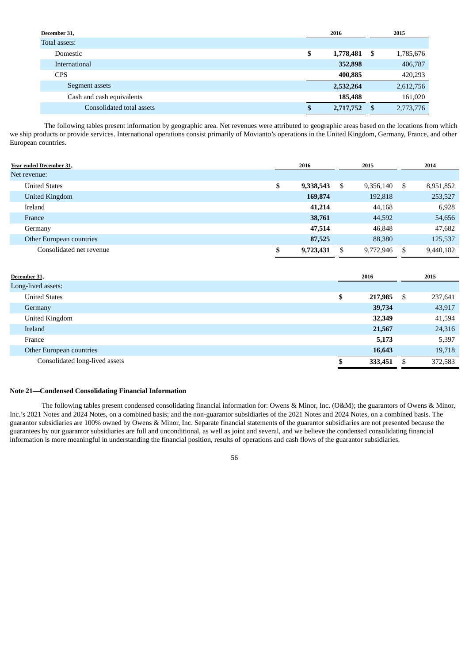| December 31,              |     | 2016      | 2015            |
|---------------------------|-----|-----------|-----------------|
| Total assets:             |     |           |                 |
| Domestic                  | \$  | 1,778,481 | \$<br>1,785,676 |
| <b>International</b>      |     | 352,898   | 406,787         |
| <b>CPS</b>                |     | 400,885   | 420,293         |
| Segment assets            |     | 2,532,264 | 2,612,756       |
| Cash and cash equivalents |     | 185,488   | 161,020         |
| Consolidated total assets | \$. | 2,717,752 | \$<br>2,773,776 |

The following tables present information by geographic area. Net revenues were attributed to geographic areas based on the locations from which we ship products or provide services. International operations consist primarily of Movianto's operations in the United Kingdom, Germany, France, and other European countries.

| Year ended December 31,  |        | 2016      |    | 2015      | 2014            |
|--------------------------|--------|-----------|----|-----------|-----------------|
| Net revenue:             |        |           |    |           |                 |
| <b>United States</b>     | \$     | 9,338,543 | \$ | 9,356,140 | \$<br>8,951,852 |
| <b>United Kingdom</b>    |        | 169,874   |    | 192,818   | 253,527         |
| Ireland                  |        | 41,214    |    | 44,168    | 6,928           |
| France                   |        | 38,761    |    | 44,592    | 54,656          |
| Germany                  |        | 47,514    |    | 46,848    | 47,682          |
| Other European countries |        | 87,525    |    | 88,380    | 125,537         |
| Consolidated net revenue | ¢<br>Œ | 9,723,431 | S  | 9,772,946 | \$<br>9,440,182 |

| December 31,                   |    | 2016    |      | 2015    |
|--------------------------------|----|---------|------|---------|
| Long-lived assets:             |    |         |      |         |
| <b>United States</b>           | \$ | 217,985 | - \$ | 237,641 |
| Germany                        |    | 39,734  |      | 43,917  |
| <b>United Kingdom</b>          |    | 32,349  |      | 41,594  |
| Ireland                        |    | 21,567  |      | 24,316  |
| France                         |    | 5,173   |      | 5,397   |
| Other European countries       |    | 16,643  |      | 19,718  |
| Consolidated long-lived assets | œ  | 333,451 | S    | 372,583 |

# **Note 21—Condensed Consolidating Financial Information**

The following tables present condensed consolidating financial information for: Owens & Minor, Inc. (O&M); the guarantors of Owens & Minor, Inc.'s 2021 Notes and 2024 Notes, on a combined basis; and the non-guarantor subsidiaries of the 2021 Notes and 2024 Notes, on a combined basis. The guarantor subsidiaries are 100% owned by Owens & Minor, Inc. Separate financial statements of the guarantor subsidiaries are not presented because the guarantees by our guarantor subsidiaries are full and unconditional, as well as joint and several, and we believe the condensed consolidating financial information is more meaningful in understanding the financial position, results of operations and cash flows of the guarantor subsidiaries.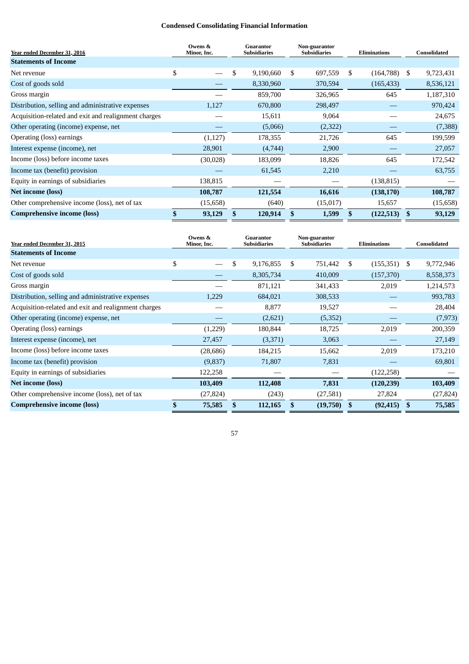| Year ended December 31, 2016                         |    | Owens &<br>Minor, Inc. |     | Guarantor<br><b>Subsidiaries</b> | Non-guarantor<br><b>Subsidiaries</b> |     | <b>Eliminations</b> |    | Consolidated |
|------------------------------------------------------|----|------------------------|-----|----------------------------------|--------------------------------------|-----|---------------------|----|--------------|
| <b>Statements of Income</b>                          |    |                        |     |                                  |                                      |     |                     |    |              |
| Net revenue                                          | \$ |                        | \$. | 9,190,660                        | \$<br>697,559                        | \$. | (164, 788)          | -S | 9,723,431    |
| Cost of goods sold                                   |    |                        |     | 8,330,960                        | 370,594                              |     | (165, 433)          |    | 8,536,121    |
| Gross margin                                         |    |                        |     | 859,700                          | 326,965                              |     | 645                 |    | 1,187,310    |
| Distribution, selling and administrative expenses    |    | 1,127                  |     | 670,800                          | 298,497                              |     |                     |    | 970,424      |
| Acquisition-related and exit and realignment charges |    |                        |     | 15,611                           | 9,064                                |     |                     |    | 24,675       |
| Other operating (income) expense, net                |    |                        |     | (5,066)                          | (2,322)                              |     |                     |    | (7,388)      |
| Operating (loss) earnings                            |    | (1,127)                |     | 178,355                          | 21,726                               |     | 645                 |    | 199,599      |
| Interest expense (income), net                       |    | 28,901                 |     | (4,744)                          | 2,900                                |     |                     |    | 27,057       |
| Income (loss) before income taxes                    |    | (30,028)               |     | 183,099                          | 18,826                               |     | 645                 |    | 172,542      |
| Income tax (benefit) provision                       |    |                        |     | 61,545                           | 2,210                                |     |                     |    | 63,755       |
| Equity in earnings of subsidiaries                   |    | 138,815                |     |                                  |                                      |     | (138, 815)          |    |              |
| <b>Net income (loss)</b>                             |    | 108,787                |     | 121,554                          | 16,616                               |     | (138, 170)          |    | 108,787      |
| Other comprehensive income (loss), net of tax        |    | (15,658)               |     | (640)                            | (15,017)                             |     | 15,657              |    | (15,658)     |
| <b>Comprehensive income (loss)</b>                   | S  | 93,129                 | \$  | 120,914                          | \$<br>1,599                          |     | $(122, 513)$ \$     |    | 93,129       |

| Year ended December 31, 2015                         | Owens &<br>Minor, Inc. | Guarantor<br><b>Subsidiaries</b> | Non-guarantor<br><b>Subsidiaries</b> |    | <b>Eliminations</b> |    | Consolidated |
|------------------------------------------------------|------------------------|----------------------------------|--------------------------------------|----|---------------------|----|--------------|
| <b>Statements of Income</b>                          |                        |                                  |                                      |    |                     |    |              |
| Net revenue                                          | \$                     | \$<br>9,176,855                  | \$<br>751,442                        | -S | (155, 351)          | \$ | 9,772,946    |
| Cost of goods sold                                   |                        | 8,305,734                        | 410,009                              |    | (157, 370)          |    | 8,558,373    |
| Gross margin                                         |                        | 871,121                          | 341,433                              |    | 2,019               |    | 1,214,573    |
| Distribution, selling and administrative expenses    | 1,229                  | 684,021                          | 308,533                              |    |                     |    | 993,783      |
| Acquisition-related and exit and realignment charges |                        | 8,877                            | 19,527                               |    |                     |    | 28,404       |
| Other operating (income) expense, net                |                        | (2,621)                          | (5,352)                              |    |                     |    | (7, 973)     |
| Operating (loss) earnings                            | (1,229)                | 180,844                          | 18,725                               |    | 2,019               |    | 200,359      |
| Interest expense (income), net                       | 27,457                 | (3,371)                          | 3,063                                |    |                     |    | 27,149       |
| Income (loss) before income taxes                    | (28, 686)              | 184,215                          | 15,662                               |    | 2,019               |    | 173,210      |
| Income tax (benefit) provision                       | (9,837)                | 71,807                           | 7,831                                |    |                     |    | 69,801       |
| Equity in earnings of subsidiaries                   | 122,258                |                                  |                                      |    | (122, 258)          |    |              |
| <b>Net income (loss)</b>                             | 103,409                | 112,408                          | 7,831                                |    | (120, 239)          |    | 103,409      |
| Other comprehensive income (loss), net of tax        | (27, 824)              | (243)                            | (27, 581)                            |    | 27,824              |    | (27, 824)    |
| <b>Comprehensive income (loss)</b>                   | 75,585                 | 112,165                          | $(19,750)$ \$                        |    | (92, 415)           |    | 75,585       |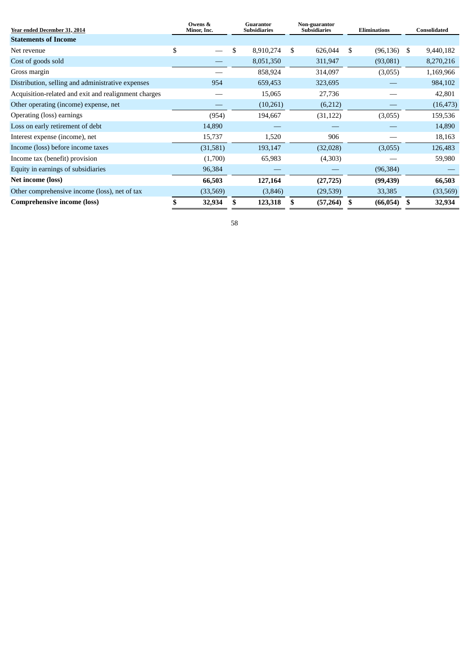| Year ended December 31, 2014                         | Owens &<br>Minor, Inc. | Guarantor<br><b>Subsidiaries</b> | Non-guarantor<br><b>Subsidiaries</b> |     | <b>Eliminations</b> |    | Consolidated |
|------------------------------------------------------|------------------------|----------------------------------|--------------------------------------|-----|---------------------|----|--------------|
| <b>Statements of Income</b>                          |                        |                                  |                                      |     |                     |    |              |
| Net revenue                                          | \$                     | \$<br>8,910,274                  | \$<br>626,044                        | \$. | (96, 136)           | \$ | 9,440,182    |
| Cost of goods sold                                   |                        | 8,051,350                        | 311,947                              |     | (93,081)            |    | 8,270,216    |
| Gross margin                                         |                        | 858,924                          | 314,097                              |     | (3,055)             |    | 1,169,966    |
| Distribution, selling and administrative expenses    | 954                    | 659,453                          | 323,695                              |     |                     |    | 984,102      |
| Acquisition-related and exit and realignment charges |                        | 15,065                           | 27,736                               |     |                     |    | 42,801       |
| Other operating (income) expense, net                |                        | (10,261)                         | (6,212)                              |     |                     |    | (16, 473)    |
| Operating (loss) earnings                            | (954)                  | 194,667                          | (31, 122)                            |     | (3,055)             |    | 159,536      |
| Loss on early retirement of debt                     | 14,890                 |                                  |                                      |     |                     |    | 14,890       |
| Interest expense (income), net                       | 15,737                 | 1,520                            | 906                                  |     |                     |    | 18,163       |
| Income (loss) before income taxes                    | (31,581)               | 193,147                          | (32,028)                             |     | (3,055)             |    | 126,483      |
| Income tax (benefit) provision                       | (1,700)                | 65,983                           | (4,303)                              |     |                     |    | 59,980       |
| Equity in earnings of subsidiaries                   | 96,384                 |                                  |                                      |     | (96, 384)           |    |              |
| <b>Net income (loss)</b>                             | 66,503                 | 127,164                          | (27, 725)                            |     | (99, 439)           |    | 66,503       |
| Other comprehensive income (loss), net of tax        | (33, 569)              | (3,846)                          | (29, 539)                            |     | 33,385              |    | (33, 569)    |
| Comprehensive income (loss)                          | \$<br>32,934           | \$<br>123,318                    | \$<br>(57, 264)                      |     | (66, 054)           | \$ | 32,934       |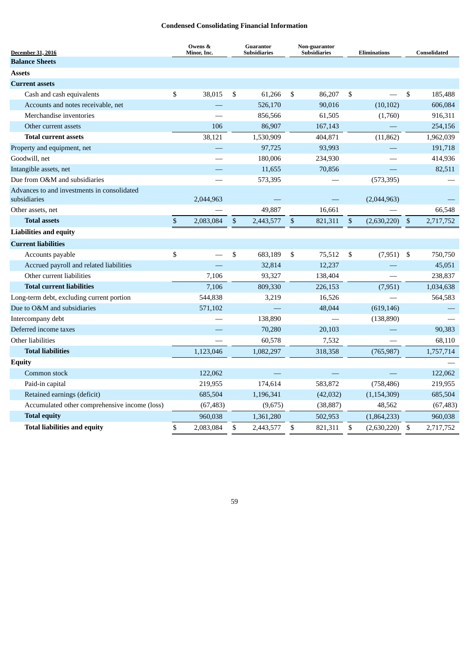| <b>December 31, 2016</b>                                    | Owens &<br>Minor, Inc. |              | Guarantor<br><b>Subsidiaries</b> |                | Non-guarantor<br><b>Subsidiaries</b> | <b>Eliminations</b> | Consolidated    |
|-------------------------------------------------------------|------------------------|--------------|----------------------------------|----------------|--------------------------------------|---------------------|-----------------|
| <b>Balance Sheets</b>                                       |                        |              |                                  |                |                                      |                     |                 |
| Assets                                                      |                        |              |                                  |                |                                      |                     |                 |
| <b>Current assets</b>                                       |                        |              |                                  |                |                                      |                     |                 |
| Cash and cash equivalents                                   | \$<br>38,015           | \$           | 61,266                           | \$             | 86,207                               | \$                  | \$<br>185,488   |
| Accounts and notes receivable, net                          |                        |              | 526,170                          |                | 90,016                               | (10, 102)           | 606,084         |
| Merchandise inventories                                     |                        |              | 856,566                          |                | 61,505                               | (1,760)             | 916,311         |
| Other current assets                                        | 106                    |              | 86,907                           |                | 167,143                              |                     | 254,156         |
| <b>Total current assets</b>                                 | 38,121                 |              | 1,530,909                        |                | 404,871                              | (11, 862)           | 1,962,039       |
| Property and equipment, net                                 |                        |              | 97,725                           |                | 93,993                               |                     | 191,718         |
| Goodwill, net                                               |                        |              | 180,006                          |                | 234,930                              |                     | 414,936         |
| Intangible assets, net                                      |                        |              | 11,655                           |                | 70,856                               |                     | 82,511          |
| Due from O&M and subsidiaries                               |                        |              | 573,395                          |                |                                      | (573, 395)          |                 |
| Advances to and investments in consolidated<br>subsidiaries | 2,044,963              |              |                                  |                |                                      | (2,044,963)         |                 |
| Other assets, net                                           |                        |              | 49,887                           |                | 16,661                               |                     | 66,548          |
| <b>Total assets</b>                                         | \$<br>2,083,084        | $\mathbb{S}$ | 2,443,577                        | $\mathfrak{s}$ | 821,311                              | \$<br>(2,630,220)   | \$<br>2,717,752 |
| <b>Liabilities and equity</b>                               |                        |              |                                  |                |                                      |                     |                 |
| <b>Current liabilities</b>                                  |                        |              |                                  |                |                                      |                     |                 |
| Accounts payable                                            | \$                     | \$           | 683,189                          | \$             | 75,512                               | \$<br>(7,951)       | \$<br>750,750   |
| Accrued payroll and related liabilities                     |                        |              | 32,814                           |                | 12,237                               |                     | 45,051          |
| Other current liabilities                                   | 7,106                  |              | 93,327                           |                | 138,404                              |                     | 238,837         |
| <b>Total current liabilities</b>                            | 7,106                  |              | 809,330                          |                | 226,153                              | (7,951)             | 1,034,638       |
| Long-term debt, excluding current portion                   | 544,838                |              | 3,219                            |                | 16,526                               |                     | 564,583         |
| Due to O&M and subsidiaries                                 | 571,102                |              |                                  |                | 48,044                               | (619, 146)          |                 |
| Intercompany debt                                           |                        |              | 138,890                          |                |                                      | (138, 890)          |                 |
| Deferred income taxes                                       |                        |              | 70,280                           |                | 20,103                               |                     | 90,383          |
| Other liabilities                                           |                        |              | 60,578                           |                | 7,532                                |                     | 68,110          |
| <b>Total liabilities</b>                                    | 1,123,046              |              | 1,082,297                        |                | 318,358                              | (765, 987)          | 1,757,714       |
| <b>Equity</b>                                               |                        |              |                                  |                |                                      |                     |                 |
| Common stock                                                | 122,062                |              |                                  |                |                                      |                     | 122,062         |
| Paid-in capital                                             | 219,955                |              | 174,614                          |                | 583,872                              | (758, 486)          | 219,955         |
| Retained earnings (deficit)                                 | 685,504                |              | 1,196,341                        |                | (42, 032)                            | (1, 154, 309)       | 685,504         |
| Accumulated other comprehensive income (loss)               | (67, 483)              |              | (9,675)                          |                | (38, 887)                            | 48,562              | (67, 483)       |
| <b>Total equity</b>                                         | 960,038                |              | 1,361,280                        |                | 502,953                              | (1,864,233)         | 960,038         |
| <b>Total liabilities and equity</b>                         | \$<br>2,083,084        | \$           | 2,443,577                        | \$             | 821,311                              | \$<br>(2,630,220)   | \$<br>2,717,752 |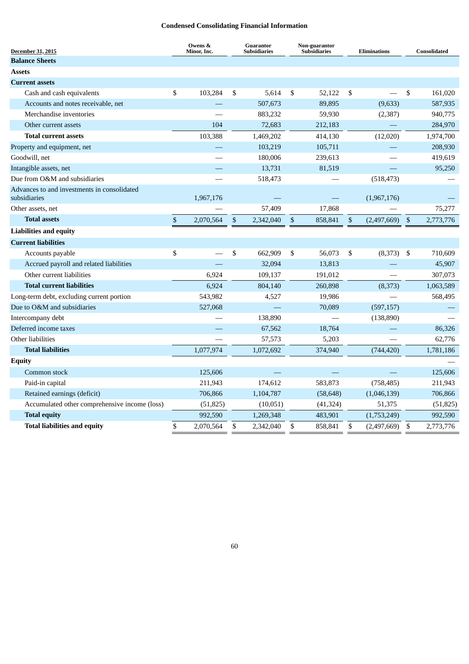| December 31, 2015                                           | Owens &<br>Minor, Inc. | Guarantor<br>Subsidiaries | Non-guarantor<br><b>Subsidiaries</b> |                           | <b>Eliminations</b> | Consolidated    |
|-------------------------------------------------------------|------------------------|---------------------------|--------------------------------------|---------------------------|---------------------|-----------------|
| <b>Balance Sheets</b>                                       |                        |                           |                                      |                           |                     |                 |
| Assets                                                      |                        |                           |                                      |                           |                     |                 |
| <b>Current assets</b>                                       |                        |                           |                                      |                           |                     |                 |
| Cash and cash equivalents                                   | \$<br>103,284          | \$<br>5,614               | \$<br>52,122                         | \$                        |                     | \$<br>161,020   |
| Accounts and notes receivable, net                          |                        | 507,673                   | 89,895                               |                           | (9,633)             | 587,935         |
| Merchandise inventories                                     |                        | 883,232                   | 59,930                               |                           | (2, 387)            | 940,775         |
| Other current assets                                        | 104                    | 72,683                    | 212,183                              |                           |                     | 284,970         |
| <b>Total current assets</b>                                 | 103,388                | 1,469,202                 | 414,130                              |                           | (12,020)            | 1,974,700       |
| Property and equipment, net                                 |                        | 103,219                   | 105,711                              |                           |                     | 208,930         |
| Goodwill, net                                               |                        | 180,006                   | 239,613                              |                           |                     | 419,619         |
| Intangible assets, net                                      |                        | 13,731                    | 81,519                               |                           |                     | 95,250          |
| Due from O&M and subsidiaries                               |                        | 518,473                   |                                      |                           | (518, 473)          |                 |
| Advances to and investments in consolidated<br>subsidiaries | 1,967,176              |                           |                                      |                           | (1,967,176)         |                 |
| Other assets, net                                           |                        | 57,409                    | 17,868                               |                           |                     | 75,277          |
| <b>Total assets</b>                                         | \$<br>2,070,564        | \$<br>2,342,040           | \$<br>858,841                        | $\boldsymbol{\mathsf{S}}$ | (2,497,669)         | \$<br>2,773,776 |
| <b>Liabilities and equity</b>                               |                        |                           |                                      |                           |                     |                 |
| <b>Current liabilities</b>                                  |                        |                           |                                      |                           |                     |                 |
| Accounts payable                                            | \$                     | \$<br>662,909             | \$<br>56,073                         | \$                        | (8,373)             | \$<br>710,609   |
| Accrued payroll and related liabilities                     |                        | 32,094                    | 13,813                               |                           |                     | 45,907          |
| Other current liabilities                                   | 6,924                  | 109,137                   | 191,012                              |                           |                     | 307,073         |
| <b>Total current liabilities</b>                            | 6,924                  | 804,140                   | 260,898                              |                           | (8,373)             | 1,063,589       |
| Long-term debt, excluding current portion                   | 543,982                | 4,527                     | 19,986                               |                           |                     | 568,495         |
| Due to O&M and subsidiaries                                 | 527,068                |                           | 70,089                               |                           | (597, 157)          |                 |
| Intercompany debt                                           |                        | 138,890                   | $\overline{\phantom{0}}$             |                           | (138, 890)          |                 |
| Deferred income taxes                                       |                        | 67,562                    | 18,764                               |                           |                     | 86,326          |
| Other liabilities                                           |                        | 57,573                    | 5,203                                |                           |                     | 62,776          |
| <b>Total liabilities</b>                                    | 1,077,974              | 1,072,692                 | 374,940                              |                           | (744, 420)          | 1,781,186       |
| <b>Equity</b>                                               |                        |                           |                                      |                           |                     |                 |
| Common stock                                                | 125,606                |                           |                                      |                           |                     | 125,606         |
| Paid-in capital                                             | 211,943                | 174,612                   | 583,873                              |                           | (758, 485)          | 211,943         |
| Retained earnings (deficit)                                 | 706,866                | 1,104,787                 | (58, 648)                            |                           | (1,046,139)         | 706,866         |
| Accumulated other comprehensive income (loss)               | (51, 825)              | (10, 051)                 | (41, 324)                            |                           | 51,375              | (51, 825)       |
| <b>Total equity</b>                                         | 992,590                | 1,269,348                 | 483,901                              |                           | (1,753,249)         | 992,590         |
| <b>Total liabilities and equity</b>                         | \$<br>2,070,564        | \$<br>2,342,040           | \$<br>858,841                        | \$                        | (2,497,669)         | \$<br>2,773,776 |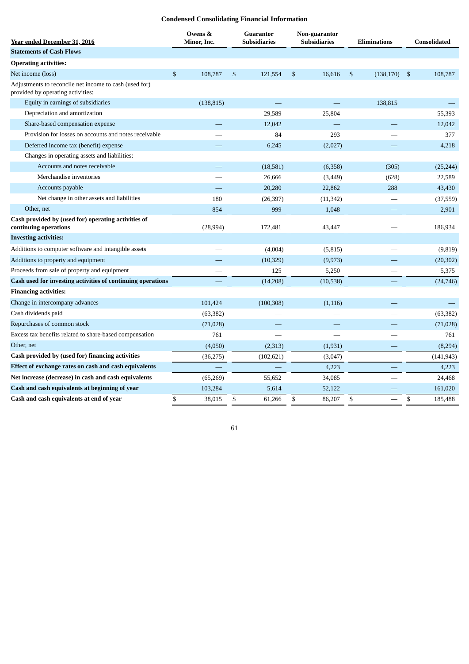| Year ended December 31, 2016                                                                | Owens &<br><b>Guarantor</b><br>Non-guarantor<br><b>Subsidiaries</b><br><b>Subsidiaries</b><br>Minor, Inc. |    |            | <b>Eliminations</b> | Consolidated   |                 |               |
|---------------------------------------------------------------------------------------------|-----------------------------------------------------------------------------------------------------------|----|------------|---------------------|----------------|-----------------|---------------|
| <b>Statements of Cash Flows</b>                                                             |                                                                                                           |    |            |                     |                |                 |               |
| <b>Operating activities:</b>                                                                |                                                                                                           |    |            |                     |                |                 |               |
| Net income (loss)                                                                           | \$<br>108,787                                                                                             | \$ | 121,554    | \$<br>16,616        | $\mathfrak{S}$ | $(138, 170)$ \$ | 108,787       |
| Adjustments to reconcile net income to cash (used for)<br>provided by operating activities: |                                                                                                           |    |            |                     |                |                 |               |
| Equity in earnings of subsidiaries                                                          | (138, 815)                                                                                                |    |            |                     |                | 138,815         |               |
| Depreciation and amortization                                                               |                                                                                                           |    | 29,589     | 25,804              |                |                 | 55,393        |
| Share-based compensation expense                                                            |                                                                                                           |    | 12,042     |                     |                |                 | 12,042        |
| Provision for losses on accounts and notes receivable                                       |                                                                                                           |    | 84         | 293                 |                |                 | 377           |
| Deferred income tax (benefit) expense                                                       |                                                                                                           |    | 6,245      | (2,027)             |                |                 | 4,218         |
| Changes in operating assets and liabilities:                                                |                                                                                                           |    |            |                     |                |                 |               |
| Accounts and notes receivable                                                               |                                                                                                           |    | (18, 581)  | (6,358)             |                | (305)           | (25, 244)     |
| Merchandise inventories                                                                     |                                                                                                           |    | 26,666     | (3, 449)            |                | (628)           | 22,589        |
| Accounts payable                                                                            |                                                                                                           |    | 20,280     | 22,862              |                | 288             | 43,430        |
| Net change in other assets and liabilities                                                  | 180                                                                                                       |    | (26, 397)  | (11, 342)           |                |                 | (37, 559)     |
| Other, net                                                                                  | 854                                                                                                       |    | 999        | 1,048               |                |                 | 2,901         |
| Cash provided by (used for) operating activities of<br>continuing operations                | (28, 994)                                                                                                 |    | 172,481    | 43,447              |                |                 | 186,934       |
| <b>Investing activities:</b>                                                                |                                                                                                           |    |            |                     |                |                 |               |
| Additions to computer software and intangible assets                                        |                                                                                                           |    | (4,004)    | (5, 815)            |                |                 | (9,819)       |
| Additions to property and equipment                                                         |                                                                                                           |    | (10, 329)  | (9, 973)            |                |                 | (20, 302)     |
| Proceeds from sale of property and equipment                                                |                                                                                                           |    | 125        | 5,250               |                |                 | 5,375         |
| Cash used for investing activities of continuing operations                                 |                                                                                                           |    | (14,208)   | (10,538)            |                |                 | (24, 746)     |
| <b>Financing activities:</b>                                                                |                                                                                                           |    |            |                     |                |                 |               |
| Change in intercompany advances                                                             | 101,424                                                                                                   |    | (100, 308) | (1, 116)            |                |                 |               |
| Cash dividends paid                                                                         | (63, 382)                                                                                                 |    |            |                     |                |                 | (63, 382)     |
| Repurchases of common stock                                                                 | (71,028)                                                                                                  |    |            |                     |                |                 | (71, 028)     |
| Excess tax benefits related to share-based compensation                                     | 761                                                                                                       |    |            |                     |                |                 | 761           |
| Other, net                                                                                  | (4,050)                                                                                                   |    | (2,313)    | (1,931)             |                |                 | (8, 294)      |
| Cash provided by (used for) financing activities                                            | (36, 275)                                                                                                 |    | (102, 621) | (3,047)             |                |                 | (141, 943)    |
| Effect of exchange rates on cash and cash equivalents                                       |                                                                                                           |    |            | 4,223               |                |                 | 4,223         |
| Net increase (decrease) in cash and cash equivalents                                        | (65, 269)                                                                                                 |    | 55,652     | 34,085              |                |                 | 24,468        |
| Cash and cash equivalents at beginning of year                                              | 103,284                                                                                                   |    | 5,614      | 52,122              |                |                 | 161,020       |
| Cash and cash equivalents at end of year                                                    | \$<br>38,015                                                                                              | \$ | 61,266     | \$<br>86,207        | \$             |                 | \$<br>185,488 |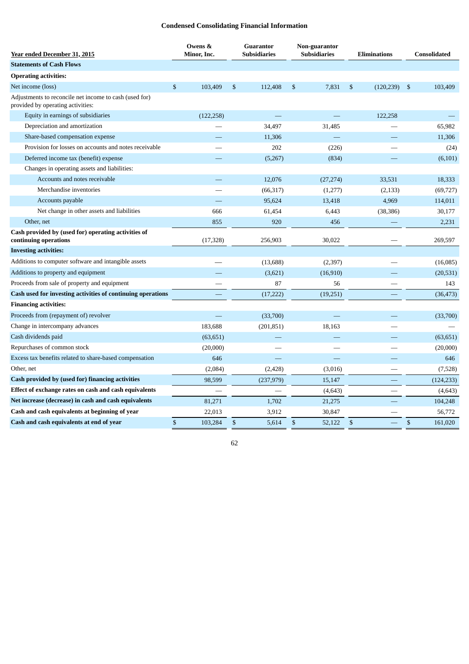| Year ended December 31, 2015                                                                | Owens &<br>Minor, Inc. |              | <b>Guarantor</b><br><b>Subsidiaries</b> |              | Non-guarantor<br><b>Subsidiaries</b> |               | <b>Eliminations</b> |                    | Consolidated |
|---------------------------------------------------------------------------------------------|------------------------|--------------|-----------------------------------------|--------------|--------------------------------------|---------------|---------------------|--------------------|--------------|
| <b>Statements of Cash Flows</b>                                                             |                        |              |                                         |              |                                      |               |                     |                    |              |
| <b>Operating activities:</b>                                                                |                        |              |                                         |              |                                      |               |                     |                    |              |
| Net income (loss)                                                                           | \$<br>103,409          | \$           | 112,408                                 | \$           | 7,831                                | \$            | (120, 239)          | $\mathfrak{s}$     | 103,409      |
| Adjustments to reconcile net income to cash (used for)<br>provided by operating activities: |                        |              |                                         |              |                                      |               |                     |                    |              |
| Equity in earnings of subsidiaries                                                          | (122, 258)             |              |                                         |              |                                      |               | 122,258             |                    |              |
| Depreciation and amortization                                                               |                        |              | 34,497                                  |              | 31,485                               |               |                     |                    | 65,982       |
| Share-based compensation expense                                                            |                        |              | 11,306                                  |              |                                      |               |                     |                    | 11,306       |
| Provision for losses on accounts and notes receivable                                       |                        |              | 202                                     |              | (226)                                |               |                     |                    | (24)         |
| Deferred income tax (benefit) expense                                                       |                        |              | (5,267)                                 |              | (834)                                |               |                     |                    | (6, 101)     |
| Changes in operating assets and liabilities:                                                |                        |              |                                         |              |                                      |               |                     |                    |              |
| Accounts and notes receivable                                                               |                        |              | 12,076                                  |              | (27, 274)                            |               | 33,531              |                    | 18,333       |
| Merchandise inventories                                                                     |                        |              | (66, 317)                               |              | (1,277)                              |               | (2, 133)            |                    | (69, 727)    |
| Accounts payable                                                                            |                        |              | 95,624                                  |              | 13,418                               |               | 4,969               |                    | 114,011      |
| Net change in other assets and liabilities                                                  | 666                    |              | 61,454                                  |              | 6,443                                |               | (38, 386)           |                    | 30,177       |
| Other, net                                                                                  | 855                    |              | 920                                     |              | 456                                  |               |                     |                    | 2,231        |
| Cash provided by (used for) operating activities of<br>continuing operations                | (17, 328)              |              | 256,903                                 |              | 30,022                               |               |                     |                    | 269,597      |
| <b>Investing activities:</b>                                                                |                        |              |                                         |              |                                      |               |                     |                    |              |
| Additions to computer software and intangible assets                                        |                        |              | (13,688)                                |              | (2,397)                              |               |                     |                    | (16,085)     |
| Additions to property and equipment                                                         |                        |              | (3,621)                                 |              | (16,910)                             |               |                     |                    | (20, 531)    |
| Proceeds from sale of property and equipment                                                |                        |              | 87                                      |              | 56                                   |               |                     |                    | 143          |
| Cash used for investing activities of continuing operations                                 |                        |              | (17, 222)                               |              | (19,251)                             |               |                     |                    | (36, 473)    |
| <b>Financing activities:</b>                                                                |                        |              |                                         |              |                                      |               |                     |                    |              |
| Proceeds from (repayment of) revolver                                                       |                        |              | (33,700)                                |              |                                      |               |                     |                    | (33,700)     |
| Change in intercompany advances                                                             | 183,688                |              | (201, 851)                              |              | 18.163                               |               |                     |                    |              |
| Cash dividends paid                                                                         | (63, 651)              |              |                                         |              |                                      |               |                     |                    | (63, 651)    |
| Repurchases of common stock                                                                 | (20,000)               |              |                                         |              |                                      |               |                     |                    | (20,000)     |
| Excess tax benefits related to share-based compensation                                     | 646                    |              |                                         |              | $\overline{\phantom{0}}$             |               |                     |                    | 646          |
| Other, net                                                                                  | (2,084)                |              | (2,428)                                 |              | (3,016)                              |               |                     |                    | (7,528)      |
| Cash provided by (used for) financing activities                                            | 98,599                 |              | (237, 979)                              |              | 15,147                               |               |                     |                    | (124, 233)   |
| Effect of exchange rates on cash and cash equivalents                                       |                        |              |                                         |              | (4, 643)                             |               |                     |                    | (4, 643)     |
| Net increase (decrease) in cash and cash equivalents                                        | 81,271                 |              | 1,702                                   |              | 21,275                               |               |                     |                    | 104,248      |
| Cash and cash equivalents at beginning of year                                              | 22,013                 |              | 3,912                                   |              | 30,847                               |               |                     |                    | 56,772       |
| Cash and cash equivalents at end of year                                                    | \$<br>103,284          | $\mathbb{S}$ | 5,614                                   | $\mathbb{S}$ | 52,122                               | ${\mathbb S}$ |                     | $\mathbf{\hat{S}}$ | 161,020      |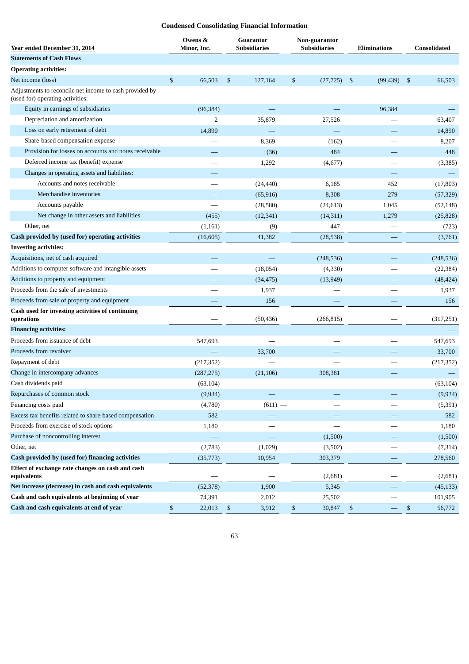| Year ended December 31, 2014                                                                |              | Owens &<br>Minor, Inc. | <b>Guarantor</b><br><b>Subsidiaries</b> |           |             | Non-guarantor<br><b>Subsidiaries</b> |              | <b>Eliminations</b> | <b>Consolidated</b> |            |
|---------------------------------------------------------------------------------------------|--------------|------------------------|-----------------------------------------|-----------|-------------|--------------------------------------|--------------|---------------------|---------------------|------------|
| <b>Statements of Cash Flows</b>                                                             |              |                        |                                         |           |             |                                      |              |                     |                     |            |
| <b>Operating activities:</b>                                                                |              |                        |                                         |           |             |                                      |              |                     |                     |            |
| Net income (loss)                                                                           | \$           | 66,503                 | \$                                      | 127,164   | \$          | (27, 725)                            | \$           | (99, 439)           | -\$                 | 66,503     |
| Adjustments to reconcile net income to cash provided by<br>(used for) operating activities: |              |                        |                                         |           |             |                                      |              |                     |                     |            |
| Equity in earnings of subsidiaries                                                          |              | (96, 384)              |                                         |           |             |                                      |              | 96,384              |                     |            |
| Depreciation and amortization                                                               |              | 2                      |                                         | 35,879    |             | 27,526                               |              |                     |                     | 63,407     |
| Loss on early retirement of debt                                                            |              | 14,890                 |                                         |           |             |                                      |              |                     |                     | 14,890     |
| Share-based compensation expense                                                            |              |                        |                                         | 8,369     |             | (162)                                |              |                     |                     | 8,207      |
| Provision for losses on accounts and notes receivable                                       |              |                        |                                         | (36)      |             | 484                                  |              |                     |                     | 448        |
| Deferred income tax (benefit) expense                                                       |              |                        |                                         | 1,292     |             | (4,677)                              |              |                     |                     | (3,385)    |
| Changes in operating assets and liabilities:                                                |              |                        |                                         |           |             |                                      |              |                     |                     |            |
| Accounts and notes receivable                                                               |              |                        |                                         | (24, 440) |             | 6,185                                |              | 452                 |                     | (17, 803)  |
| Merchandise inventories                                                                     |              |                        |                                         | (65, 916) |             | 8,308                                |              | 279                 |                     | (57, 329)  |
| Accounts payable                                                                            |              |                        |                                         | (28,580)  |             | (24, 613)                            |              | 1,045               |                     | (52, 148)  |
| Net change in other assets and liabilities                                                  |              | (455)                  |                                         | (12, 341) |             | (14, 311)                            |              | 1,279               |                     | (25, 828)  |
| Other, net                                                                                  |              | (1, 161)               |                                         | (9)       |             | 447                                  |              |                     |                     | (723)      |
| Cash provided by (used for) operating activities                                            |              | (16, 605)              |                                         | 41,382    |             | (28, 538)                            |              |                     |                     | (3,761)    |
| <b>Investing activities:</b>                                                                |              |                        |                                         |           |             |                                      |              |                     |                     |            |
| Acquisitions, net of cash acquired                                                          |              |                        |                                         |           |             | (248, 536)                           |              |                     |                     | (248, 536) |
| Additions to computer software and intangible assets                                        |              |                        |                                         | (18,054)  |             | (4,330)                              |              |                     |                     | (22, 384)  |
| Additions to property and equipment                                                         |              |                        |                                         | (34, 475) |             | (13,949)                             |              |                     |                     | (48, 424)  |
| Proceeds from the sale of investments                                                       |              |                        |                                         | 1,937     |             |                                      |              |                     |                     | 1,937      |
| Proceeds from sale of property and equipment                                                |              |                        |                                         | 156       |             |                                      |              |                     |                     | 156        |
| Cash used for investing activities of continuing                                            |              |                        |                                         |           |             |                                      |              |                     |                     |            |
| operations                                                                                  |              |                        |                                         | (50, 436) |             | (266, 815)                           |              |                     |                     | (317, 251) |
| <b>Financing activities:</b>                                                                |              |                        |                                         |           |             |                                      |              |                     |                     |            |
| Proceeds from issuance of debt                                                              |              | 547,693                |                                         |           |             |                                      |              |                     |                     | 547,693    |
| Proceeds from revolver                                                                      |              |                        |                                         | 33,700    |             |                                      |              |                     |                     | 33,700     |
| Repayment of debt                                                                           |              | (217, 352)             |                                         |           |             |                                      |              |                     |                     | (217, 352) |
| Change in intercompany advances                                                             |              | (287, 275)             |                                         | (21, 106) |             | 308,381                              |              |                     |                     |            |
| Cash dividends paid                                                                         |              | (63, 104)              |                                         |           |             |                                      |              |                     |                     | (63, 104)  |
| Repurchases of common stock                                                                 |              | (9, 934)               |                                         |           |             |                                      |              |                     |                     | (9, 934)   |
| Financing costs paid                                                                        |              | (4,780)                |                                         | $(611)$ — |             |                                      |              |                     |                     | (5, 391)   |
| Excess tax benefits related to share-based compensation                                     |              | 582                    |                                         |           |             |                                      |              |                     |                     | 582        |
| Proceeds from exercise of stock options                                                     |              | 1,180                  |                                         |           |             |                                      |              |                     |                     | 1,180      |
| Purchase of noncontrolling interest                                                         |              |                        |                                         |           |             | (1,500)                              |              |                     |                     | (1,500)    |
| Other, net                                                                                  |              | (2,783)                |                                         | (1,029)   |             | (3,502)                              |              |                     |                     | (7, 314)   |
| Cash provided by (used for) financing activities                                            |              | (35,773)               |                                         | 10,954    |             | 303,379                              |              |                     |                     | 278,560    |
| Effect of exchange rate changes on cash and cash                                            |              |                        |                                         |           |             |                                      |              |                     |                     |            |
| equivalents                                                                                 |              |                        |                                         |           |             | (2,681)                              |              |                     |                     | (2,681)    |
| Net increase (decrease) in cash and cash equivalents                                        |              | (52, 378)              |                                         | 1,900     |             | 5,345                                |              |                     |                     | (45, 133)  |
| Cash and cash equivalents at beginning of year                                              |              | 74,391                 |                                         | 2,012     |             | 25,502                               |              |                     |                     | 101,905    |
| Cash and cash equivalents at end of year                                                    | $\mathbb{S}$ | 22,013                 | ${\mathbb S}$                           | 3,912     | $\mathbb S$ | 30,847                               | $\mathbb{S}$ |                     | $\mathbb{S}$        | 56,772     |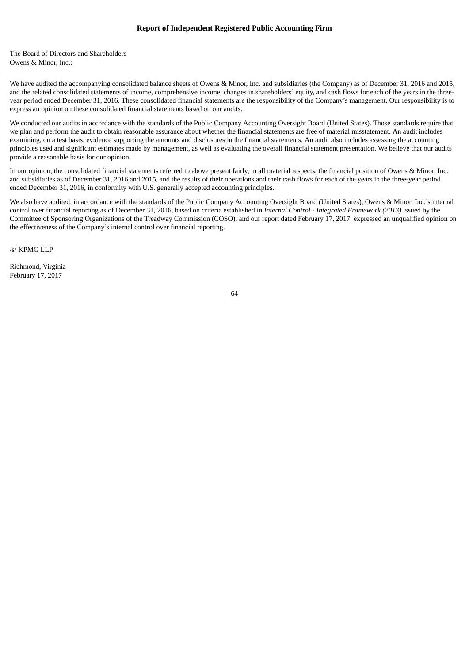# **Report of Independent Registered Public Accounting Firm**

The Board of Directors and Shareholders Owens & Minor, Inc.:

We have audited the accompanying consolidated balance sheets of Owens & Minor, Inc. and subsidiaries (the Company) as of December 31, 2016 and 2015, and the related consolidated statements of income, comprehensive income, changes in shareholders' equity, and cash flows for each of the years in the threeyear period ended December 31, 2016. These consolidated financial statements are the responsibility of the Company's management. Our responsibility is to express an opinion on these consolidated financial statements based on our audits.

We conducted our audits in accordance with the standards of the Public Company Accounting Oversight Board (United States). Those standards require that we plan and perform the audit to obtain reasonable assurance about whether the financial statements are free of material misstatement. An audit includes examining, on a test basis, evidence supporting the amounts and disclosures in the financial statements. An audit also includes assessing the accounting principles used and significant estimates made by management, as well as evaluating the overall financial statement presentation. We believe that our audits provide a reasonable basis for our opinion.

In our opinion, the consolidated financial statements referred to above present fairly, in all material respects, the financial position of Owens & Minor, Inc. and subsidiaries as of December 31, 2016 and 2015, and the results of their operations and their cash flows for each of the years in the three-year period ended December 31, 2016, in conformity with U.S. generally accepted accounting principles.

We also have audited, in accordance with the standards of the Public Company Accounting Oversight Board (United States), Owens & Minor, Inc.'s internal control over financial reporting as of December 31, 2016, based on criteria established in *Internal Control - Integrated Framework (2013)* issued by the Committee of Sponsoring Organizations of the Treadway Commission (COSO), and our report dated February 17, 2017, expressed an unqualified opinion on the effectiveness of the Company's internal control over financial reporting.

/s/ KPMG LLP

Richmond, Virginia February 17, 2017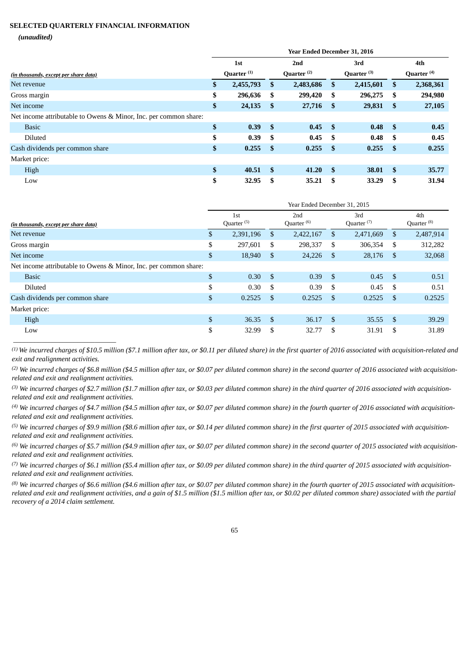# **SELECTED QUARTERLY FINANCIAL INFORMATION**

*(unaudited)*

|                                                                  | Year Ended December 31, 2016 |                        |      |                        |               |                        |               |                        |
|------------------------------------------------------------------|------------------------------|------------------------|------|------------------------|---------------|------------------------|---------------|------------------------|
|                                                                  |                              | 1st                    |      | 2nd                    |               | 3rd                    |               | 4th                    |
| (in thousands, except per share data)                            |                              | Quarter <sup>(1)</sup> |      | Quarter <sup>(2)</sup> |               | Quarter <sup>(3)</sup> |               | Quarter <sup>(4)</sup> |
| Net revenue                                                      | \$                           | 2,455,793              | S.   | 2,483,686              | <sup>\$</sup> | 2,415,601              | <sup>\$</sup> | 2,368,361              |
| Gross margin                                                     | \$                           | 296,636                | -S   | 299,420                | \$            | 296,275                | -S            | 294,980                |
| Net income                                                       | \$                           | 24,135                 | - \$ | 27,716                 | \$            | 29,831                 | - \$          | 27,105                 |
| Net income attributable to Owens & Minor, Inc. per common share: |                              |                        |      |                        |               |                        |               |                        |
| <b>Basic</b>                                                     | \$                           | 0.39                   | - \$ | 0.45                   | - \$          | 0.48                   | - \$          | 0.45                   |
| Diluted                                                          | \$                           | 0.39                   | -S   | 0.45                   | -S            | 0.48                   | - \$          | 0.45                   |
| Cash dividends per common share                                  | \$                           | 0.255                  | - \$ | 0.255                  | \$            | 0.255                  | - \$          | 0.255                  |
| Market price:                                                    |                              |                        |      |                        |               |                        |               |                        |
| High                                                             | \$                           | 40.51                  | -S   | 41.20                  | -\$           | 38.01                  | - \$          | 35.77                  |
| Low                                                              | \$                           | 32.95                  | \$.  | 35.21                  | S.            | 33.29                  | - \$          | 31.94                  |
|                                                                  |                              |                        |      |                        |               |                        |               |                        |

|                                                                  |     | Year Ended December 31, 2015     |      |                               |                |                               |      |                      |
|------------------------------------------------------------------|-----|----------------------------------|------|-------------------------------|----------------|-------------------------------|------|----------------------|
| (in thousands, except per share data)                            |     | 1 <sub>st</sub><br>Quarter $(5)$ |      | 2nd<br>Quarter <sup>(6)</sup> |                | 3rd<br>Quarter <sup>(7)</sup> |      | 4th<br>Quarter $(8)$ |
| Net revenue                                                      | \$. | 2,391,196                        | S.   | 2,422,167                     | \$             | 2,471,669                     | \$   | 2,487,914            |
| Gross margin                                                     | \$  | 297,601                          | \$   | 298,337                       | \$             | 306,354                       | \$   | 312,282              |
| Net income                                                       | \$  | 18,940                           | -\$  | 24,226                        | \$             | 28,176                        | - \$ | 32,068               |
| Net income attributable to Owens & Minor, Inc. per common share: |     |                                  |      |                               |                |                               |      |                      |
| <b>Basic</b>                                                     | \$  | 0.30                             | - \$ | 0.39                          | -\$            | 0.45                          | - \$ | 0.51                 |
| Diluted                                                          | \$  | 0.30                             | \$   | 0.39                          | \$             | 0.45                          | - \$ | 0.51                 |
| Cash dividends per common share                                  | \$  | 0.2525                           | -\$  | 0.2525                        | $\mathfrak{L}$ | 0.2525                        | - \$ | 0.2525               |
| Market price:                                                    |     |                                  |      |                               |                |                               |      |                      |
| High                                                             | \$  | 36.35                            | - \$ | 36.17                         | $\mathfrak{S}$ | 35.55                         | - \$ | 39.29                |
| Low                                                              | \$  | 32.99                            | \$   | 32.77                         | \$             | 31.91                         | \$   | 31.89                |

 $^{(1)}$  We incurred charges of \$10.5 million (\$7.1 million after tax, or \$0.11 per diluted share) in the first quarter of 2016 associated with acquisition-related and *exit and realignment activities.*

(2) We incurred charges of \$6.8 million (\$4.5 million after tax, or \$0.07 per diluted common share) in the second quarter of 2016 associated with acquisition*related and exit and realignment activities.*

(3) We incurred charges of \$2.7 million (\$1.7 million after tax, or \$0.03 per diluted common share) in the third quarter of 2016 associated with acquisition*related and exit and realignment activities.*

<sup>(4)</sup> We incurred charges of \$4.7 million (\$4.5 million after tax, or \$0.07 per diluted common share) in the fourth quarter of 2016 associated with acquisition*related and exit and realignment activities.*

(5) We incurred charges of \$9.9 million (\$8.6 million after tax, or \$0.14 per diluted common share) in the first quarter of 2015 associated with acquisition*related and exit and realignment activities.*

 $^{(6)}$  We incurred charges of \$5.7 million (\$4.9 million after tax, or \$0.07 per diluted common share) in the second quarter of 2015 associated with acquisition*related and exit and realignment activities.*

(7) We incurred charges of \$6.1 million (\$5.4 million after tax, or \$0.09 per diluted common share) in the third quarter of 2015 associated with acquisition*related and exit and realignment activities.*

(8) We incurred charges of \$6.6 million (\$4.6 million after tax, or \$0.07 per diluted common share) in the fourth quarter of 2015 associated with acquisitionrelated and exit and realignment activities, and a gain of \$1.5 million (\$1.5 million after tax, or \$0.02 per diluted common share) associated with the partial *recovery of a 2014 claim settlement.*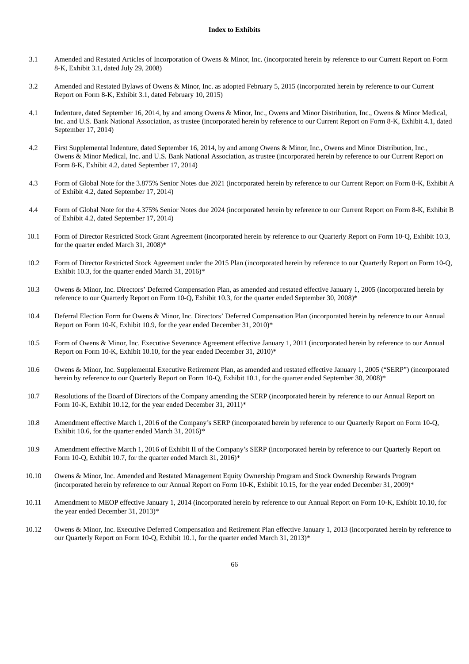- 3.1 Amended and Restated Articles of Incorporation of Owens & Minor, Inc. (incorporated herein by reference to our Current Report on Form 8-K, Exhibit 3.1, dated July 29, 2008)
- 3.2 Amended and Restated Bylaws of Owens & Minor, Inc. as adopted February 5, 2015 (incorporated herein by reference to our Current Report on Form 8-K, Exhibit 3.1, dated February 10, 2015)
- 4.1 Indenture, dated September 16, 2014, by and among Owens & Minor, Inc., Owens and Minor Distribution, Inc., Owens & Minor Medical, Inc. and U.S. Bank National Association, as trustee (incorporated herein by reference to our Current Report on Form 8-K, Exhibit 4.1, dated September 17, 2014)
- 4.2 First Supplemental Indenture, dated September 16, 2014, by and among Owens & Minor, Inc., Owens and Minor Distribution, Inc., Owens & Minor Medical, Inc. and U.S. Bank National Association, as trustee (incorporated herein by reference to our Current Report on Form 8-K, Exhibit 4.2, dated September 17, 2014)
- 4.3 Form of Global Note for the 3.875% Senior Notes due 2021 (incorporated herein by reference to our Current Report on Form 8-K, Exhibit A of Exhibit 4.2, dated September 17, 2014)
- 4.4 Form of Global Note for the 4.375% Senior Notes due 2024 (incorporated herein by reference to our Current Report on Form 8-K, Exhibit B of Exhibit 4.2, dated September 17, 2014)
- 10.1 Form of Director Restricted Stock Grant Agreement (incorporated herein by reference to our Quarterly Report on Form 10-Q, Exhibit 10.3, for the quarter ended March 31, 2008)\*
- 10.2 Form of Director Restricted Stock Agreement under the 2015 Plan (incorporated herein by reference to our Quarterly Report on Form 10-Q, Exhibit 10.3, for the quarter ended March 31, 2016)\*
- 10.3 Owens & Minor, Inc. Directors' Deferred Compensation Plan, as amended and restated effective January 1, 2005 (incorporated herein by reference to our Quarterly Report on Form 10-Q, Exhibit 10.3, for the quarter ended September 30, 2008)\*
- 10.4 Deferral Election Form for Owens & Minor, Inc. Directors' Deferred Compensation Plan (incorporated herein by reference to our Annual Report on Form 10-K, Exhibit 10.9, for the year ended December 31, 2010)\*
- 10.5 Form of Owens & Minor, Inc. Executive Severance Agreement effective January 1, 2011 (incorporated herein by reference to our Annual Report on Form 10-K, Exhibit 10.10, for the year ended December 31, 2010)\*
- 10.6 Owens & Minor, Inc. Supplemental Executive Retirement Plan, as amended and restated effective January 1, 2005 ("SERP") (incorporated herein by reference to our Quarterly Report on Form 10-Q, Exhibit 10.1, for the quarter ended September 30, 2008)\*
- 10.7 Resolutions of the Board of Directors of the Company amending the SERP (incorporated herein by reference to our Annual Report on Form 10-K, Exhibit 10.12, for the year ended December 31, 2011)\*
- 10.8 Amendment effective March 1, 2016 of the Company's SERP (incorporated herein by reference to our Quarterly Report on Form 10-Q, Exhibit 10.6, for the quarter ended March 31, 2016)\*
- 10.9 Amendment effective March 1, 2016 of Exhibit II of the Company's SERP (incorporated herein by reference to our Quarterly Report on Form 10-Q, Exhibit 10.7, for the quarter ended March 31, 2016)\*
- 10.10 Owens & Minor, Inc. Amended and Restated Management Equity Ownership Program and Stock Ownership Rewards Program (incorporated herein by reference to our Annual Report on Form 10-K, Exhibit 10.15, for the year ended December 31, 2009)\*
- 10.11 Amendment to MEOP effective January 1, 2014 (incorporated herein by reference to our Annual Report on Form 10-K, Exhibit 10.10, for the year ended December 31, 2013)\*
- 10.12 Owens & Minor, Inc. Executive Deferred Compensation and Retirement Plan effective January 1, 2013 (incorporated herein by reference to our Quarterly Report on Form 10-Q, Exhibit 10.1, for the quarter ended March 31, 2013)\*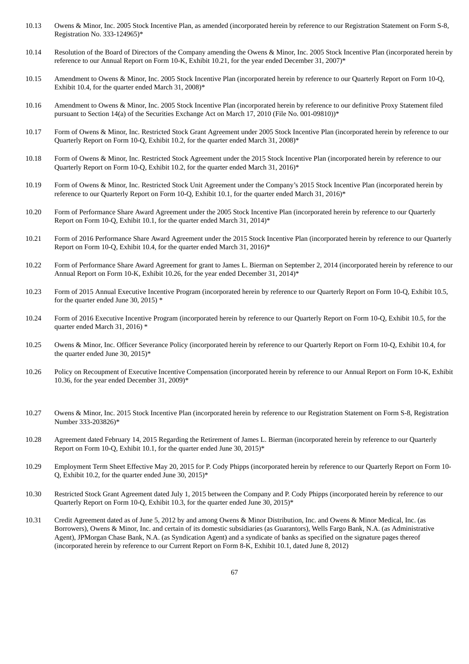- 10.13 Owens & Minor, Inc. 2005 Stock Incentive Plan, as amended (incorporated herein by reference to our Registration Statement on Form S-8, Registration No. 333-124965)\*
- 10.14 Resolution of the Board of Directors of the Company amending the Owens & Minor, Inc. 2005 Stock Incentive Plan (incorporated herein by reference to our Annual Report on Form 10-K, Exhibit 10.21, for the year ended December 31, 2007)\*
- 10.15 Amendment to Owens & Minor, Inc. 2005 Stock Incentive Plan (incorporated herein by reference to our Quarterly Report on Form 10-Q, Exhibit 10.4, for the quarter ended March 31, 2008)\*
- 10.16 Amendment to Owens & Minor, Inc. 2005 Stock Incentive Plan (incorporated herein by reference to our definitive Proxy Statement filed pursuant to Section 14(a) of the Securities Exchange Act on March 17, 2010 (File No. 001-09810))\*
- 10.17 Form of Owens & Minor, Inc. Restricted Stock Grant Agreement under 2005 Stock Incentive Plan (incorporated herein by reference to our Quarterly Report on Form 10-Q, Exhibit 10.2, for the quarter ended March 31, 2008)\*
- 10.18 Form of Owens & Minor, Inc. Restricted Stock Agreement under the 2015 Stock Incentive Plan (incorporated herein by reference to our Quarterly Report on Form 10-Q, Exhibit 10.2, for the quarter ended March 31, 2016)\*
- 10.19 Form of Owens & Minor, Inc. Restricted Stock Unit Agreement under the Company's 2015 Stock Incentive Plan (incorporated herein by reference to our Quarterly Report on Form 10-Q, Exhibit 10.1, for the quarter ended March 31, 2016)\*
- 10.20 Form of Performance Share Award Agreement under the 2005 Stock Incentive Plan (incorporated herein by reference to our Quarterly Report on Form 10-Q, Exhibit 10.1, for the quarter ended March 31, 2014)\*
- 10.21 Form of 2016 Performance Share Award Agreement under the 2015 Stock Incentive Plan (incorporated herein by reference to our Quarterly Report on Form 10-Q, Exhibit 10.4, for the quarter ended March 31, 2016)\*
- 10.22 Form of Performance Share Award Agreement for grant to James L. Bierman on September 2, 2014 (incorporated herein by reference to our Annual Report on Form 10-K, Exhibit 10.26, for the year ended December 31, 2014)\*
- 10.23 Form of 2015 Annual Executive Incentive Program (incorporated herein by reference to our Quarterly Report on Form 10-Q, Exhibit 10.5, for the quarter ended June 30, 2015) \*
- 10.24 Form of 2016 Executive Incentive Program (incorporated herein by reference to our Quarterly Report on Form 10-Q, Exhibit 10.5, for the quarter ended March 31, 2016) \*
- 10.25 Owens & Minor, Inc. Officer Severance Policy (incorporated herein by reference to our Quarterly Report on Form 10-Q, Exhibit 10.4, for the quarter ended June 30, 2015)\*
- 10.26 Policy on Recoupment of Executive Incentive Compensation (incorporated herein by reference to our Annual Report on Form 10-K, Exhibit 10.36, for the year ended December 31, 2009)\*
- 10.27 Owens & Minor, Inc. 2015 Stock Incentive Plan (incorporated herein by reference to our Registration Statement on Form S-8, Registration Number 333-203826)\*
- 10.28 Agreement dated February 14, 2015 Regarding the Retirement of James L. Bierman (incorporated herein by reference to our Quarterly Report on Form 10-Q, Exhibit 10.1, for the quarter ended June 30, 2015)\*
- 10.29 Employment Term Sheet Effective May 20, 2015 for P. Cody Phipps (incorporated herein by reference to our Quarterly Report on Form 10- Q, Exhibit 10.2, for the quarter ended June 30, 2015)\*
- 10.30 Restricted Stock Grant Agreement dated July 1, 2015 between the Company and P. Cody Phipps (incorporated herein by reference to our Quarterly Report on Form 10-Q, Exhibit 10.3, for the quarter ended June 30, 2015)\*
- 10.31 Credit Agreement dated as of June 5, 2012 by and among Owens & Minor Distribution, Inc. and Owens & Minor Medical, Inc. (as Borrowers), Owens & Minor, Inc. and certain of its domestic subsidiaries (as Guarantors), Wells Fargo Bank, N.A. (as Administrative Agent), JPMorgan Chase Bank, N.A. (as Syndication Agent) and a syndicate of banks as specified on the signature pages thereof (incorporated herein by reference to our Current Report on Form 8-K, Exhibit 10.1, dated June 8, 2012)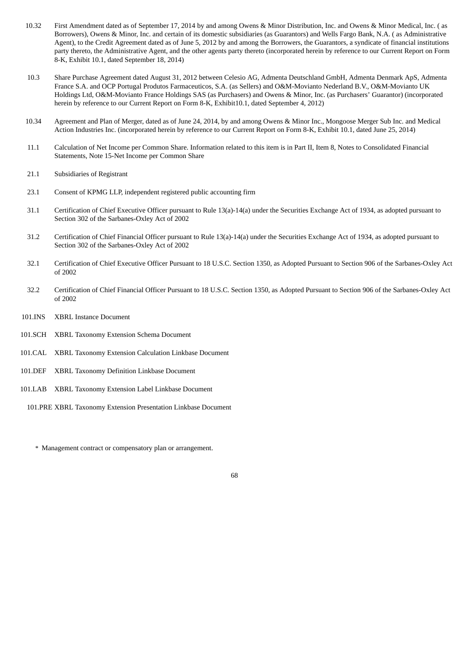- 10.32 First Amendment dated as of September 17, 2014 by and among Owens & Minor Distribution, Inc. and Owens & Minor Medical, Inc. ( as Borrowers), Owens & Minor, Inc. and certain of its domestic subsidiaries (as Guarantors) and Wells Fargo Bank, N.A. ( as Administrative Agent), to the Credit Agreement dated as of June 5, 2012 by and among the Borrowers, the Guarantors, a syndicate of financial institutions party thereto, the Administrative Agent, and the other agents party thereto (incorporated herein by reference to our Current Report on Form 8-K, Exhibit 10.1, dated September 18, 2014)
- 10.3 Share Purchase Agreement dated August 31, 2012 between Celesio AG, Admenta Deutschland GmbH, Admenta Denmark ApS, Admenta France S.A. and OCP Portugal Produtos Farmaceuticos, S.A. (as Sellers) and O&M-Movianto Nederland B.V., O&M-Movianto UK Holdings Ltd, O&M-Movianto France Holdings SAS (as Purchasers) and Owens & Minor, Inc. (as Purchasers' Guarantor) (incorporated herein by reference to our Current Report on Form 8-K, Exhibit10.1, dated September 4, 2012)
- 10.34 Agreement and Plan of Merger, dated as of June 24, 2014, by and among Owens & Minor Inc., Mongoose Merger Sub Inc. and Medical Action Industries Inc. (incorporated herein by reference to our Current Report on Form 8-K, Exhibit 10.1, dated June 25, 2014)
- 11.1 Calculation of Net Income per Common Share. Information related to this item is in Part II, Item 8, Notes to Consolidated Financial Statements, Note 15-Net Income per Common Share
- 21.1 Subsidiaries of Registrant
- 23.1 Consent of KPMG LLP, independent registered public accounting firm
- 31.1 Certification of Chief Executive Officer pursuant to Rule 13(a)-14(a) under the Securities Exchange Act of 1934, as adopted pursuant to Section 302 of the Sarbanes-Oxley Act of 2002
- 31.2 Certification of Chief Financial Officer pursuant to Rule 13(a)-14(a) under the Securities Exchange Act of 1934, as adopted pursuant to Section 302 of the Sarbanes-Oxley Act of 2002
- 32.1 Certification of Chief Executive Officer Pursuant to 18 U.S.C. Section 1350, as Adopted Pursuant to Section 906 of the Sarbanes-Oxley Act of 2002
- 32.2 Certification of Chief Financial Officer Pursuant to 18 U.S.C. Section 1350, as Adopted Pursuant to Section 906 of the Sarbanes-Oxley Act of 2002
- 101.INS XBRL Instance Document
- 101.SCH XBRL Taxonomy Extension Schema Document
- 101.CAL XBRL Taxonomy Extension Calculation Linkbase Document
- 101.DEF XBRL Taxonomy Definition Linkbase Document
- 101.LAB XBRL Taxonomy Extension Label Linkbase Document

101.PRE XBRL Taxonomy Extension Presentation Linkbase Document

\* Management contract or compensatory plan or arrangement.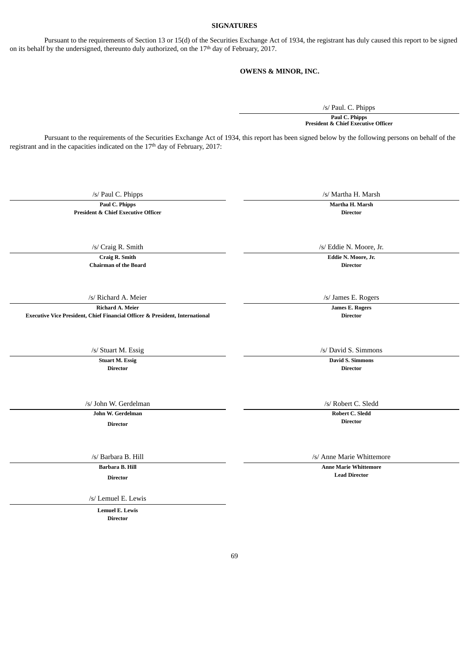### **SIGNATURES**

Pursuant to the requirements of Section 13 or 15(d) of the Securities Exchange Act of 1934, the registrant has duly caused this report to be signed on its behalf by the undersigned, thereunto duly authorized, on the  $17<sup>th</sup>$  day of February, 2017.

#### **OWENS & MINOR, INC.**

/s/ Paul. C. Phipps

**Paul C. Phipps President & Chief Executive Officer**

Pursuant to the requirements of the Securities Exchange Act of 1934, this report has been signed below by the following persons on behalf of the registrant and in the capacities indicated on the  $17<sup>th</sup>$  day of February, 2017:

/s/ Paul C. Phipps /s/ Martha H. Marsh **Paul C. Phipps Martha H. Marsh President & Chief Executive Officer Director** /s/ Craig R. Smith /s/ Eddie N. Moore, Jr. **Craig R. Smith Eddie N. Moore, Jr. Chairman of the Board Director** /s/ Richard A. Meier /s/ James E. Rogers **Richard A. Meier James E. Rogers Executive Vice President, Chief Financial Officer & President, International Director** /s/ Stuart M. Essig /s/ David S. Simmons **Stuart M. Essig David S. Simmons Director Director** /s/ John W. Gerdelman /s/ Robert C. Sledd **John W. Gerdelman Robert C. Sledd Director Director** /s/ Barbara B. Hill /s/ Anne Marie Whittemore **Barbara B. Hill Anne Marie Whittemore Director Lead Director** /s/ Lemuel E. Lewis **Lemuel E. Lewis Director** 69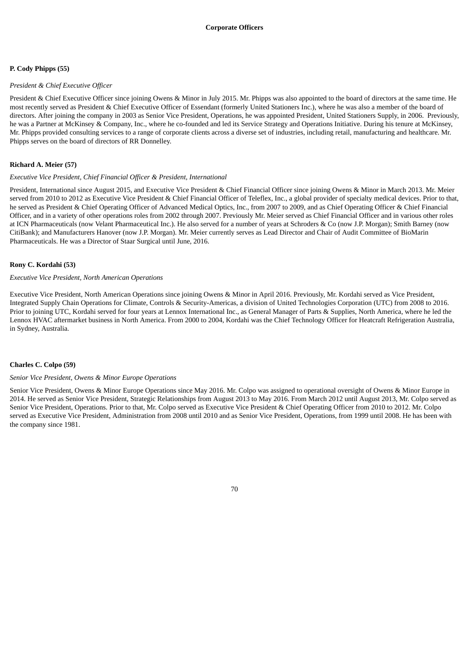## **P. Cody Phipps (55)**

### *President & Chief Executive Officer*

President & Chief Executive Officer since joining Owens & Minor in July 2015. Mr. Phipps was also appointed to the board of directors at the same time. He most recently served as President & Chief Executive Officer of Essendant (formerly United Stationers Inc.), where he was also a member of the board of directors. After joining the company in 2003 as Senior Vice President, Operations, he was appointed President, United Stationers Supply, in 2006. Previously, he was a Partner at McKinsey & Company, Inc., where he co-founded and led its Service Strategy and Operations Initiative. During his tenure at McKinsey, Mr. Phipps provided consulting services to a range of corporate clients across a diverse set of industries, including retail, manufacturing and healthcare. Mr. Phipps serves on the board of directors of RR Donnelley.

## **Richard A. Meier (57)**

### *Executive Vice President, Chief Financial Officer & President, International*

President, International since August 2015, and Executive Vice President & Chief Financial Officer since joining Owens & Minor in March 2013. Mr. Meier served from 2010 to 2012 as Executive Vice President & Chief Financial Officer of Teleflex, Inc., a global provider of specialty medical devices. Prior to that, he served as President & Chief Operating Officer of Advanced Medical Optics, Inc., from 2007 to 2009, and as Chief Operating Officer & Chief Financial Officer, and in a variety of other operations roles from 2002 through 2007. Previously Mr. Meier served as Chief Financial Officer and in various other roles at ICN Pharmaceuticals (now Velant Pharmaceutical Inc.). He also served for a number of years at Schroders & Co (now J.P. Morgan); Smith Barney (now CitiBank); and Manufacturers Hanover (now J.P. Morgan). Mr. Meier currently serves as Lead Director and Chair of Audit Committee of BioMarin Pharmaceuticals. He was a Director of Staar Surgical until June, 2016.

## **Rony C. Kordahi (53)**

### *Executive Vice President, North American Operations*

Executive Vice President, North American Operations since joining Owens & Minor in April 2016. Previously, Mr. Kordahi served as Vice President, Integrated Supply Chain Operations for Climate, Controls & Security-Americas, a division of United Technologies Corporation (UTC) from 2008 to 2016. Prior to joining UTC, Kordahi served for four years at Lennox International Inc., as General Manager of Parts & Supplies, North America, where he led the Lennox HVAC aftermarket business in North America. From 2000 to 2004, Kordahi was the Chief Technology Officer for Heatcraft Refrigeration Australia, in Sydney, Australia.

## **Charles C. Colpo (59)**

### *Senior Vice President, Owens & Minor Europe Operations*

Senior Vice President, Owens & Minor Europe Operations since May 2016. Mr. Colpo was assigned to operational oversight of Owens & Minor Europe in 2014. He served as Senior Vice President, Strategic Relationships from August 2013 to May 2016. From March 2012 until August 2013, Mr. Colpo served as Senior Vice President, Operations. Prior to that, Mr. Colpo served as Executive Vice President & Chief Operating Officer from 2010 to 2012. Mr. Colpo served as Executive Vice President, Administration from 2008 until 2010 and as Senior Vice President, Operations, from 1999 until 2008. He has been with the company since 1981.

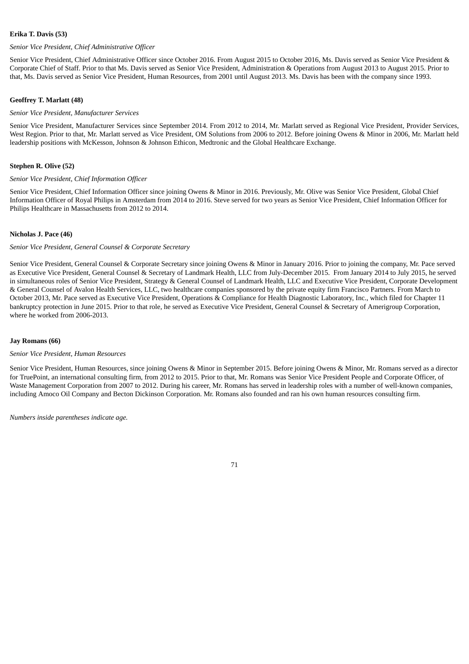### **Erika T. Davis (53)**

# *Senior Vice President, Chief Administrative Officer*

Senior Vice President, Chief Administrative Officer since October 2016. From August 2015 to October 2016, Ms. Davis served as Senior Vice President & Corporate Chief of Staff. Prior to that Ms. Davis served as Senior Vice President, Administration & Operations from August 2013 to August 2015. Prior to that, Ms. Davis served as Senior Vice President, Human Resources, from 2001 until August 2013. Ms. Davis has been with the company since 1993.

### **Geoffrey T. Marlatt (48)**

### *Senior Vice President, Manufacturer Services*

Senior Vice President, Manufacturer Services since September 2014. From 2012 to 2014, Mr. Marlatt served as Regional Vice President, Provider Services, West Region. Prior to that, Mr. Marlatt served as Vice President, OM Solutions from 2006 to 2012. Before joining Owens & Minor in 2006, Mr. Marlatt held leadership positions with McKesson, Johnson & Johnson Ethicon, Medtronic and the Global Healthcare Exchange.

### **Stephen R. Olive (52)**

### *Senior Vice President, Chief Information Officer*

Senior Vice President, Chief Information Officer since joining Owens & Minor in 2016. Previously, Mr. Olive was Senior Vice President, Global Chief Information Officer of Royal Philips in Amsterdam from 2014 to 2016. Steve served for two years as Senior Vice President, Chief Information Officer for Philips Healthcare in Massachusetts from 2012 to 2014.

### **Nicholas J. Pace (46)**

### *Senior Vice President, General Counsel & Corporate Secretary*

Senior Vice President, General Counsel & Corporate Secretary since joining Owens & Minor in January 2016. Prior to joining the company, Mr. Pace served as Executive Vice President, General Counsel & Secretary of Landmark Health, LLC from July-December 2015. From January 2014 to July 2015, he served in simultaneous roles of Senior Vice President, Strategy & General Counsel of Landmark Health, LLC and Executive Vice President, Corporate Development & General Counsel of Avalon Health Services, LLC, two healthcare companies sponsored by the private equity firm Francisco Partners. From March to October 2013, Mr. Pace served as Executive Vice President, Operations & Compliance for Health Diagnostic Laboratory, Inc., which filed for Chapter 11 bankruptcy protection in June 2015. Prior to that role, he served as Executive Vice President, General Counsel & Secretary of Amerigroup Corporation, where he worked from 2006-2013.

## **Jay Romans (66)**

### *Senior Vice President, Human Resources*

Senior Vice President, Human Resources, since joining Owens & Minor in September 2015. Before joining Owens & Minor, Mr. Romans served as a director for TruePoint, an international consulting firm, from 2012 to 2015. Prior to that, Mr. Romans was Senior Vice President People and Corporate Officer, of Waste Management Corporation from 2007 to 2012. During his career, Mr. Romans has served in leadership roles with a number of well-known companies, including Amoco Oil Company and Becton Dickinson Corporation. Mr. Romans also founded and ran his own human resources consulting firm.

*Numbers inside parentheses indicate age.*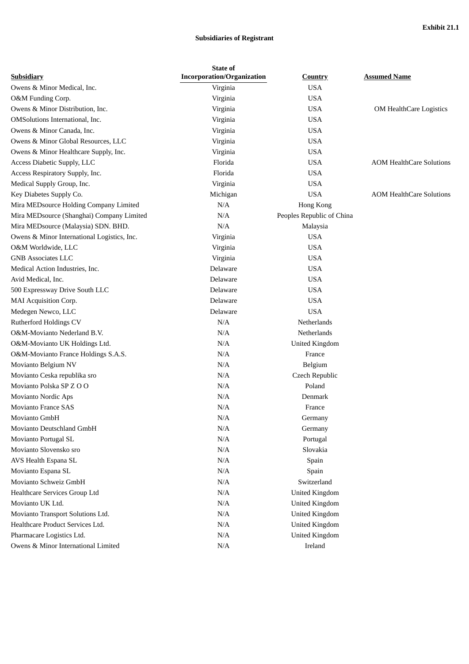# **Subsidiaries of Registrant**

|                                             | <b>State of</b>                   |                           |                                 |
|---------------------------------------------|-----------------------------------|---------------------------|---------------------------------|
| <b>Subsidiary</b>                           | <b>Incorporation/Organization</b> | <b>Country</b>            | <b>Assumed Name</b>             |
| Owens & Minor Medical, Inc.                 | Virginia                          | <b>USA</b>                |                                 |
| O&M Funding Corp.                           | Virginia                          | <b>USA</b>                |                                 |
| Owens & Minor Distribution, Inc.            | Virginia                          | <b>USA</b>                | <b>OM HealthCare Logistics</b>  |
| OMSolutions International, Inc.             | Virginia                          | <b>USA</b>                |                                 |
| Owens & Minor Canada, Inc.                  | Virginia                          | <b>USA</b>                |                                 |
| Owens & Minor Global Resources, LLC         | Virginia                          | <b>USA</b>                |                                 |
| Owens & Minor Healthcare Supply, Inc.       | Virginia                          | <b>USA</b>                |                                 |
| Access Diabetic Supply, LLC                 | Florida                           | <b>USA</b>                | <b>AOM HealthCare Solutions</b> |
| Access Respiratory Supply, Inc.             | Florida                           | <b>USA</b>                |                                 |
| Medical Supply Group, Inc.                  | Virginia                          | <b>USA</b>                |                                 |
| Key Diabetes Supply Co.                     | Michigan                          | <b>USA</b>                | <b>AOM HealthCare Solutions</b> |
| Mira MEDsource Holding Company Limited      | N/A                               | Hong Kong                 |                                 |
| Mira MEDsource (Shanghai) Company Limited   | N/A                               | Peoples Republic of China |                                 |
| Mira MEDsource (Malaysia) SDN. BHD.         | N/A                               | Malaysia                  |                                 |
| Owens & Minor International Logistics, Inc. | Virginia                          | <b>USA</b>                |                                 |
| O&M Worldwide, LLC                          | Virginia                          | <b>USA</b>                |                                 |
| <b>GNB Associates LLC</b>                   | Virginia                          | <b>USA</b>                |                                 |
| Medical Action Industries, Inc.             | Delaware                          | <b>USA</b>                |                                 |
| Avid Medical, Inc.                          | Delaware                          | <b>USA</b>                |                                 |
| 500 Expressway Drive South LLC              | Delaware                          | <b>USA</b>                |                                 |
| MAI Acquisition Corp.                       | Delaware                          | <b>USA</b>                |                                 |
| Medegen Newco, LLC                          | Delaware                          | <b>USA</b>                |                                 |
| Rutherford Holdings CV                      | N/A                               | Netherlands               |                                 |
| O&M-Movianto Nederland B.V.                 | N/A                               | <b>Netherlands</b>        |                                 |
| O&M-Movianto UK Holdings Ltd.               | N/A                               | <b>United Kingdom</b>     |                                 |
| O&M-Movianto France Holdings S.A.S.         | N/A                               | France                    |                                 |
| Movianto Belgium NV                         | N/A                               | Belgium                   |                                 |
| Movianto Ceska republika sro                | N/A                               | Czech Republic            |                                 |
| Movianto Polska SP Z O O                    | N/A                               | Poland                    |                                 |
| Movianto Nordic Aps                         | N/A                               | Denmark                   |                                 |
| <b>Movianto France SAS</b>                  | N/A                               | France                    |                                 |
| Movianto GmbH                               | N/A                               | Germany                   |                                 |
| Movianto Deutschland GmbH                   | N/A                               | Germany                   |                                 |
| Movianto Portugal SL                        | N/A                               | Portugal                  |                                 |
| Movianto Slovensko sro                      | N/A                               | Slovakia                  |                                 |
| AVS Health Espana SL                        | N/A                               | Spain                     |                                 |
| Movianto Espana SL                          | N/A                               | Spain                     |                                 |
| Movianto Schweiz GmbH                       | N/A                               | Switzerland               |                                 |
| Healthcare Services Group Ltd               | N/A                               | <b>United Kingdom</b>     |                                 |
| Movianto UK Ltd.                            | N/A                               | <b>United Kingdom</b>     |                                 |
| Movianto Transport Solutions Ltd.           | N/A                               | <b>United Kingdom</b>     |                                 |
| Healthcare Product Services Ltd.            | N/A                               | <b>United Kingdom</b>     |                                 |
| Pharmacare Logistics Ltd.                   | N/A                               | <b>United Kingdom</b>     |                                 |
| Owens & Minor International Limited         | N/A                               | Ireland                   |                                 |
|                                             |                                   |                           |                                 |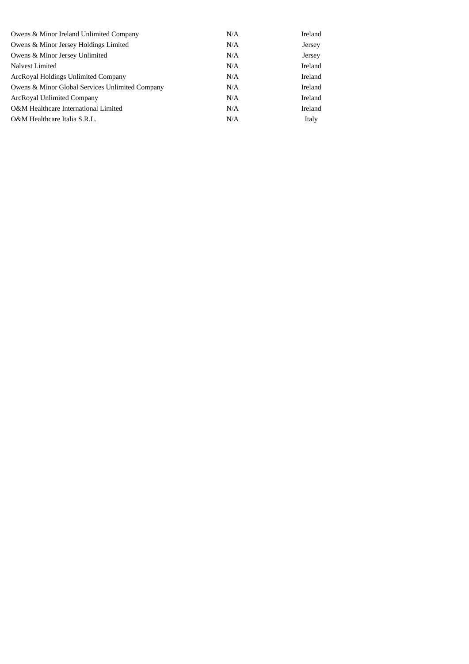| Owens & Minor Ireland Unlimited Company         | N/A | Ireland |
|-------------------------------------------------|-----|---------|
| Owens & Minor Jersey Holdings Limited           | N/A | Jersey  |
| Owens & Minor Jersey Unlimited                  | N/A | Jersey  |
| Nalvest Limited                                 | N/A | Ireland |
| ArcRoyal Holdings Unlimited Company             | N/A | Ireland |
| Owens & Minor Global Services Unlimited Company | N/A | Ireland |
| ArcRoyal Unlimited Company                      | N/A | Ireland |
| O&M Healthcare International Limited            | N/A | Ireland |
| O&M Healthcare Italia S.R.L.                    | N/A | Italy   |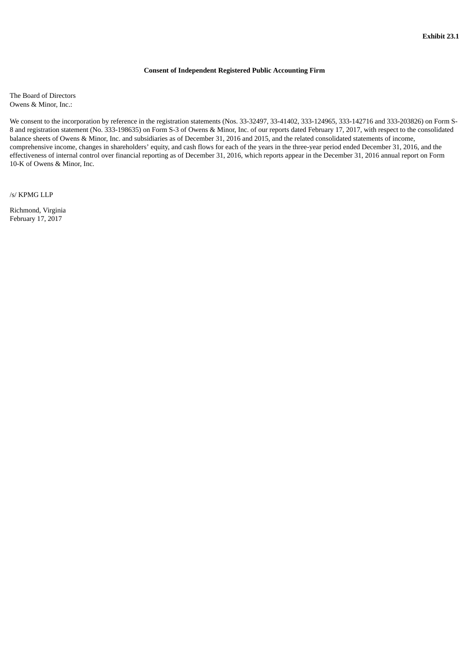### **Consent of Independent Registered Public Accounting Firm**

The Board of Directors Owens & Minor, Inc.:

We consent to the incorporation by reference in the registration statements (Nos. 33-32497, 33-41402, 333-124965, 333-142716 and 333-203826) on Form S-8 and registration statement (No. 333-198635) on Form S-3 of Owens & Minor, Inc. of our reports dated February 17, 2017, with respect to the consolidated balance sheets of Owens & Minor, Inc. and subsidiaries as of December 31, 2016 and 2015, and the related consolidated statements of income, comprehensive income, changes in shareholders' equity, and cash flows for each of the years in the three-year period ended December 31, 2016, and the effectiveness of internal control over financial reporting as of December 31, 2016, which reports appear in the December 31, 2016 annual report on Form 10‑K of Owens & Minor, Inc.

/s/ KPMG LLP

Richmond, Virginia February 17, 2017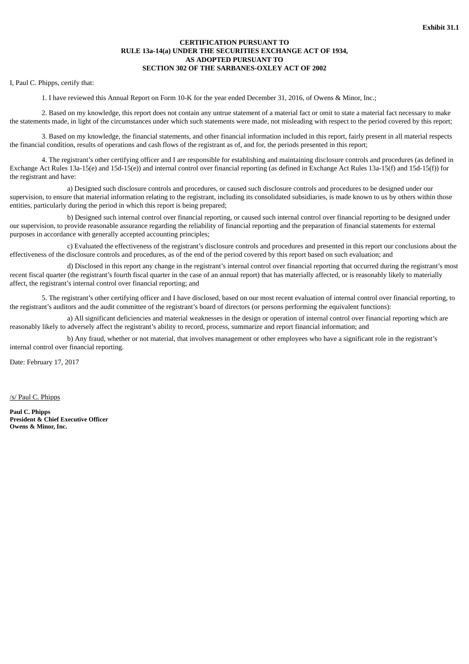# **CERTIFICATION PURSUANT TO RULE 13a-14(a) UNDER THE SECURITIES EXCHANGE ACT OF 1934, AS ADOPTED PURSUANT TO SECTION 302 OF THE SARBANES-OXLEY ACT OF 2002**

### I, Paul C. Phipps, certify that:

1. I have reviewed this Annual Report on Form 10-K for the year ended December 31, 2016, of Owens & Minor, Inc.;

2. Based on my knowledge, this report does not contain any untrue statement of a material fact or omit to state a material fact necessary to make the statements made, in light of the circumstances under which such statements were made, not misleading with respect to the period covered by this report;

3. Based on my knowledge, the financial statements, and other financial information included in this report, fairly present in all material respects the financial condition, results of operations and cash flows of the registrant as of, and for, the periods presented in this report;

4. The registrant's other certifying officer and I are responsible for establishing and maintaining disclosure controls and procedures (as defined in Exchange Act Rules 13a-15(e) and 15d-15(e)) and internal control over financial reporting (as defined in Exchange Act Rules 13a-15(f) and 15d-15(f)) for the registrant and have:

a) Designed such disclosure controls and procedures, or caused such disclosure controls and procedures to be designed under our supervision, to ensure that material information relating to the registrant, including its consolidated subsidiaries, is made known to us by others within those entities, particularly during the period in which this report is being prepared;

b) Designed such internal control over financial reporting, or caused such internal control over financial reporting to be designed under our supervision, to provide reasonable assurance regarding the reliability of financial reporting and the preparation of financial statements for external purposes in accordance with generally accepted accounting principles;

c) Evaluated the effectiveness of the registrant's disclosure controls and procedures and presented in this report our conclusions about the effectiveness of the disclosure controls and procedures, as of the end of the period covered by this report based on such evaluation; and

d) Disclosed in this report any change in the registrant's internal control over financial reporting that occurred during the registrant's most recent fiscal quarter (the registrant's fourth fiscal quarter in the case of an annual report) that has materially affected, or is reasonably likely to materially affect, the registrant's internal control over financial reporting; and

5. The registrant's other certifying officer and I have disclosed, based on our most recent evaluation of internal control over financial reporting, to the registrant's auditors and the audit committee of the registrant's board of directors (or persons performing the equivalent functions):

a) All significant deficiencies and material weaknesses in the design or operation of internal control over financial reporting which are reasonably likely to adversely affect the registrant's ability to record, process, summarize and report financial information; and

b) Any fraud, whether or not material, that involves management or other employees who have a significant role in the registrant's internal control over financial reporting.

Date: February 17, 2017

/s/ Paul C. Phipps

**Paul C. Phipps President & Chief Executive Officer Owens & Minor, Inc.**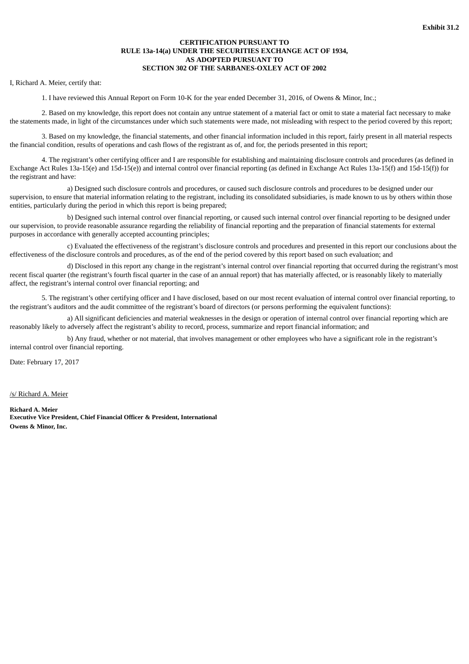# **CERTIFICATION PURSUANT TO RULE 13a-14(a) UNDER THE SECURITIES EXCHANGE ACT OF 1934, AS ADOPTED PURSUANT TO SECTION 302 OF THE SARBANES-OXLEY ACT OF 2002**

#### I, Richard A. Meier, certify that:

1. I have reviewed this Annual Report on Form 10-K for the year ended December 31, 2016, of Owens & Minor, Inc.;

2. Based on my knowledge, this report does not contain any untrue statement of a material fact or omit to state a material fact necessary to make the statements made, in light of the circumstances under which such statements were made, not misleading with respect to the period covered by this report;

3. Based on my knowledge, the financial statements, and other financial information included in this report, fairly present in all material respects the financial condition, results of operations and cash flows of the registrant as of, and for, the periods presented in this report;

4. The registrant's other certifying officer and I are responsible for establishing and maintaining disclosure controls and procedures (as defined in Exchange Act Rules 13a-15(e) and 15d-15(e)) and internal control over financial reporting (as defined in Exchange Act Rules 13a-15(f) and 15d-15(f)) for the registrant and have:

a) Designed such disclosure controls and procedures, or caused such disclosure controls and procedures to be designed under our supervision, to ensure that material information relating to the registrant, including its consolidated subsidiaries, is made known to us by others within those entities, particularly during the period in which this report is being prepared;

b) Designed such internal control over financial reporting, or caused such internal control over financial reporting to be designed under our supervision, to provide reasonable assurance regarding the reliability of financial reporting and the preparation of financial statements for external purposes in accordance with generally accepted accounting principles;

c) Evaluated the effectiveness of the registrant's disclosure controls and procedures and presented in this report our conclusions about the effectiveness of the disclosure controls and procedures, as of the end of the period covered by this report based on such evaluation; and

d) Disclosed in this report any change in the registrant's internal control over financial reporting that occurred during the registrant's most recent fiscal quarter (the registrant's fourth fiscal quarter in the case of an annual report) that has materially affected, or is reasonably likely to materially affect, the registrant's internal control over financial reporting; and

5. The registrant's other certifying officer and I have disclosed, based on our most recent evaluation of internal control over financial reporting, to the registrant's auditors and the audit committee of the registrant's board of directors (or persons performing the equivalent functions):

a) All significant deficiencies and material weaknesses in the design or operation of internal control over financial reporting which are reasonably likely to adversely affect the registrant's ability to record, process, summarize and report financial information; and

b) Any fraud, whether or not material, that involves management or other employees who have a significant role in the registrant's internal control over financial reporting.

Date: February 17, 2017

/s/ Richard A. Meier

**Richard A. Meier Executive Vice President, Chief Financial Officer & President, International Owens & Minor, Inc.**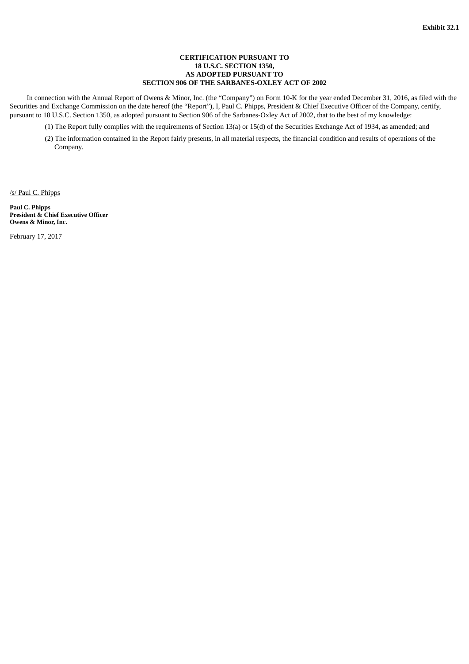## **CERTIFICATION PURSUANT TO 18 U.S.C. SECTION 1350, AS ADOPTED PURSUANT TO SECTION 906 OF THE SARBANES-OXLEY ACT OF 2002**

In connection with the Annual Report of Owens & Minor, Inc. (the "Company") on Form 10-K for the year ended December 31, 2016, as filed with the Securities and Exchange Commission on the date hereof (the "Report"), I, Paul C. Phipps, President & Chief Executive Officer of the Company, certify, pursuant to 18 U.S.C. Section 1350, as adopted pursuant to Section 906 of the Sarbanes-Oxley Act of 2002, that to the best of my knowledge:

(1) The Report fully complies with the requirements of Section 13(a) or 15(d) of the Securities Exchange Act of 1934, as amended; and

(2) The information contained in the Report fairly presents, in all material respects, the financial condition and results of operations of the Company.

/s/ Paul C. Phipps

**Paul C. Phipps President & Chief Executive Officer Owens & Minor, Inc.**

February 17, 2017